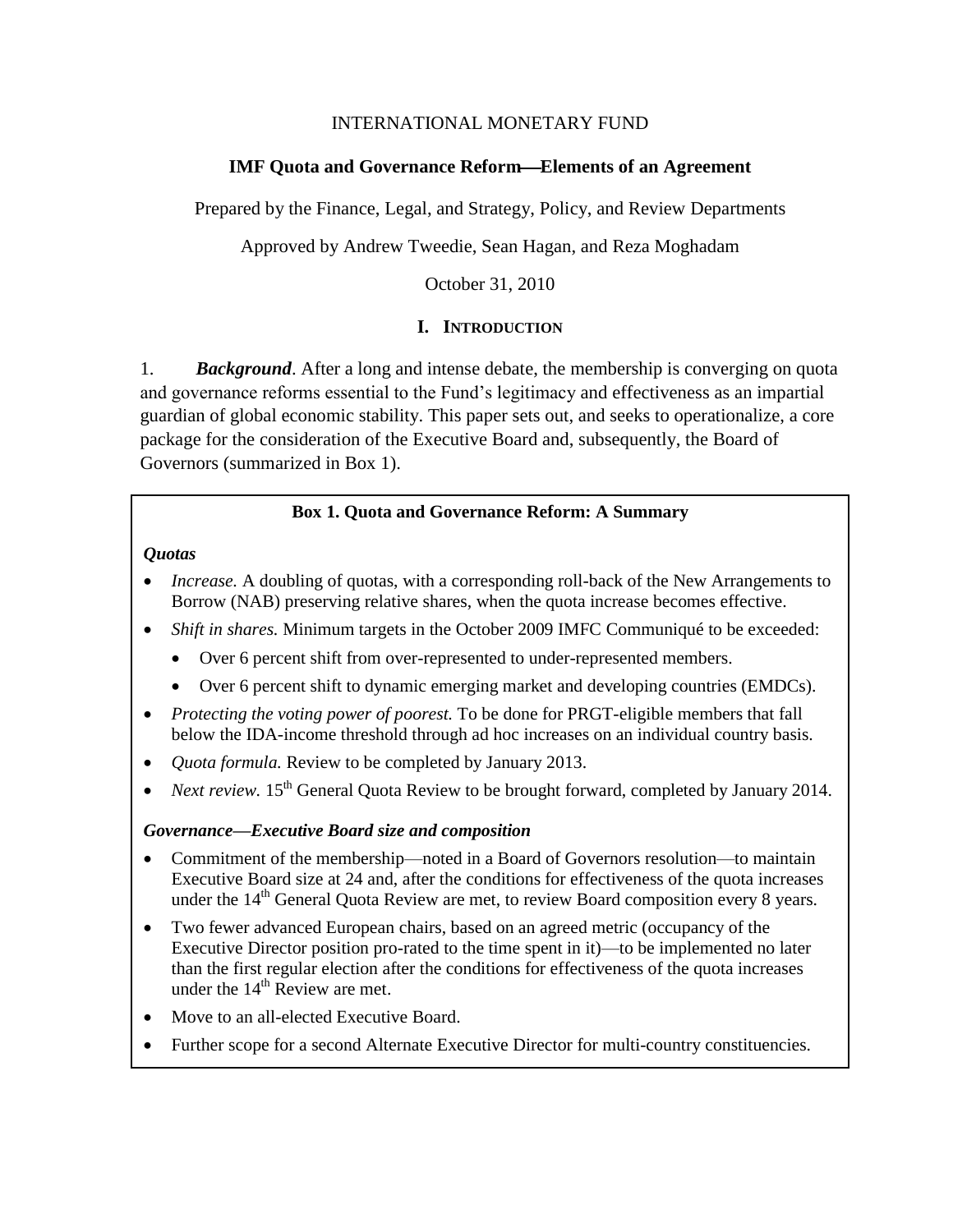### INTERNATIONAL MONETARY FUND

### **IMF Quota and Governance ReformElements of an Agreement**

Prepared by the Finance, Legal, and Strategy, Policy, and Review Departments

Approved by Andrew Tweedie, Sean Hagan, and Reza Moghadam

### October 31, 2010

### **I. INTRODUCTION**

1. *Background*. After a long and intense debate, the membership is converging on quota and governance reforms essential to the Fund's legitimacy and effectiveness as an impartial guardian of global economic stability. This paper sets out, and seeks to operationalize, a core package for the consideration of the Executive Board and, subsequently, the Board of Governors (summarized in Box 1).

### **Box 1. Quota and Governance Reform: A Summary**

### *Quotas*

- *Increase.* A doubling of quotas, with a corresponding roll-back of the New Arrangements to Borrow (NAB) preserving relative shares, when the quota increase becomes effective.
- *Shift in shares.* Minimum targets in the October 2009 IMFC Communiqué to be exceeded:
	- Over 6 percent shift from over-represented to under-represented members.
	- Over 6 percent shift to dynamic emerging market and developing countries (EMDCs).
- *Protecting the voting power of poorest.* To be done for PRGT-eligible members that fall below the IDA-income threshold through ad hoc increases on an individual country basis.
- *Quota formula.* Review to be completed by January 2013.
- *Next review.* 15<sup>th</sup> General Quota Review to be brought forward, completed by January 2014.

### *Governance—Executive Board size and composition*

- Commitment of the membership—noted in a Board of Governors resolution—to maintain Executive Board size at 24 and, after the conditions for effectiveness of the quota increases under the 14<sup>th</sup> General Quota Review are met, to review Board composition every 8 years.
- Two fewer advanced European chairs, based on an agreed metric (occupancy of the Executive Director position pro-rated to the time spent in it)—to be implemented no later than the first regular election after the conditions for effectiveness of the quota increases under the  $14<sup>th</sup>$  Review are met.
- Move to an all-elected Executive Board.
- Further scope for a second Alternate Executive Director for multi-country constituencies.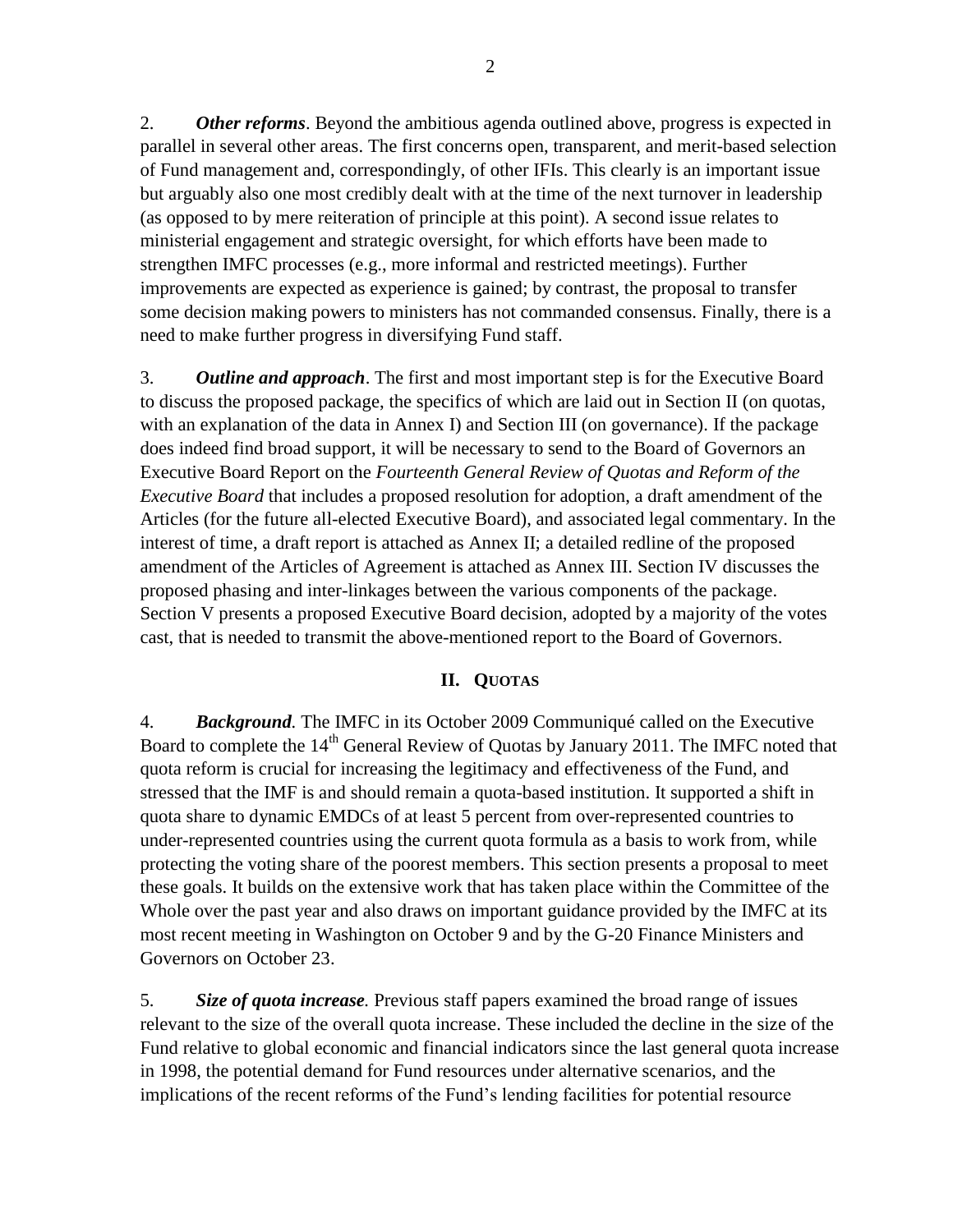2. *Other reforms*. Beyond the ambitious agenda outlined above, progress is expected in parallel in several other areas. The first concerns open, transparent, and merit-based selection of Fund management and, correspondingly, of other IFIs. This clearly is an important issue but arguably also one most credibly dealt with at the time of the next turnover in leadership (as opposed to by mere reiteration of principle at this point). A second issue relates to ministerial engagement and strategic oversight, for which efforts have been made to strengthen IMFC processes (e.g., more informal and restricted meetings). Further improvements are expected as experience is gained; by contrast, the proposal to transfer some decision making powers to ministers has not commanded consensus. Finally, there is a need to make further progress in diversifying Fund staff.

3. *Outline and approach*. The first and most important step is for the Executive Board to discuss the proposed package, the specifics of which are laid out in Section II (on quotas, with an explanation of the data in Annex I) and Section III (on governance). If the package does indeed find broad support, it will be necessary to send to the Board of Governors an Executive Board Report on the *Fourteenth General Review of Quotas and Reform of the Executive Board* that includes a proposed resolution for adoption, a draft amendment of the Articles (for the future all-elected Executive Board), and associated legal commentary. In the interest of time, a draft report is attached as Annex II; a detailed redline of the proposed amendment of the Articles of Agreement is attached as Annex III. Section IV discusses the proposed phasing and inter-linkages between the various components of the package. Section V presents a proposed Executive Board decision, adopted by a majority of the votes cast, that is needed to transmit the above-mentioned report to the Board of Governors.

### **II. QUOTAS**

4. *Background.* The IMFC in its October 2009 Communiqué called on the Executive Board to complete the  $14<sup>th</sup>$  General Review of Quotas by January 2011. The IMFC noted that quota reform is crucial for increasing the legitimacy and effectiveness of the Fund, and stressed that the IMF is and should remain a quota-based institution. It supported a shift in quota share to dynamic EMDCs of at least 5 percent from over-represented countries to under-represented countries using the current quota formula as a basis to work from, while protecting the voting share of the poorest members. This section presents a proposal to meet these goals. It builds on the extensive work that has taken place within the Committee of the Whole over the past year and also draws on important guidance provided by the IMFC at its most recent meeting in Washington on October 9 and by the G-20 Finance Ministers and Governors on October 23.

5. *Size of quota increase.* Previous staff papers examined the broad range of issues relevant to the size of the overall quota increase. These included the decline in the size of the Fund relative to global economic and financial indicators since the last general quota increase in 1998, the potential demand for Fund resources under alternative scenarios, and the implications of the recent reforms of the Fund's lending facilities for potential resource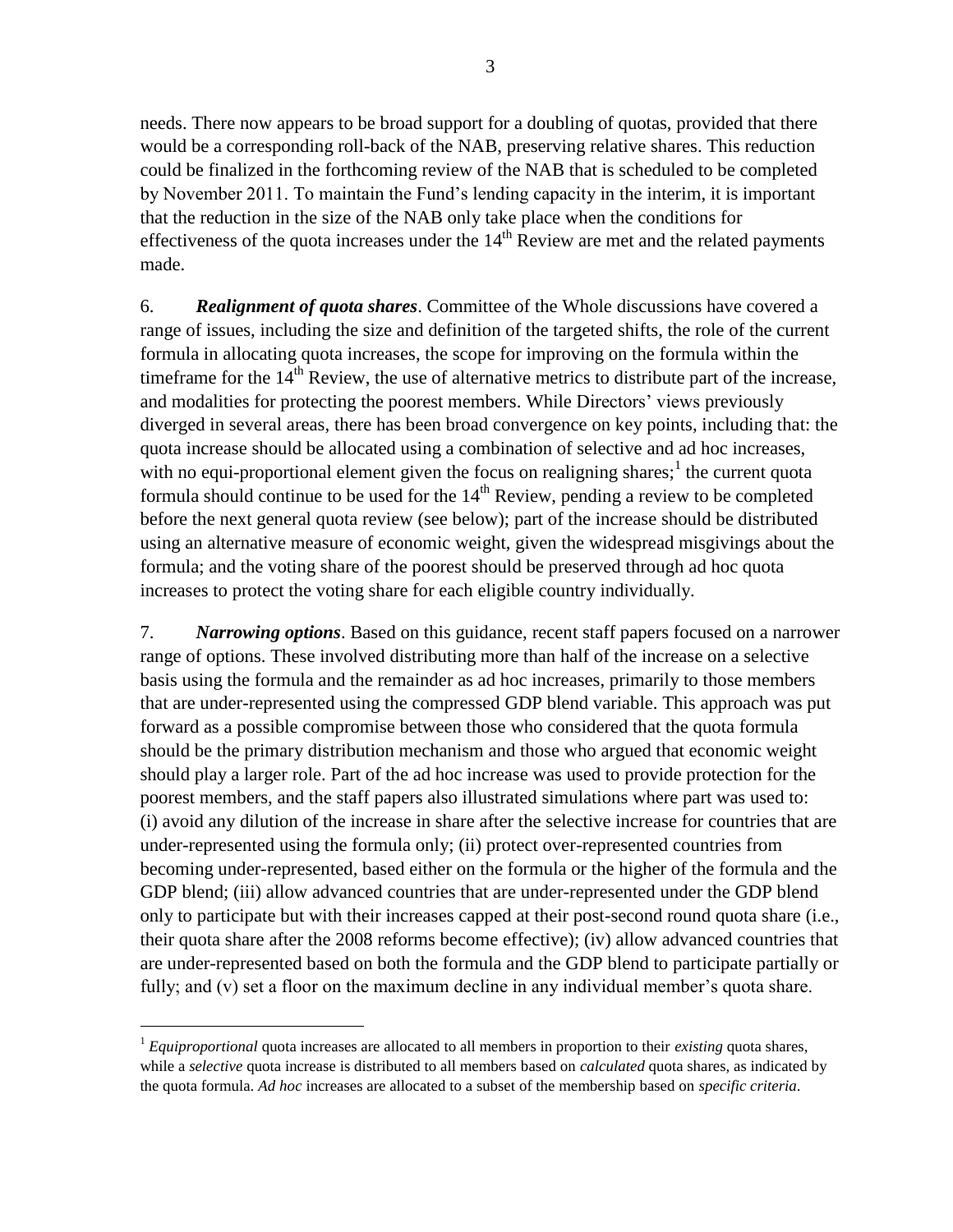needs. There now appears to be broad support for a doubling of quotas, provided that there would be a corresponding roll-back of the NAB, preserving relative shares. This reduction could be finalized in the forthcoming review of the NAB that is scheduled to be completed by November 2011. To maintain the Fund's lending capacity in the interim, it is important that the reduction in the size of the NAB only take place when the conditions for effectiveness of the quota increases under the  $14<sup>th</sup>$  Review are met and the related payments made.

6. *Realignment of quota shares*. Committee of the Whole discussions have covered a range of issues, including the size and definition of the targeted shifts, the role of the current formula in allocating quota increases, the scope for improving on the formula within the timeframe for the  $14<sup>th</sup>$  Review, the use of alternative metrics to distribute part of the increase, and modalities for protecting the poorest members. While Directors' views previously diverged in several areas, there has been broad convergence on key points, including that: the quota increase should be allocated using a combination of selective and ad hoc increases, with no equi-proportional element given the focus on realigning shares;  $\frac{1}{1}$  the current quota formula should continue to be used for the  $14<sup>th</sup>$  Review, pending a review to be completed before the next general quota review (see below); part of the increase should be distributed using an alternative measure of economic weight, given the widespread misgivings about the formula; and the voting share of the poorest should be preserved through ad hoc quota increases to protect the voting share for each eligible country individually.

7. *Narrowing options*. Based on this guidance, recent staff papers focused on a narrower range of options. These involved distributing more than half of the increase on a selective basis using the formula and the remainder as ad hoc increases, primarily to those members that are under-represented using the compressed GDP blend variable. This approach was put forward as a possible compromise between those who considered that the quota formula should be the primary distribution mechanism and those who argued that economic weight should play a larger role. Part of the ad hoc increase was used to provide protection for the poorest members, and the staff papers also illustrated simulations where part was used to: (i) avoid any dilution of the increase in share after the selective increase for countries that are under-represented using the formula only; (ii) protect over-represented countries from becoming under-represented, based either on the formula or the higher of the formula and the GDP blend; (iii) allow advanced countries that are under-represented under the GDP blend only to participate but with their increases capped at their post-second round quota share (i.e., their quota share after the 2008 reforms become effective); (iv) allow advanced countries that are under-represented based on both the formula and the GDP blend to participate partially or fully; and (v) set a floor on the maximum decline in any individual member's quota share.

<sup>1</sup> *Equiproportional* quota increases are allocated to all members in proportion to their *existing* quota shares, while a *selective* quota increase is distributed to all members based on *calculated* quota shares, as indicated by the quota formula. *Ad hoc* increases are allocated to a subset of the membership based on *specific criteria*.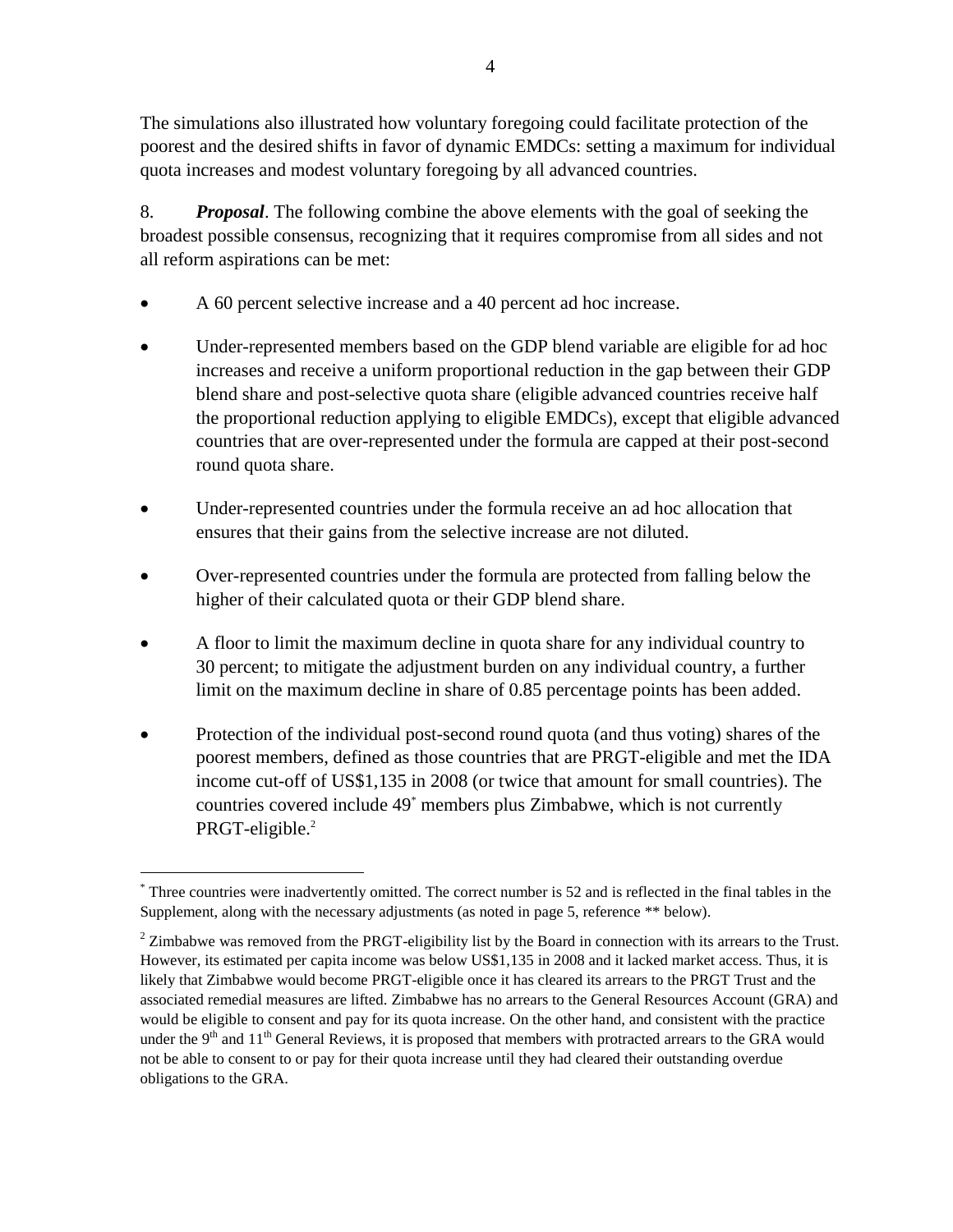<span id="page-3-0"></span>The simulations also illustrated how voluntary foregoing could facilitate protection of the poorest and the desired shifts in favor of dynamic EMDCs: setting a maximum for individual quota increases and modest voluntary foregoing by all advanced countries.

8. *Proposal*. The following combine the above elements with the goal of seeking the broadest possible consensus, recognizing that it requires compromise from all sides and not all reform aspirations can be met:

- A 60 percent selective increase and a 40 percent ad hoc increase.
- Under-represented members based on the GDP blend variable are eligible for ad hoc increases and receive a uniform proportional reduction in the gap between their GDP blend share and post-selective quota share (eligible advanced countries receive half the proportional reduction applying to eligible EMDCs), except that eligible advanced countries that are over-represented under the formula are capped at their post-second round quota share.
- Under-represented countries under the formula receive an ad hoc allocation that ensures that their gains from the selective increase are not diluted.
- Over-represented countries under the formula are protected from falling below the higher of their calculated quota or their GDP blend share.
- A floor to limit the maximum decline in quota share for any individual country to 30 percent; to mitigate the adjustment burden on any individual country, a further limit on the maximum decline in share of 0.85 percentage points has been added.
- Protection of the individual post-second round quota (and thus voting) shares of the poorest members, defined as those countries that are PRGT-eligible and met the IDA income cut-off of US\$1,135 in 2008 (or twice that amount for small countries). The countries covered include 49\* members plus Zimbabwe, which is not currently PRGT-eligible.<sup>2</sup>

<sup>\*</sup> Three countries were inadvertently omitted. The correct number is 52 and is reflected in the final tables in the [Supplement,](#page-51-0) along with the necessary adjustments (as noted in [page 5, reference \\*\\*](#page-4-0) below).

 $2 \text{ Zimbabwe was removed from the PRGT-eligibility list by the Board in connection with its arrears to the Trust.}$ However, its estimated per capita income was below US\$1,135 in 2008 and it lacked market access. Thus, it is likely that Zimbabwe would become PRGT-eligible once it has cleared its arrears to the PRGT Trust and the associated remedial measures are lifted. Zimbabwe has no arrears to the General Resources Account (GRA) and would be eligible to consent and pay for its quota increase. On the other hand, and consistent with the practice under the 9<sup>th</sup> and  $11<sup>th</sup>$  General Reviews, it is proposed that members with protracted arrears to the GRA would not be able to consent to or pay for their quota increase until they had cleared their outstanding overdue obligations to the GRA.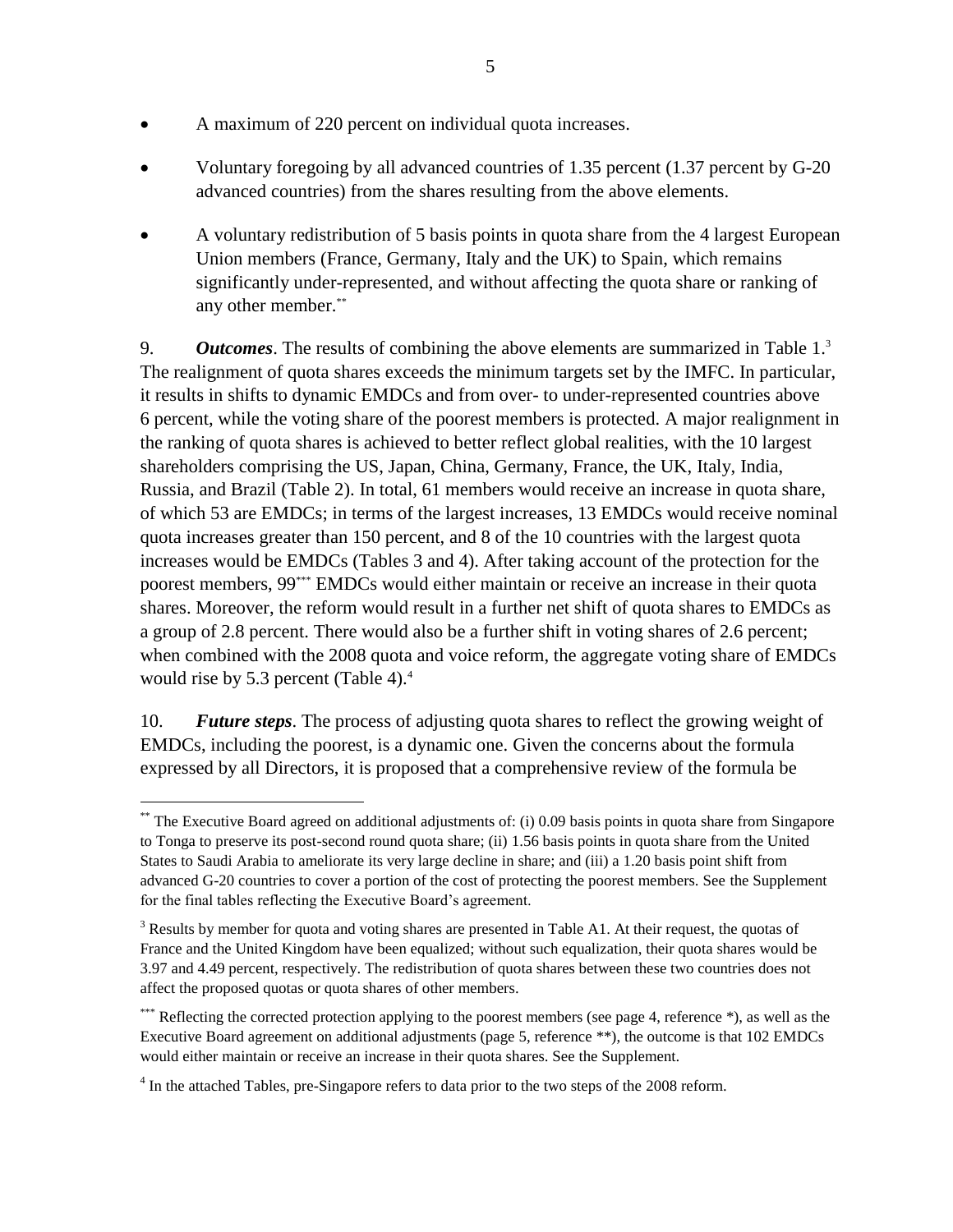- <span id="page-4-0"></span>A maximum of 220 percent on individual quota increases.
- Voluntary foregoing by all advanced countries of 1.35 percent (1.37 percent by G-20 advanced countries) from the shares resulting from the above elements.
- A voluntary redistribution of 5 basis points in quota share from the 4 largest European Union members (France, Germany, Italy and the UK) to Spain, which remains significantly under-represented, and without affecting the quota share or ranking of any other member. \*\*

9. *Outcomes*. The results of combining the above elements are summarized in Table 1. 3 The realignment of quota shares exceeds the minimum targets set by the IMFC. In particular, it results in shifts to dynamic EMDCs and from over- to under-represented countries above 6 percent, while the voting share of the poorest members is protected. A major realignment in the ranking of quota shares is achieved to better reflect global realities, with the 10 largest shareholders comprising the US, Japan, China, Germany, France, the UK, Italy, India, Russia, and Brazil (Table 2). In total, 61 members would receive an increase in quota share, of which 53 are EMDCs; in terms of the largest increases, 13 EMDCs would receive nominal quota increases greater than 150 percent, and 8 of the 10 countries with the largest quota increases would be EMDCs (Tables 3 and 4). After taking account of the protection for the poorest members, 99\*\*\* EMDCs would either maintain or receive an increase in their quota shares. Moreover, the reform would result in a further net shift of quota shares to EMDCs as a group of 2.8 percent. There would also be a further shift in voting shares of 2.6 percent; when combined with the 2008 quota and voice reform, the aggregate voting share of EMDCs would rise by 5.3 percent (Table 4).<sup>4</sup>

10. *Future steps*. The process of adjusting quota shares to reflect the growing weight of EMDCs, including the poorest, is a dynamic one. Given the concerns about the formula expressed by all Directors, it is proposed that a comprehensive review of the formula be

<sup>\*\*</sup> The Executive Board agreed on additional adjustments of: (i) 0.09 basis points in quota share from Singapore to Tonga to preserve its post-second round quota share; (ii) 1.56 basis points in quota share from the United States to Saudi Arabia to ameliorate its very large decline in share; and (iii) a 1.20 basis point shift from [advanced G-20 countries to cover a portion of the cost of protecting the poorest members. See the Supplement](#page-51-0)  for the final tables reflecting the Executive Board's agreement.

<sup>&</sup>lt;sup>3</sup> Results by member for quota and voting shares are presented in Table A1. At their request, the quotas of France and the United Kingdom have been equalized; without such equalization, their quota shares would be 3.97 and 4.49 percent, respectively. The redistribution of quota shares between these two countries does not affect the proposed quotas or quota shares of other members.

<sup>\*\*\*</sup> Reflecting the corrected protection applying to the poorest members [\(see page 4, reference \\*\),](#page-3-0) as well as the Executive Board agreement on additional adjustments (page 5, reference \*\*), the outcome is that 102 EMDCs would either maintain or receive an increase in their quota shares. [See the Supplement](#page-51-0).

<sup>&</sup>lt;sup>4</sup> In the attached Tables, pre-Singapore refers to data prior to the two steps of the 2008 reform.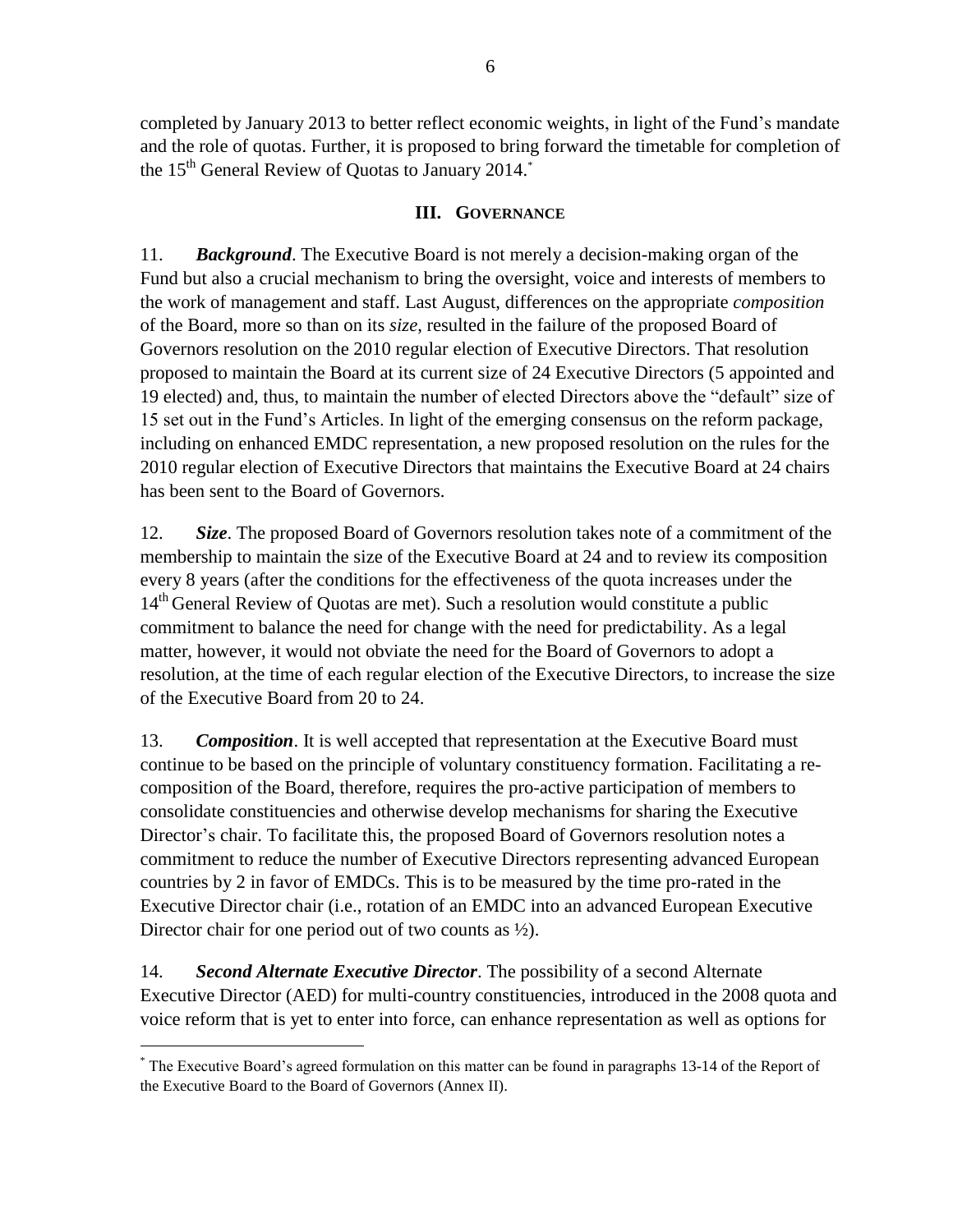completed by January 2013 to better reflect economic weights, in light of the Fund's mandate and the role of quotas. Further, it is proposed to bring forward the timetable for completion of the  $15<sup>th</sup>$  General Review of Quotas to January 2014.<sup>\*</sup>

### **III. GOVERNANCE**

11. *Background*. The Executive Board is not merely a decision-making organ of the Fund but also a crucial mechanism to bring the oversight, voice and interests of members to the work of management and staff. Last August, differences on the appropriate *composition*  of the Board, more so than on its *size*, resulted in the failure of the proposed Board of Governors resolution on the 2010 regular election of Executive Directors. That resolution proposed to maintain the Board at its current size of 24 Executive Directors (5 appointed and 19 elected) and, thus, to maintain the number of elected Directors above the "default" size of 15 set out in the Fund's Articles. In light of the emerging consensus on the reform package, including on enhanced EMDC representation, a new proposed resolution on the rules for the 2010 regular election of Executive Directors that maintains the Executive Board at 24 chairs has been sent to the Board of Governors.

12. *Size*. The proposed Board of Governors resolution takes note of a commitment of the membership to maintain the size of the Executive Board at 24 and to review its composition every 8 years (after the conditions for the effectiveness of the quota increases under the 14<sup>th</sup> General Review of Quotas are met). Such a resolution would constitute a public commitment to balance the need for change with the need for predictability. As a legal matter, however, it would not obviate the need for the Board of Governors to adopt a resolution, at the time of each regular election of the Executive Directors, to increase the size of the Executive Board from 20 to 24.

13. *Composition*. It is well accepted that representation at the Executive Board must continue to be based on the principle of voluntary constituency formation. Facilitating a recomposition of the Board, therefore, requires the pro-active participation of members to consolidate constituencies and otherwise develop mechanisms for sharing the Executive Director's chair. To facilitate this, the proposed Board of Governors resolution notes a commitment to reduce the number of Executive Directors representing advanced European countries by 2 in favor of EMDCs. This is to be measured by the time pro-rated in the Executive Director chair (i.e., rotation of an EMDC into an advanced European Executive Director chair for one period out of two counts as  $\frac{1}{2}$ .

14. *Second Alternate Executive Director*. The possibility of a second Alternate Executive Director (AED) for multi-country constituencies, introduced in the 2008 quota and voice reform that is yet to enter into force, can enhance representation as well as options for

<sup>\*</sup> The Executive Board's agreed formulation on this matter can be found in [paragraphs 13-14](#page-26-0) of the Report of the Executive Board to the Board of Governors [\(Annex II\).](#page-22-0)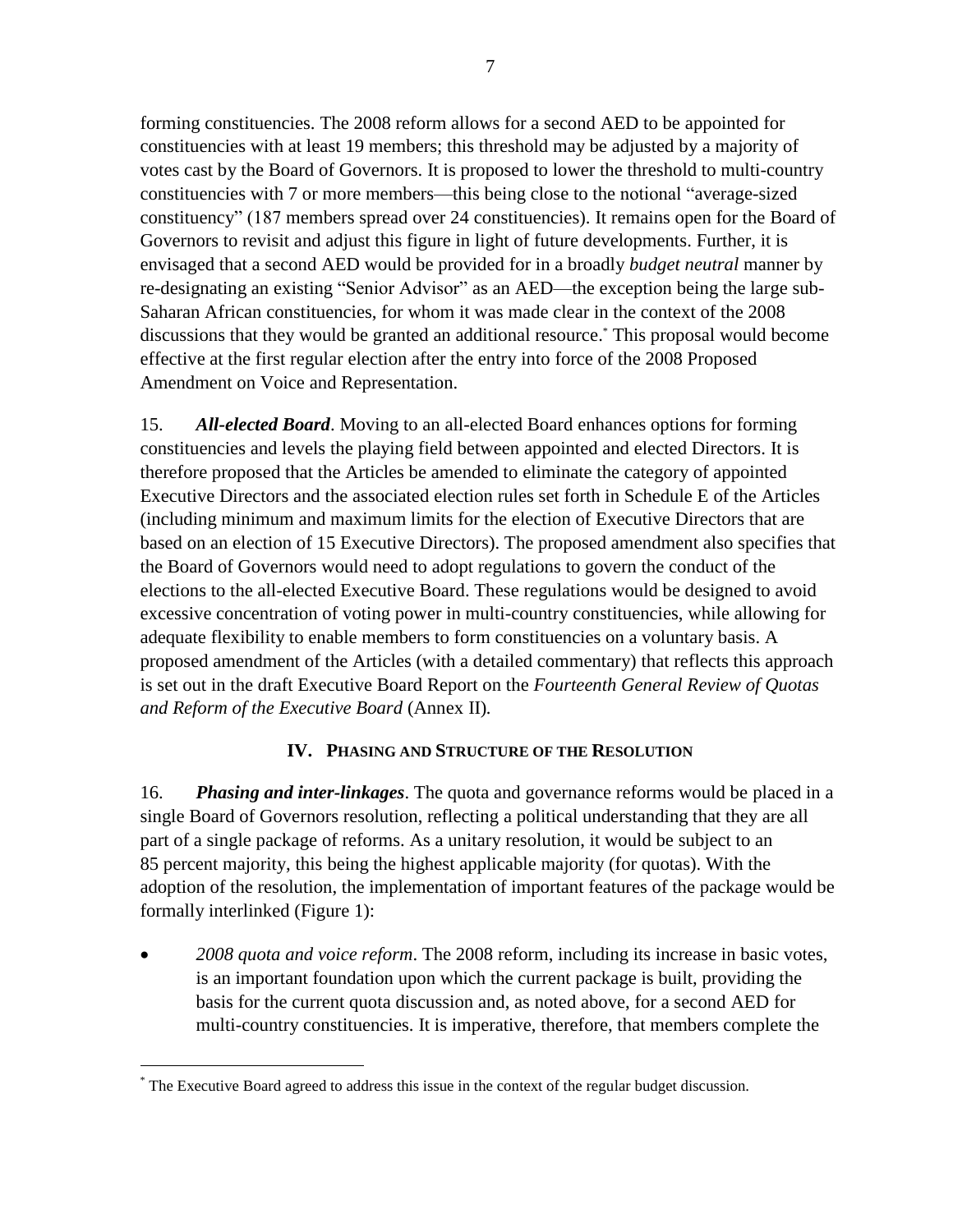forming constituencies. The 2008 reform allows for a second AED to be appointed for constituencies with at least 19 members; this threshold may be adjusted by a majority of votes cast by the Board of Governors. It is proposed to lower the threshold to multi-country constituencies with 7 or more members—this being close to the notional "average-sized constituency" (187 members spread over 24 constituencies). It remains open for the Board of Governors to revisit and adjust this figure in light of future developments. Further, it is envisaged that a second AED would be provided for in a broadly *budget neutral* manner by re-designating an existing "Senior Advisor" as an AED—the exception being the large sub-Saharan African constituencies, for whom it was made clear in the context of the 2008 discussions that they would be granted an additional resource. \* This proposal would become effective at the first regular election after the entry into force of the 2008 Proposed Amendment on Voice and Representation.

15. *All-elected Board*. Moving to an all-elected Board enhances options for forming constituencies and levels the playing field between appointed and elected Directors. It is therefore proposed that the Articles be amended to eliminate the category of appointed Executive Directors and the associated election rules set forth in Schedule E of the Articles (including minimum and maximum limits for the election of Executive Directors that are based on an election of 15 Executive Directors). The proposed amendment also specifies that the Board of Governors would need to adopt regulations to govern the conduct of the elections to the all-elected Executive Board. These regulations would be designed to avoid excessive concentration of voting power in multi-country constituencies, while allowing for adequate flexibility to enable members to form constituencies on a voluntary basis. A proposed amendment of the Articles (with a detailed commentary) that reflects this approach is set out in the draft Executive Board Report on the *Fourteenth General Review of Quotas and Reform of the Executive Board* (Annex II)*.*

### **IV. PHASING AND STRUCTURE OF THE RESOLUTION**

16. *Phasing and inter-linkages*. The quota and governance reforms would be placed in a single Board of Governors resolution, reflecting a political understanding that they are all part of a single package of reforms. As a unitary resolution, it would be subject to an 85 percent majority, this being the highest applicable majority (for quotas). With the adoption of the resolution, the implementation of important features of the package would be formally interlinked (Figure 1):

 *2008 quota and voice reform*. The 2008 reform, including its increase in basic votes, is an important foundation upon which the current package is built, providing the basis for the current quota discussion and, as noted above, for a second AED for multi-country constituencies. It is imperative, therefore, that members complete the

The Executive Board agreed to address this issue in the context of the regular budget discussion.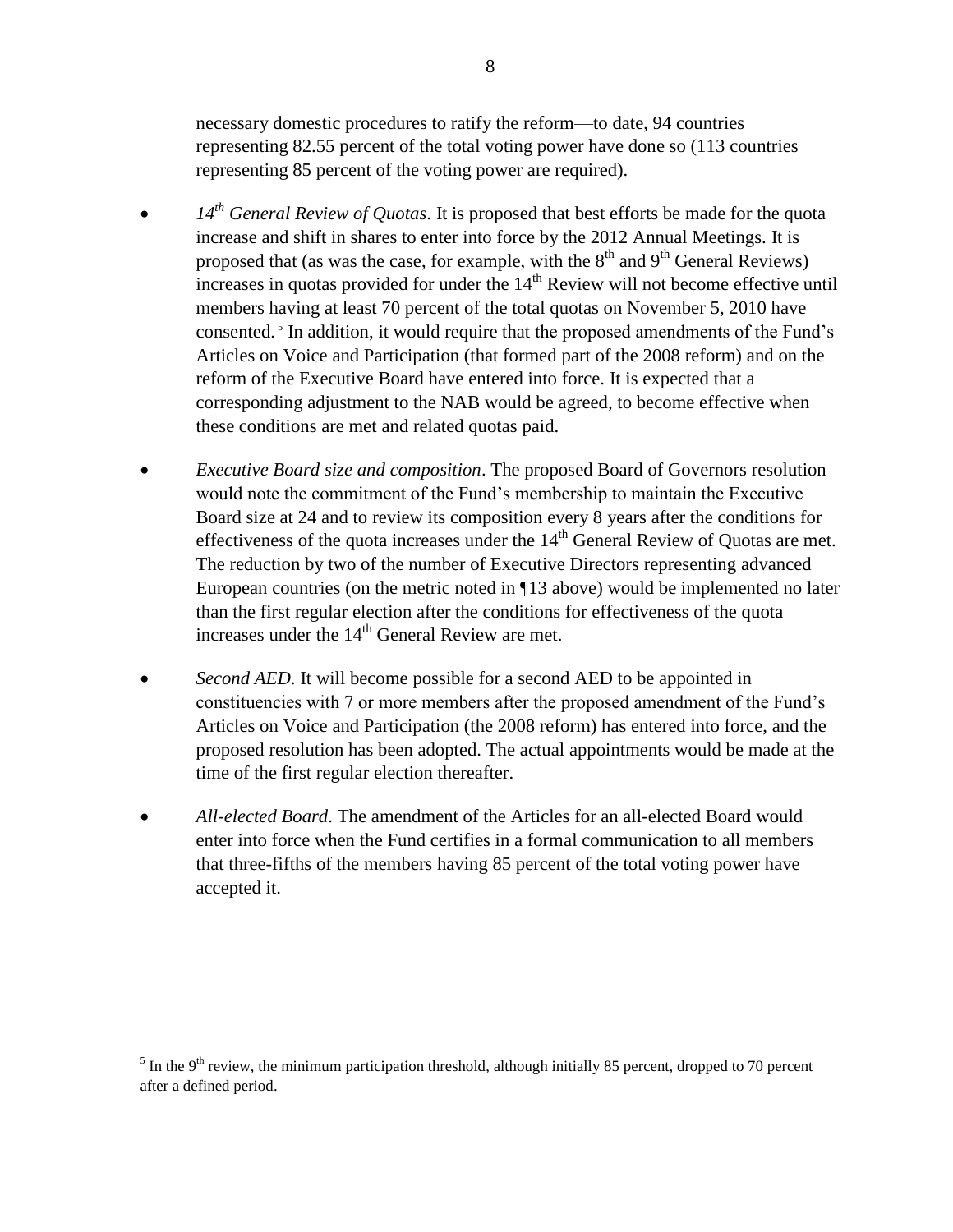necessary domestic procedures to ratify the reform—to date, 94 countries representing 82.55 percent of the total voting power have done so (113 countries representing 85 percent of the voting power are required).

- *14<sup>th</sup> General Review of Quotas*. It is proposed that best efforts be made for the quota increase and shift in shares to enter into force by the 2012 Annual Meetings. It is proposed that (as was the case, for example, with the  $8<sup>th</sup>$  and  $9<sup>th</sup>$  General Reviews) increases in quotas provided for under the  $14<sup>th</sup>$  Review will not become effective until members having at least 70 percent of the total quotas on November 5, 2010 have consented. 5 In addition, it would require that the proposed amendments of the Fund's Articles on Voice and Participation (that formed part of the 2008 reform) and on the reform of the Executive Board have entered into force. It is expected that a corresponding adjustment to the NAB would be agreed, to become effective when these conditions are met and related quotas paid.
- *Executive Board size and composition*. The proposed Board of Governors resolution would note the commitment of the Fund's membership to maintain the Executive Board size at 24 and to review its composition every 8 years after the conditions for effectiveness of the quota increases under the  $14<sup>th</sup>$  General Review of Quotas are met. The reduction by two of the number of Executive Directors representing advanced European countries (on the metric noted in ¶13 above) would be implemented no later than the first regular election after the conditions for effectiveness of the quota increases under the  $14<sup>th</sup>$  General Review are met.
- *Second AED*. It will become possible for a second AED to be appointed in constituencies with 7 or more members after the proposed amendment of the Fund's Articles on Voice and Participation (the 2008 reform) has entered into force, and the proposed resolution has been adopted. The actual appointments would be made at the time of the first regular election thereafter.
- *All-elected Board*. The amendment of the Articles for an all-elected Board would enter into force when the Fund certifies in a formal communication to all members that three-fifths of the members having 85 percent of the total voting power have accepted it.

<sup>&</sup>lt;sup>5</sup> In the 9<sup>th</sup> review, the minimum participation threshold, although initially 85 percent, dropped to 70 percent after a defined period.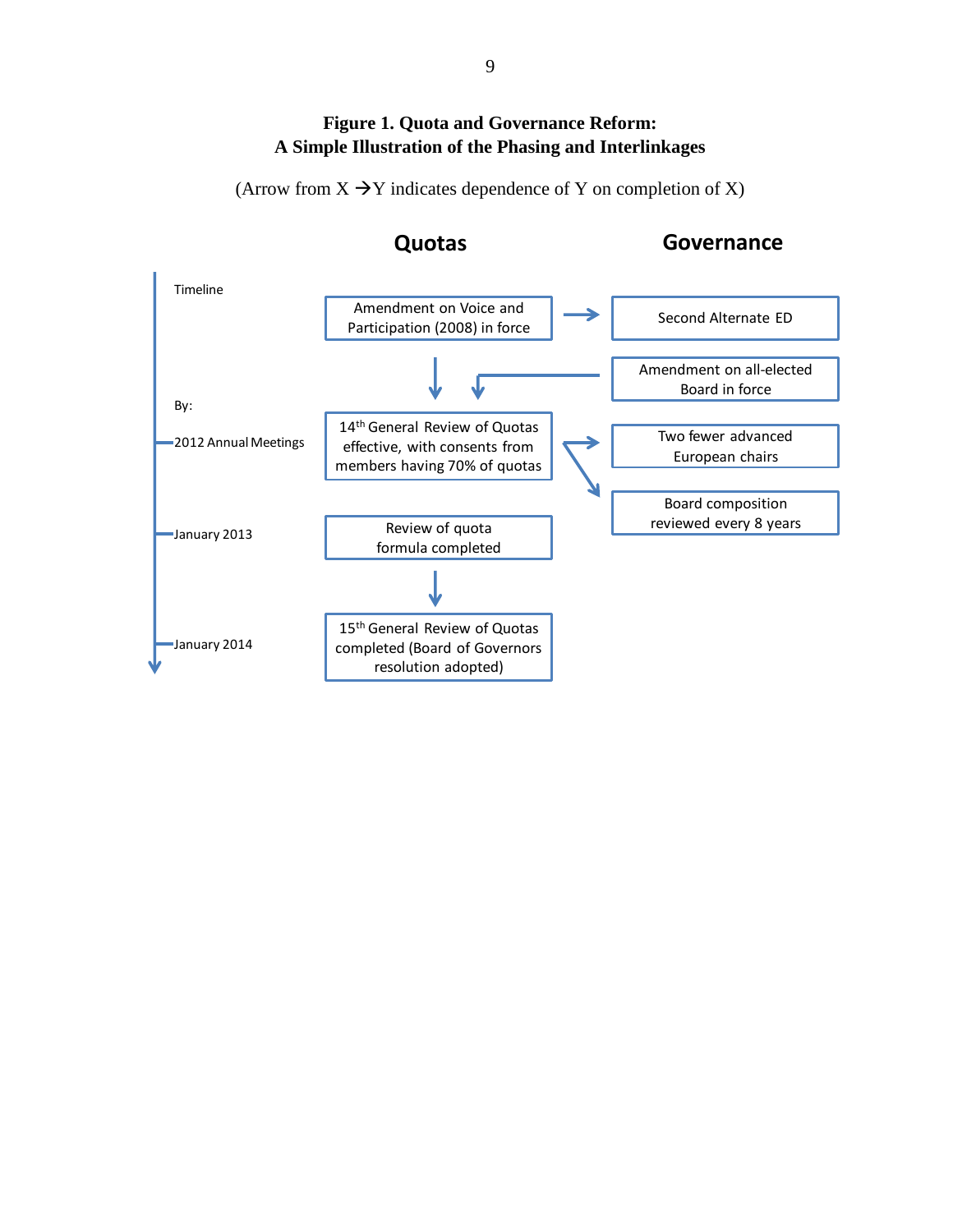### **Figure 1. Quota and Governance Reform: A Simple Illustration of the Phasing and Interlinkages**

(Arrow from  $X \rightarrow Y$  indicates dependence of Y on completion of X)

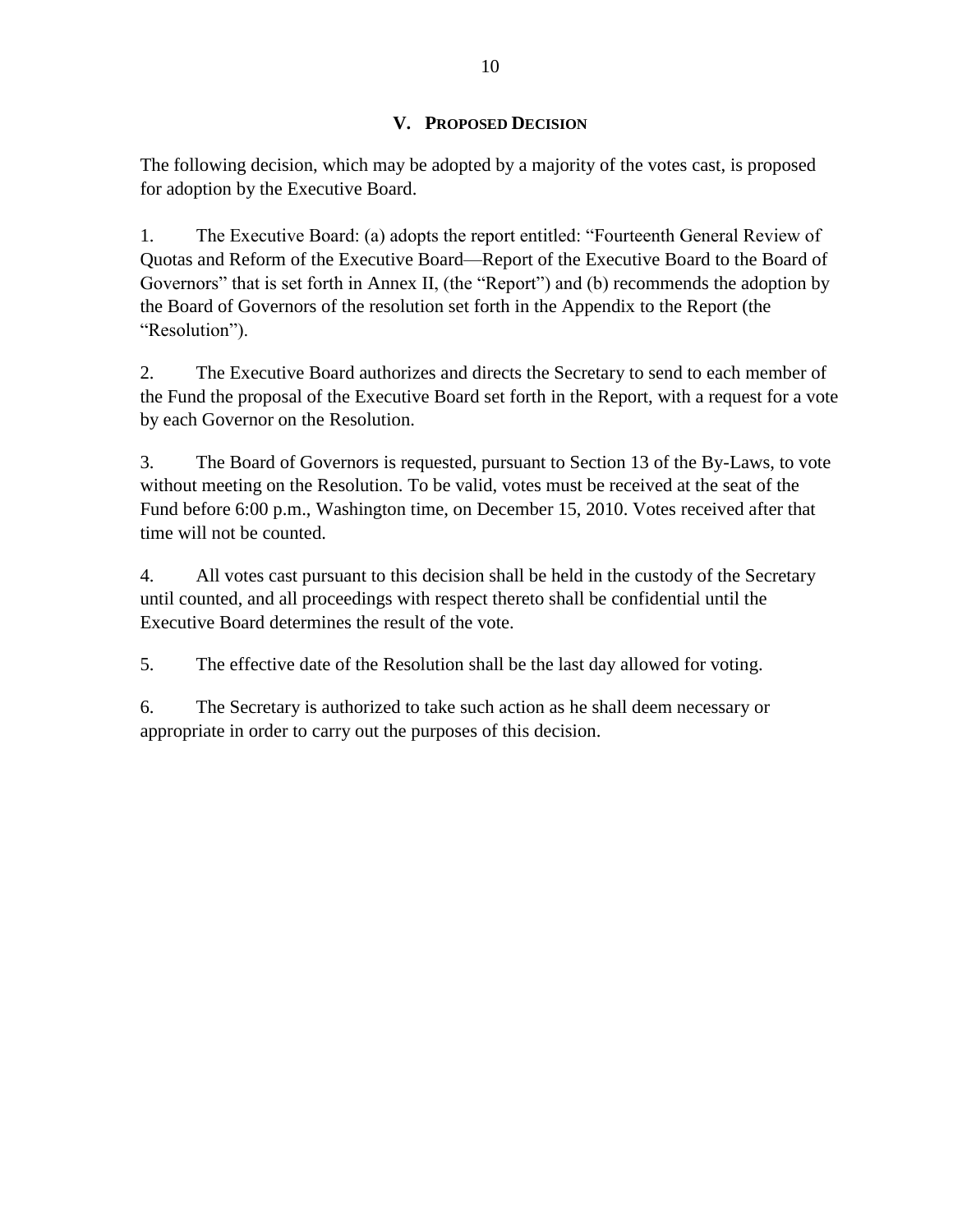### **V. PROPOSED DECISION**

The following decision, which may be adopted by a majority of the votes cast, is proposed for adoption by the Executive Board.

1. The Executive Board: (a) adopts the report entitled: "Fourteenth General Review of [Quotas and Reform of the Executive Board—Report of the Executive Board to the Board of](#page-22-0)  Governors" that is set forth in Annex II, (the "Report") and (b) recommends the adoption by [the Board of Governors of the resolution set forth in the Appendix to the Report \(the](#page-33-0)  "Resolution").

2. The Executive Board authorizes and directs the Secretary to send to each member of the Fund the proposal of the Executive Board set forth in the Report, with a request for a vote by each Governor on the Resolution.

3. The Board of Governors is requested, pursuant to Section 13 of the By-Laws, to vote without meeting on the Resolution. To be valid, votes must be received at the seat of the Fund before 6:00 p.m., Washington time, on December 15, 2010. Votes received after that time will not be counted.

4. All votes cast pursuant to this decision shall be held in the custody of the Secretary until counted, and all proceedings with respect thereto shall be confidential until the Executive Board determines the result of the vote.

5. The effective date of the Resolution shall be the last day allowed for voting.

6. The Secretary is authorized to take such action as he shall deem necessary or appropriate in order to carry out the purposes of this decision.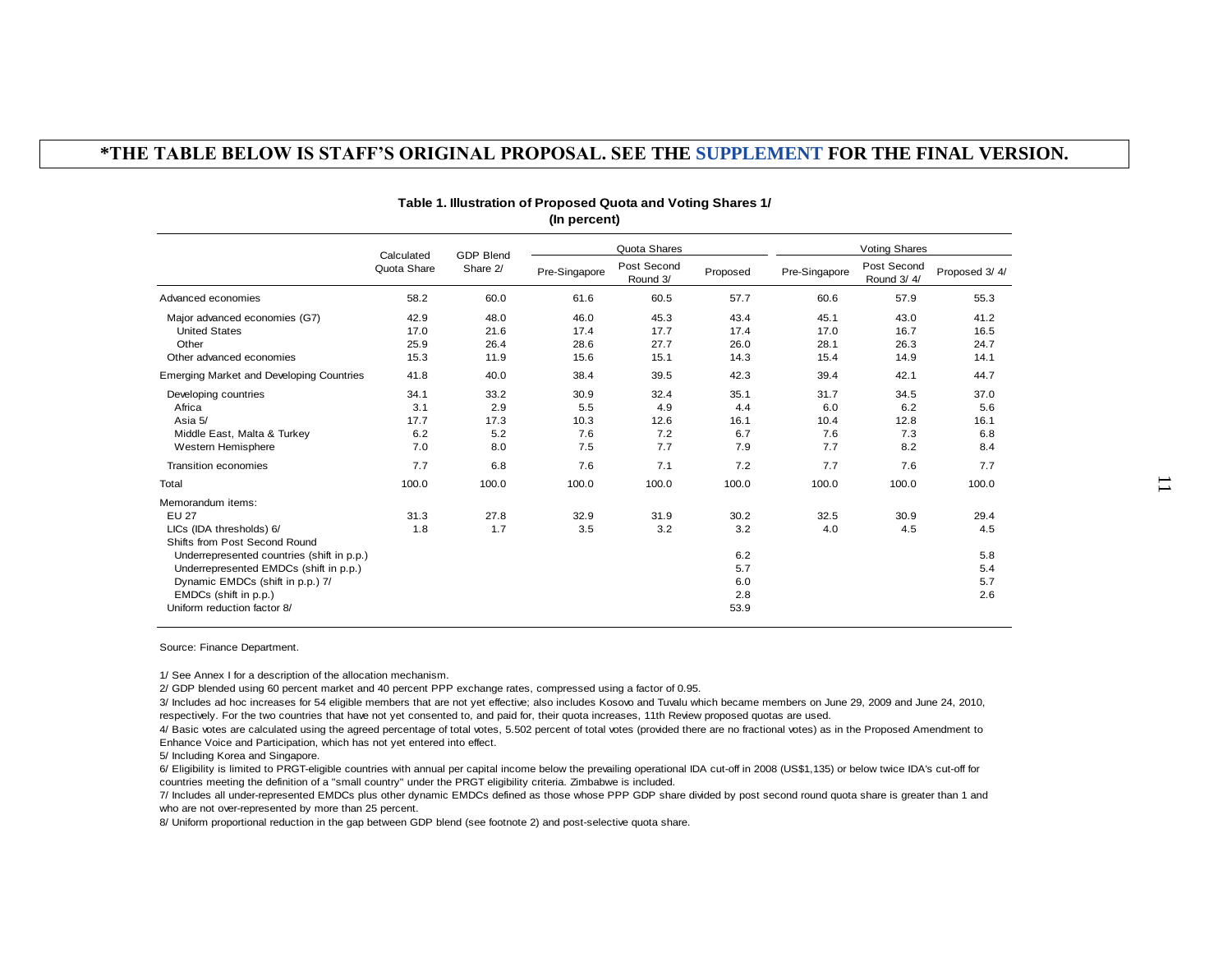|                                                 | Calculated  | <b>GDP Blend</b> |               | Quota Shares            |          |               | <b>Voting Shares</b>      |               |
|-------------------------------------------------|-------------|------------------|---------------|-------------------------|----------|---------------|---------------------------|---------------|
|                                                 | Quota Share | Share 2/         | Pre-Singapore | Post Second<br>Round 3/ | Proposed | Pre-Singapore | Post Second<br>Round 3/4/ | Proposed 3/4/ |
| Advanced economies                              | 58.2        | 60.0             | 61.6          | 60.5                    | 57.7     | 60.6          | 57.9                      | 55.3          |
| Major advanced economies (G7)                   | 42.9        | 48.0             | 46.0          | 45.3                    | 43.4     | 45.1          | 43.0                      | 41.2          |
| <b>United States</b>                            | 17.0        | 21.6             | 17.4          | 17.7                    | 17.4     | 17.0          | 16.7                      | 16.5          |
| Other                                           | 25.9        | 26.4             | 28.6          | 27.7                    | 26.0     | 28.1          | 26.3                      | 24.7          |
| Other advanced economies                        | 15.3        | 11.9             | 15.6          | 15.1                    | 14.3     | 15.4          | 14.9                      | 14.1          |
| <b>Emerging Market and Developing Countries</b> | 41.8        | 40.0             | 38.4          | 39.5                    | 42.3     | 39.4          | 42.1                      | 44.7          |
| Developing countries                            | 34.1        | 33.2             | 30.9          | 32.4                    | 35.1     | 31.7          | 34.5                      | 37.0          |
| Africa                                          | 3.1         | 2.9              | 5.5           | 4.9                     | 4.4      | 6.0           | 6.2                       | 5.6           |
| Asia 5/                                         | 17.7        | 17.3             | 10.3          | 12.6                    | 16.1     | 10.4          | 12.8                      | 16.1          |
| Middle East, Malta & Turkey                     | 6.2         | 5.2              | 7.6           | 7.2                     | 6.7      | 7.6           | 7.3                       | 6.8           |
| Western Hemisphere                              | 7.0         | 8.0              | 7.5           | 7.7                     | 7.9      | 7.7           | 8.2                       | 8.4           |
| <b>Transition economies</b>                     | 7.7         | 6.8              | 7.6           | 7.1                     | 7.2      | 7.7           | 7.6                       | 7.7           |
| Total                                           | 100.0       | 100.0            | 100.0         | 100.0                   | 100.0    | 100.0         | 100.0                     | 100.0         |
| Memorandum items:                               |             |                  |               |                         |          |               |                           |               |
| EU 27                                           | 31.3        | 27.8             | 32.9          | 31.9                    | 30.2     | 32.5          | 30.9                      | 29.4          |
| LICs (IDA thresholds) 6/                        | 1.8         | 1.7              | 3.5           | 3.2                     | 3.2      | 4.0           | 4.5                       | 4.5           |
| Shifts from Post Second Round                   |             |                  |               |                         |          |               |                           |               |
| Underrepresented countries (shift in p.p.)      |             |                  |               |                         | 6.2      |               |                           | 5.8           |
| Underrepresented EMDCs (shift in p.p.)          |             |                  |               |                         | 5.7      |               |                           | 5.4           |
| Dynamic EMDCs (shift in p.p.) 7/                |             |                  |               |                         | 6.0      |               |                           | 5.7           |
| EMDCs (shift in p.p.)                           |             |                  |               |                         | 2.8      |               |                           | 2.6           |
| Uniform reduction factor 8/                     |             |                  |               |                         | 53.9     |               |                           |               |

#### **Table 1. Illustration of Proposed Quota and Voting Shares 1/ (In percent)**

Source: Finance Department.

1/ See Annex I for a description of the allocation mechanism.

2/ GDP blended using 60 percent market and 40 percent PPP exchange rates, compressed using a factor of 0.95.

3/ Includes ad hoc increases for 54 eligible members that are not yet effective; also includes Kosovo and Tuvalu which became members on June 29, 2009 and June 24, 2010, respectively. For the two countries that have not yet consented to, and paid for, their quota increases, 11th Review proposed quotas are used.

4/ Basic votes are calculated using the agreed percentage of total votes, 5.502 percent of total votes (provided there are no fractional votes) as in the Proposed Amendment to Enhance Voice and Participation, which has not yet entered into effect.

5/ Including Korea and Singapore.

6/ Eligibility is limited to PRGT-eligible countries with annual per capital income below the prevailing operational IDA cut-off in 2008 (US\$1,135) or below twice IDA's cut-off for countries meeting the definition of a "small country" under the PRGT eligibility criteria. Zimbabwe is included.

7/ Includes all under-represented EMDCs plus other dynamic EMDCs defined as those whose PPP GDP share divided by post second round quota share is greater than 1 and who are not over-represented by more than 25 percent.

8/ Uniform proportional reduction in the gap between GDP blend (see footnote 2) and post-selective quota share.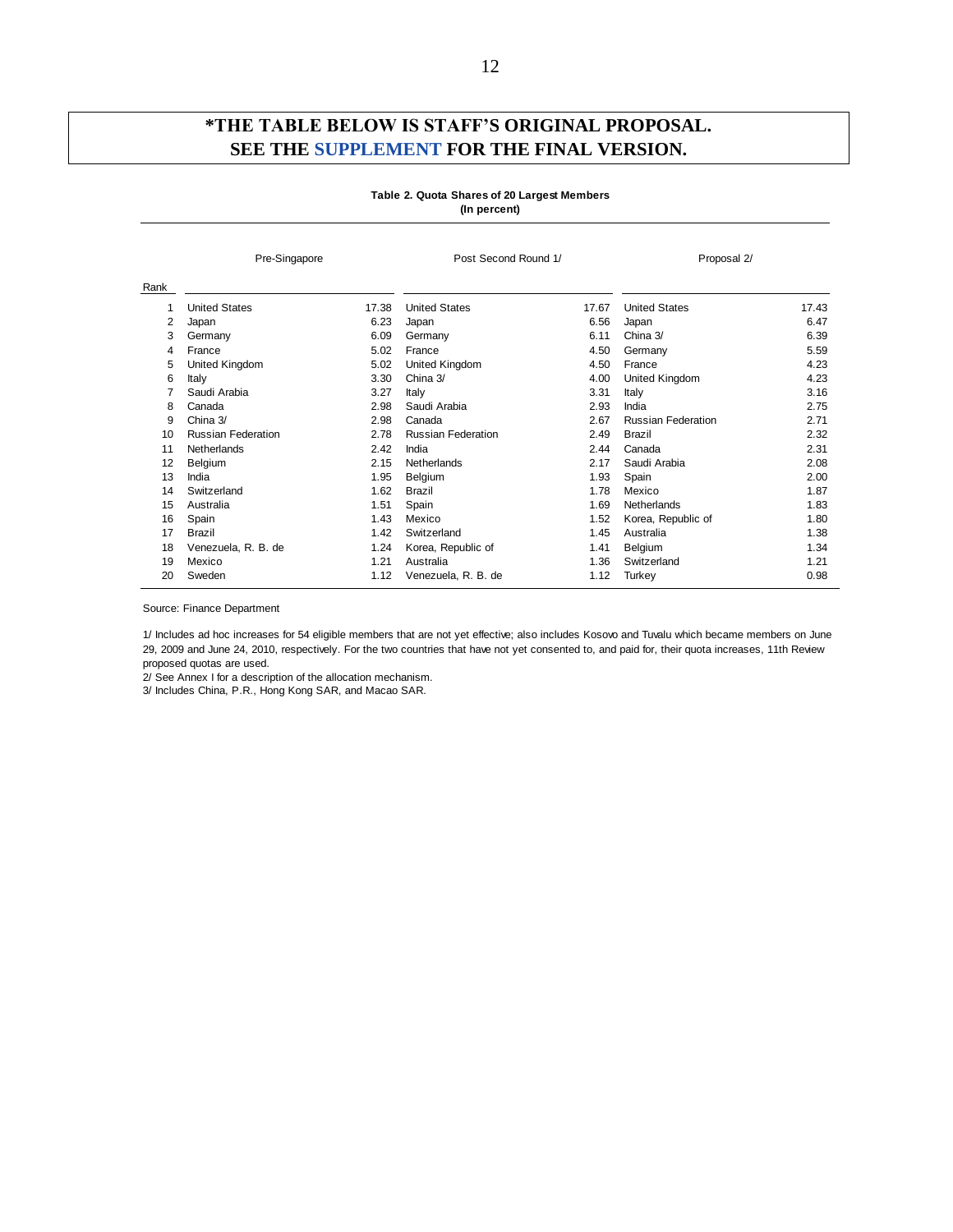#### **Table 2. Quota Shares of 20 Largest Members (In percent)**

|      | Pre-Singapore             |       | Post Second Round 1/      |       | Proposal 2/               |       |
|------|---------------------------|-------|---------------------------|-------|---------------------------|-------|
| Rank |                           |       |                           |       |                           |       |
|      | <b>United States</b>      | 17.38 | <b>United States</b>      | 17.67 | <b>United States</b>      | 17.43 |
| 2    | Japan                     | 6.23  | Japan                     | 6.56  | Japan                     | 6.47  |
| 3    | Germany                   | 6.09  | Germany                   | 6.11  | China 3/                  | 6.39  |
| 4    | France                    | 5.02  | France                    | 4.50  | Germany                   | 5.59  |
| 5    | United Kingdom            | 5.02  | United Kingdom            | 4.50  | France                    | 4.23  |
| 6    | Italy                     | 3.30  | China 3/                  | 4.00  | United Kingdom            | 4.23  |
|      | Saudi Arabia              | 3.27  | Italy                     | 3.31  | Italy                     | 3.16  |
| 8    | Canada                    | 2.98  | Saudi Arabia              | 2.93  | India                     | 2.75  |
| 9    | China 3/                  | 2.98  | Canada                    | 2.67  | <b>Russian Federation</b> | 2.71  |
| 10   | <b>Russian Federation</b> | 2.78  | <b>Russian Federation</b> | 2.49  | <b>Brazil</b>             | 2.32  |
| 11   | Netherlands               | 2.42  | India                     | 2.44  | Canada                    | 2.31  |
| 12   | Belgium                   | 2.15  | Netherlands               | 2.17  | Saudi Arabia              | 2.08  |
| 13   | India                     | 1.95  | Belgium                   | 1.93  | Spain                     | 2.00  |
| 14   | Switzerland               | 1.62  | <b>Brazil</b>             | 1.78  | Mexico                    | 1.87  |
| 15   | Australia                 | 1.51  | Spain                     | 1.69  | Netherlands               | 1.83  |
| 16   | Spain                     | 1.43  | Mexico                    | 1.52  | Korea, Republic of        | 1.80  |
| 17   | Brazil                    | 1.42  | Switzerland               | 1.45  | Australia                 | 1.38  |
| 18   | Venezuela, R. B. de       | 1.24  | Korea, Republic of        | 1.41  | Belgium                   | 1.34  |
| 19   | Mexico                    | 1.21  | Australia                 | 1.36  | Switzerland               | 1.21  |
| 20   | Sweden                    | 1.12  | Venezuela, R. B. de       | 1.12  | Turkey                    | 0.98  |

Source: Finance Department

1/ Includes ad hoc increases for 54 eligible members that are not yet effective; also includes Kosovo and Tuvalu which became members on June 29, 2009 and June 24, 2010, respectively. For the two countries that have not yet consented to, and paid for, their quota increases, 11th Review proposed quotas are used.

2/ See Annex I for a description of the allocation mechanism.

3/ Includes China, P.R., Hong Kong SAR, and Macao SAR.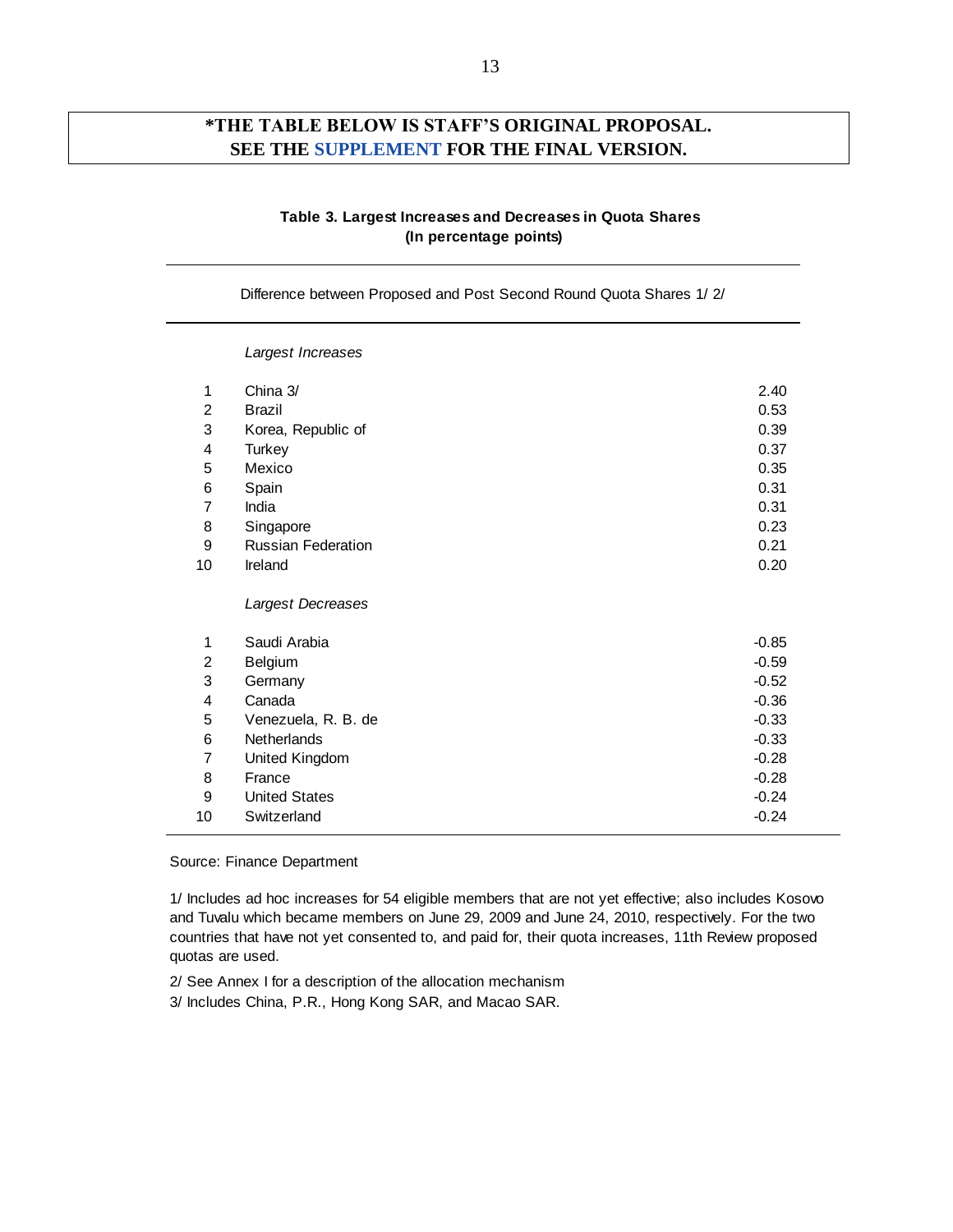#### **Table 3. Largest Increases and Decreases in Quota Shares (In percentage points)**

|    | Difference between Proposed and Post Second Round Quota Shares 1/2/ |         |
|----|---------------------------------------------------------------------|---------|
|    | Largest Increases                                                   |         |
| 1  | China 3/                                                            | 2.40    |
| 2  | <b>Brazil</b>                                                       | 0.53    |
| 3  | Korea, Republic of                                                  | 0.39    |
| 4  | <b>Turkey</b>                                                       | 0.37    |
| 5  | Mexico                                                              | 0.35    |
| 6  | Spain                                                               | 0.31    |
| 7  | India                                                               | 0.31    |
| 8  | Singapore                                                           | 0.23    |
| 9  | <b>Russian Federation</b>                                           | 0.21    |
| 10 | Ireland                                                             | 0.20    |
|    | Largest Decreases                                                   |         |
| 1  | Saudi Arabia                                                        | $-0.85$ |
| 2  | Belgium                                                             | $-0.59$ |
| 3  | Germany                                                             | $-0.52$ |
| 4  | Canada                                                              | $-0.36$ |
| 5  | Venezuela, R. B. de                                                 | $-0.33$ |
| 6  | Netherlands                                                         | $-0.33$ |
| 7  | United Kingdom                                                      | $-0.28$ |
| 8  | France                                                              | $-0.28$ |
| 9  | <b>United States</b>                                                | $-0.24$ |
| 10 | Switzerland                                                         | $-0.24$ |

Source: Finance Department

1/ Includes ad hoc increases for 54 eligible members that are not yet effective; also includes Kosovo and Tuvalu which became members on June 29, 2009 and June 24, 2010, respectively. For the two countries that have not yet consented to, and paid for, their quota increases, 11th Review proposed quotas are used.

2/ See Annex I for a description of the allocation mechanism

3/ Includes China, P.R., Hong Kong SAR, and Macao SAR.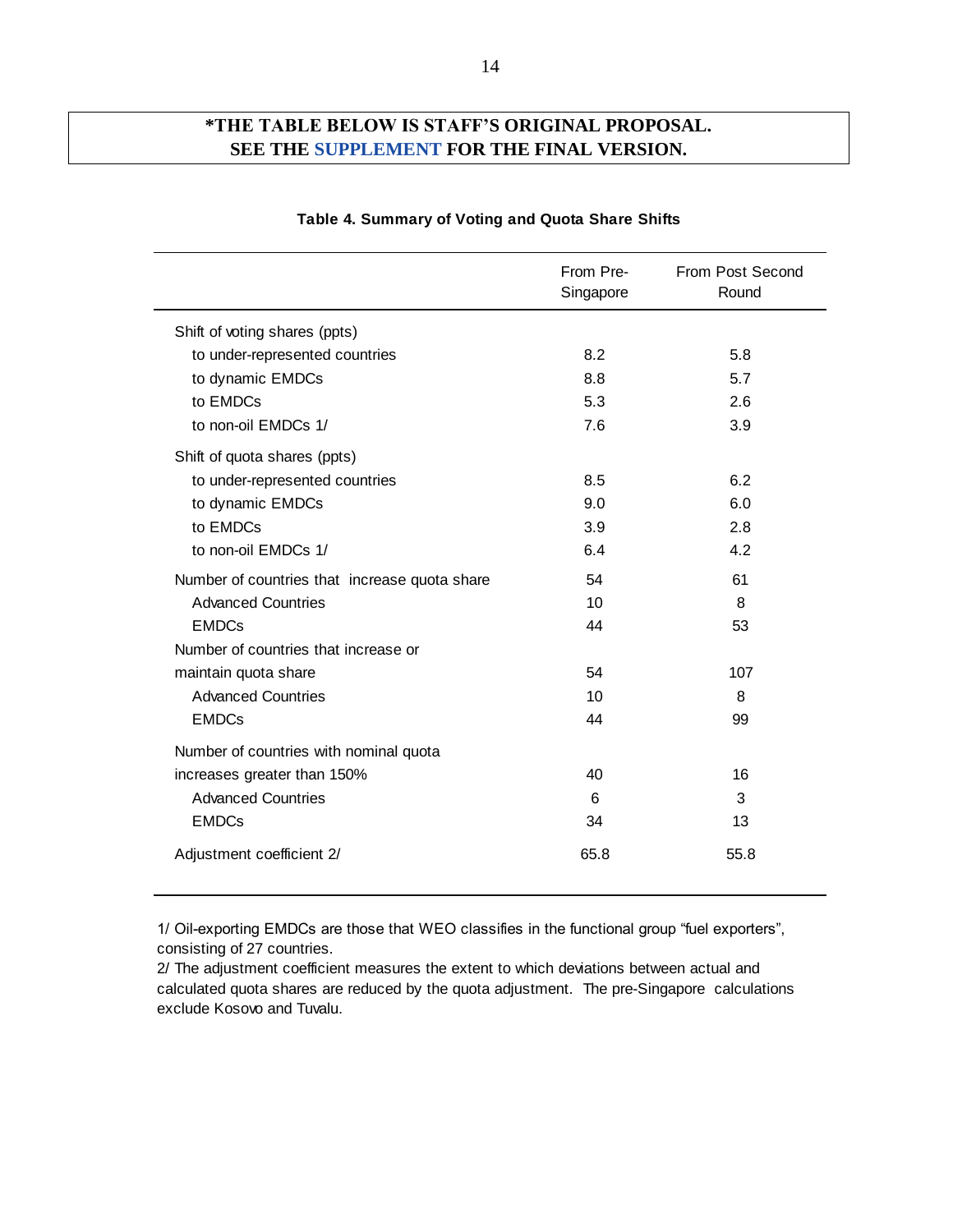|                                               | From Pre-<br>Singapore | From Post Second<br>Round |
|-----------------------------------------------|------------------------|---------------------------|
| Shift of voting shares (ppts)                 |                        |                           |
| to under-represented countries                | 8.2                    | 5.8                       |
| to dynamic EMDCs                              | 8.8                    | 5.7                       |
| to EMDCs                                      | 5.3                    | 2.6                       |
| to non-oil EMDCs 1/                           | 7.6                    | 3.9                       |
| Shift of quota shares (ppts)                  |                        |                           |
| to under-represented countries                | 8.5                    | 6.2                       |
| to dynamic EMDCs                              | 9.0                    | 6.0                       |
| to EMDCs                                      | 3.9                    | 2.8                       |
| to non-oil EMDCs 1/                           | 6.4                    | 4.2                       |
| Number of countries that increase quota share | 54                     | 61                        |
| <b>Advanced Countries</b>                     | 10                     | 8                         |
| <b>EMDCs</b>                                  | 44                     | 53                        |
| Number of countries that increase or          |                        |                           |
| maintain quota share                          | 54                     | 107                       |
| <b>Advanced Countries</b>                     | 10                     | 8                         |
| <b>EMDCs</b>                                  | 44                     | 99                        |
| Number of countries with nominal quota        |                        |                           |
| increases greater than 150%                   | 40                     | 16                        |
| <b>Advanced Countries</b>                     | 6                      | 3                         |
| <b>EMDCs</b>                                  | 34                     | 13                        |
| Adjustment coefficient 2/                     | 65.8                   | 55.8                      |

#### **Table 4. Summary of Voting and Quota Share Shifts**

1/ Oil-exporting EMDCs are those that WEO classifies in the functional group "fuel exporters", consisting of 27 countries.

2/ The adjustment coefficient measures the extent to which deviations between actual and calculated quota shares are reduced by the quota adjustment. The pre-Singapore calculations exclude Kosovo and Tuvalu.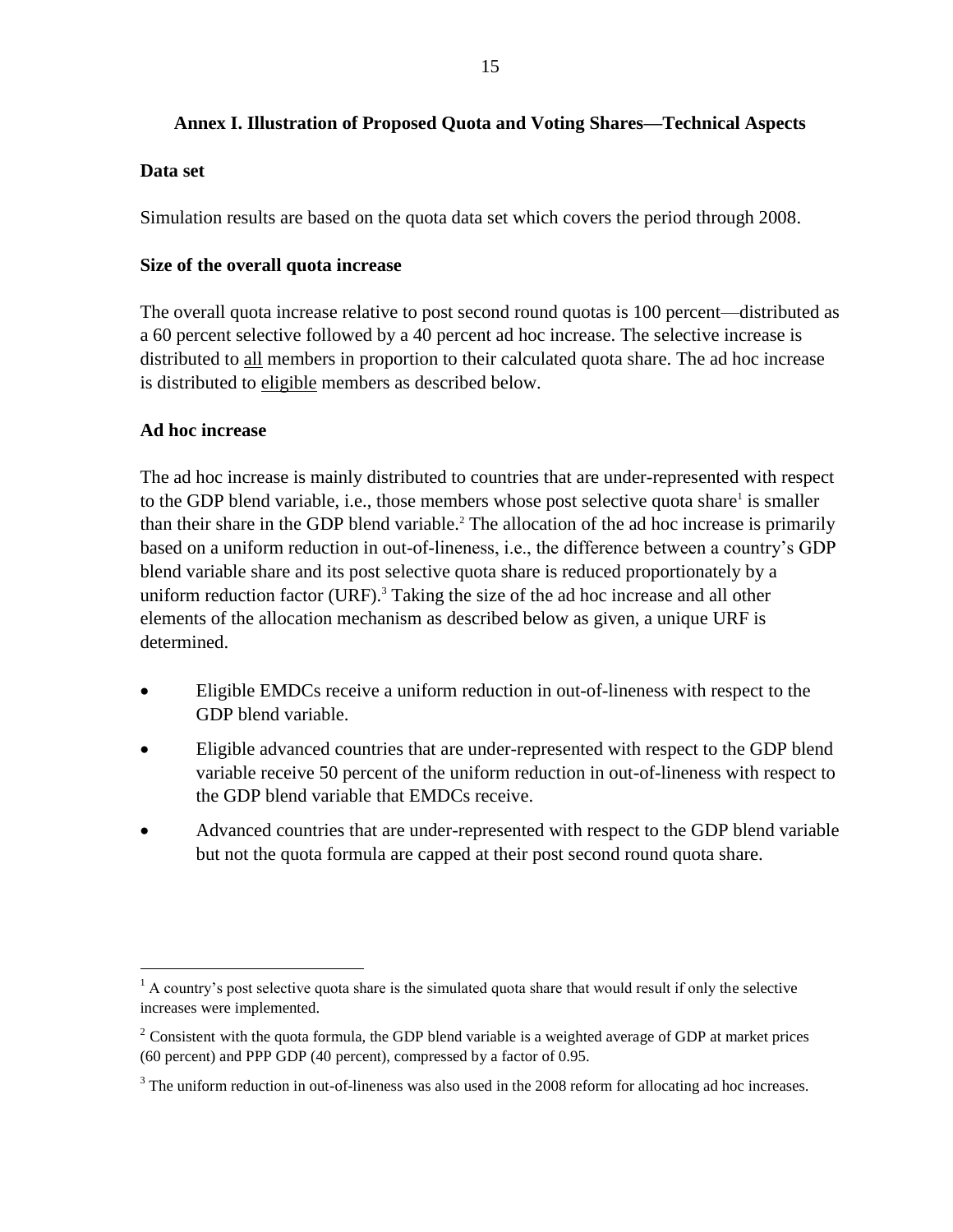## **Annex I. Illustration of Proposed Quota and Voting Shares—Technical Aspects**

### **Data set**

Simulation results are based on the quota data set which covers the period through 2008.

### **Size of the overall quota increase**

The overall quota increase relative to post second round quotas is 100 percent—distributed as a 60 percent selective followed by a 40 percent ad hoc increase. The selective increase is distributed to all members in proportion to their calculated quota share. The ad hoc increase is distributed to eligible members as described below.

### **Ad hoc increase**

 $\overline{a}$ 

The ad hoc increase is mainly distributed to countries that are under-represented with respect to the GDP blend variable, i.e., those members whose post selective quota share<sup>1</sup> is smaller than their share in the GDP blend variable.<sup>2</sup> The allocation of the ad hoc increase is primarily based on a uniform reduction in out-of-lineness, i.e., the difference between a country's GDP blend variable share and its post selective quota share is reduced proportionately by a uniform reduction factor (URF).<sup>3</sup> Taking the size of the ad hoc increase and all other elements of the allocation mechanism as described below as given, a unique URF is determined.

- Eligible EMDCs receive a uniform reduction in out-of-lineness with respect to the GDP blend variable.
- Eligible advanced countries that are under-represented with respect to the GDP blend variable receive 50 percent of the uniform reduction in out-of-lineness with respect to the GDP blend variable that EMDCs receive.
- Advanced countries that are under-represented with respect to the GDP blend variable but not the quota formula are capped at their post second round quota share.

 $<sup>1</sup>$  A country's post selective quota share is the simulated quota share that would result if only the selective</sup> increases were implemented.

<sup>&</sup>lt;sup>2</sup> Consistent with the quota formula, the GDP blend variable is a weighted average of GDP at market prices (60 percent) and PPP GDP (40 percent), compressed by a factor of 0.95.

<sup>&</sup>lt;sup>3</sup> The uniform reduction in out-of-lineness was also used in the 2008 reform for allocating ad hoc increases.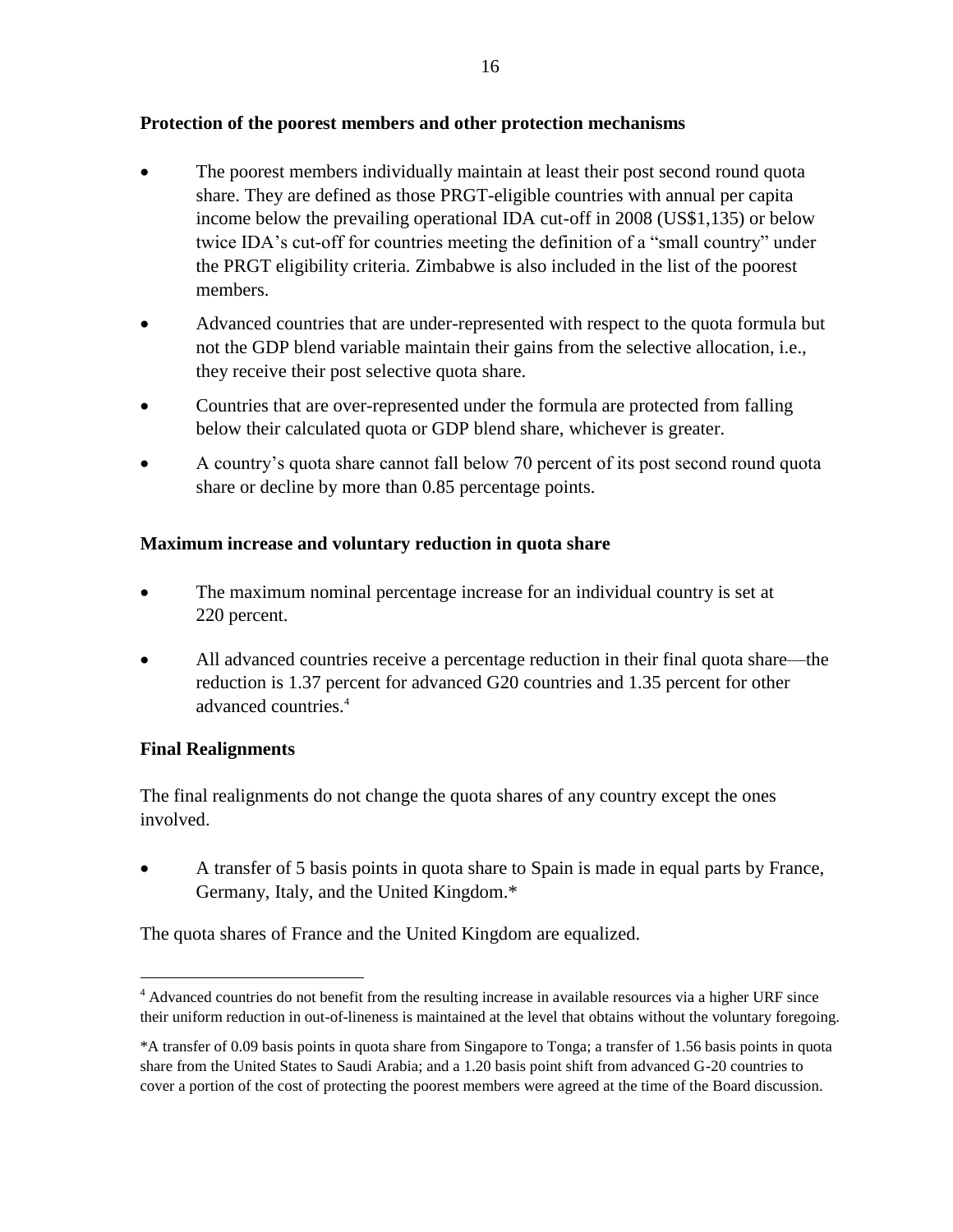### **Protection of the poorest members and other protection mechanisms**

- The poorest members individually maintain at least their post second round quota share. They are defined as those PRGT-eligible countries with annual per capita income below the prevailing operational IDA cut-off in 2008 (US\$1,135) or below twice IDA's cut-off for countries meeting the definition of a "small country" under the PRGT eligibility criteria. Zimbabwe is also included in the list of the poorest members.
- Advanced countries that are under-represented with respect to the quota formula but not the GDP blend variable maintain their gains from the selective allocation, i.e., they receive their post selective quota share.
- Countries that are over-represented under the formula are protected from falling below their calculated quota or GDP blend share, whichever is greater.
- A country's quota share cannot fall below 70 percent of its post second round quota share or decline by more than 0.85 percentage points.

### **Maximum increase and voluntary reduction in quota share**

- The maximum nominal percentage increase for an individual country is set at 220 percent.
- All advanced countries receive a percentage reduction in their final quota share—the reduction is 1.37 percent for advanced G20 countries and 1.35 percent for other advanced countries.<sup>4</sup>

### **Final Realignments**

 $\overline{a}$ 

The final realignments do not change the quota shares of any country except the ones involved.

 A transfer of 5 basis points in quota share to Spain is made in equal parts by France, Germany, Italy, and the United Kingdom.\*

The quota shares of France and the United Kingdom are equalized.

<sup>&</sup>lt;sup>4</sup> Advanced countries do not benefit from the resulting increase in available resources via a higher URF since their uniform reduction in out-of-lineness is maintained at the level that obtains without the voluntary foregoing.

<sup>\*</sup>A transfer of 0.09 basis points in quota share from Singapore to Tonga; a transfer of 1.56 basis points in quota share from the United States to Saudi Arabia; and a 1.20 basis point shift from advanced G-20 countries to cover a portion of the cost of protecting the poorest members were agreed at the time of the Board discussion.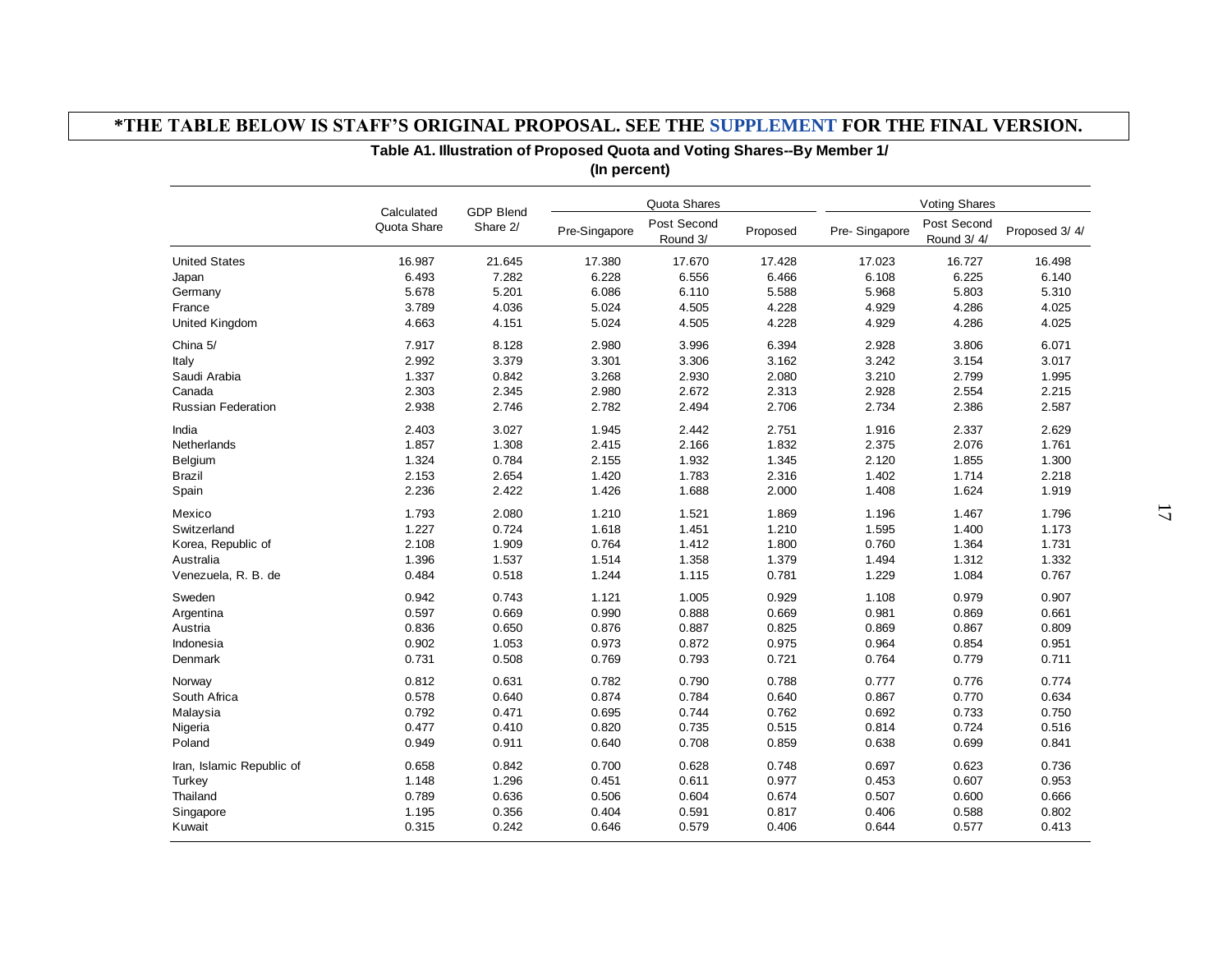|                           | <b>GDP Blend</b><br>Calculated |          |               | Quota Shares            |          | <b>Voting Shares</b> |                           |               |
|---------------------------|--------------------------------|----------|---------------|-------------------------|----------|----------------------|---------------------------|---------------|
|                           | Quota Share                    | Share 2/ | Pre-Singapore | Post Second<br>Round 3/ | Proposed | Pre-Singapore        | Post Second<br>Round 3/4/ | Proposed 3/4/ |
| <b>United States</b>      | 16.987                         | 21.645   | 17.380        | 17.670                  | 17.428   | 17.023               | 16.727                    | 16.498        |
| Japan                     | 6.493                          | 7.282    | 6.228         | 6.556                   | 6.466    | 6.108                | 6.225                     | 6.140         |
| Germany                   | 5.678                          | 5.201    | 6.086         | 6.110                   | 5.588    | 5.968                | 5.803                     | 5.310         |
| France                    | 3.789                          | 4.036    | 5.024         | 4.505                   | 4.228    | 4.929                | 4.286                     | 4.025         |
| <b>United Kingdom</b>     | 4.663                          | 4.151    | 5.024         | 4.505                   | 4.228    | 4.929                | 4.286                     | 4.025         |
| China 5/                  | 7.917                          | 8.128    | 2.980         | 3.996                   | 6.394    | 2.928                | 3.806                     | 6.071         |
| Italy                     | 2.992                          | 3.379    | 3.301         | 3.306                   | 3.162    | 3.242                | 3.154                     | 3.017         |
| Saudi Arabia              | 1.337                          | 0.842    | 3.268         | 2.930                   | 2.080    | 3.210                | 2.799                     | 1.995         |
| Canada                    | 2.303                          | 2.345    | 2.980         | 2.672                   | 2.313    | 2.928                | 2.554                     | 2.215         |
| <b>Russian Federation</b> | 2.938                          | 2.746    | 2.782         | 2.494                   | 2.706    | 2.734                | 2.386                     | 2.587         |
| India                     | 2.403                          | 3.027    | 1.945         | 2.442                   | 2.751    | 1.916                | 2.337                     | 2.629         |
| Netherlands               | 1.857                          | 1.308    | 2.415         | 2.166                   | 1.832    | 2.375                | 2.076                     | 1.761         |
| Belgium                   | 1.324                          | 0.784    | 2.155         | 1.932                   | 1.345    | 2.120                | 1.855                     | 1.300         |
| Brazil                    | 2.153                          | 2.654    | 1.420         | 1.783                   | 2.316    | 1.402                | 1.714                     | 2.218         |
| Spain                     | 2.236                          | 2.422    | 1.426         | 1.688                   | 2.000    | 1.408                | 1.624                     | 1.919         |
| Mexico                    | 1.793                          | 2.080    | 1.210         | 1.521                   | 1.869    | 1.196                | 1.467                     | 1.796         |
| Switzerland               | 1.227                          | 0.724    | 1.618         | 1.451                   | 1.210    | 1.595                | 1.400                     | 1.173         |
| Korea, Republic of        | 2.108                          | 1.909    | 0.764         | 1.412                   | 1.800    | 0.760                | 1.364                     | 1.731         |
| Australia                 | 1.396                          | 1.537    | 1.514         | 1.358                   | 1.379    | 1.494                | 1.312                     | 1.332         |
| Venezuela, R. B. de       | 0.484                          | 0.518    | 1.244         | 1.115                   | 0.781    | 1.229                | 1.084                     | 0.767         |
| Sweden                    | 0.942                          | 0.743    | 1.121         | 1.005                   | 0.929    | 1.108                | 0.979                     | 0.907         |
| Argentina                 | 0.597                          | 0.669    | 0.990         | 0.888                   | 0.669    | 0.981                | 0.869                     | 0.661         |
| Austria                   | 0.836                          | 0.650    | 0.876         | 0.887                   | 0.825    | 0.869                | 0.867                     | 0.809         |
| Indonesia                 | 0.902                          | 1.053    | 0.973         | 0.872                   | 0.975    | 0.964                | 0.854                     | 0.951         |
| Denmark                   | 0.731                          | 0.508    | 0.769         | 0.793                   | 0.721    | 0.764                | 0.779                     | 0.711         |
| Norway                    | 0.812                          | 0.631    | 0.782         | 0.790                   | 0.788    | 0.777                | 0.776                     | 0.774         |
| South Africa              | 0.578                          | 0.640    | 0.874         | 0.784                   | 0.640    | 0.867                | 0.770                     | 0.634         |
| Malaysia                  | 0.792                          | 0.471    | 0.695         | 0.744                   | 0.762    | 0.692                | 0.733                     | 0.750         |
| Nigeria                   | 0.477                          | 0.410    | 0.820         | 0.735                   | 0.515    | 0.814                | 0.724                     | 0.516         |
| Poland                    | 0.949                          | 0.911    | 0.640         | 0.708                   | 0.859    | 0.638                | 0.699                     | 0.841         |
| Iran, Islamic Republic of | 0.658                          | 0.842    | 0.700         | 0.628                   | 0.748    | 0.697                | 0.623                     | 0.736         |
| Turkey                    | 1.148                          | 1.296    | 0.451         | 0.611                   | 0.977    | 0.453                | 0.607                     | 0.953         |
| Thailand                  | 0.789                          | 0.636    | 0.506         | 0.604                   | 0.674    | 0.507                | 0.600                     | 0.666         |
| Singapore                 | 1.195                          | 0.356    | 0.404         | 0.591                   | 0.817    | 0.406                | 0.588                     | 0.802         |
| Kuwait                    | 0.315                          | 0.242    | 0.646         | 0.579                   | 0.406    | 0.644                | 0.577                     | 0.413         |

**(In percent)**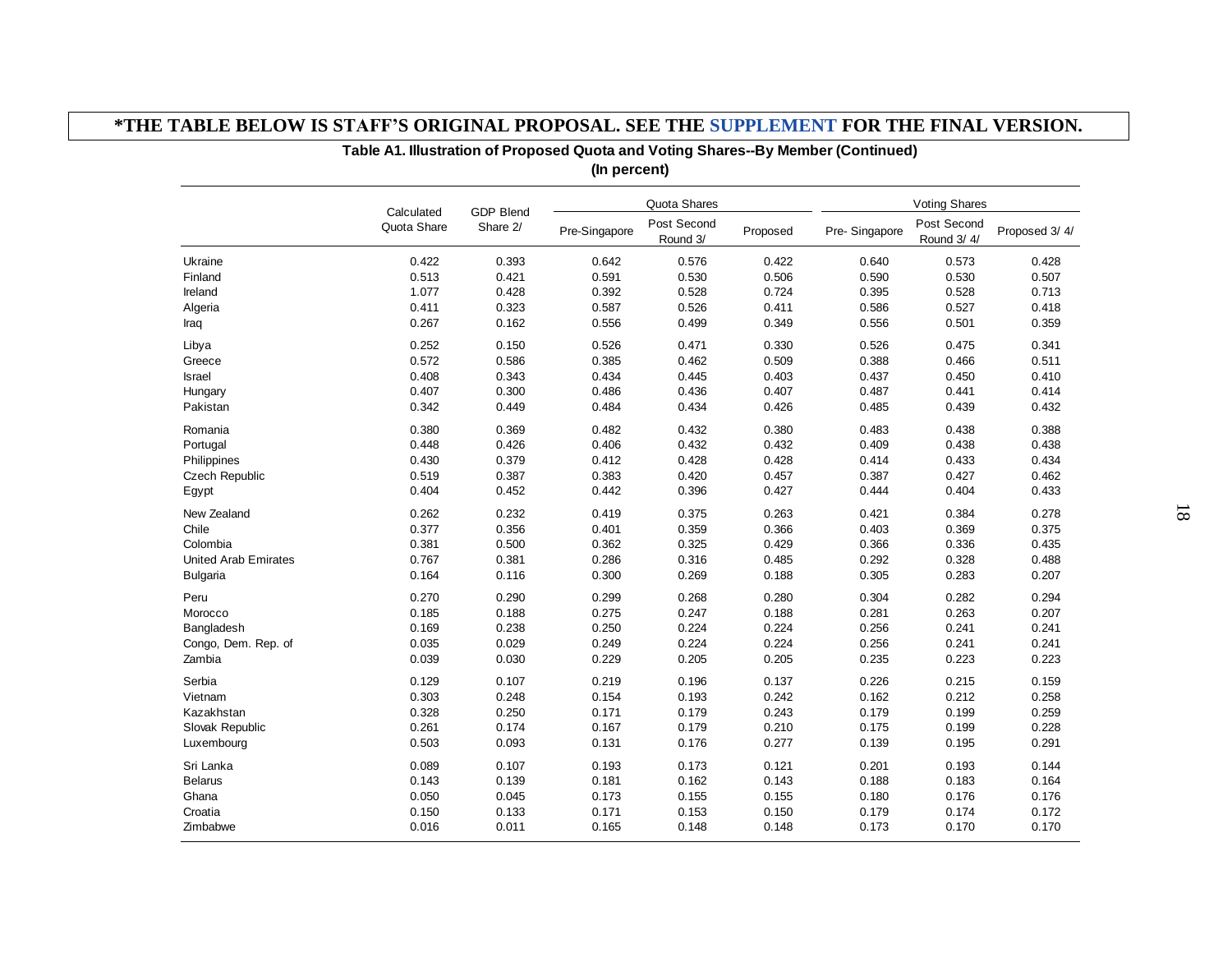|                             | Calculated  | <b>GDP Blend</b> |               | Quota Shares            |          |               | <b>Voting Shares</b>      |               |
|-----------------------------|-------------|------------------|---------------|-------------------------|----------|---------------|---------------------------|---------------|
|                             | Quota Share | Share 2/         | Pre-Singapore | Post Second<br>Round 3/ | Proposed | Pre-Singapore | Post Second<br>Round 3/4/ | Proposed 3/4/ |
| Ukraine                     | 0.422       | 0.393            | 0.642         | 0.576                   | 0.422    | 0.640         | 0.573                     | 0.428         |
| Finland                     | 0.513       | 0.421            | 0.591         | 0.530                   | 0.506    | 0.590         | 0.530                     | 0.507         |
| Ireland                     | 1.077       | 0.428            | 0.392         | 0.528                   | 0.724    | 0.395         | 0.528                     | 0.713         |
| Algeria                     | 0.411       | 0.323            | 0.587         | 0.526                   | 0.411    | 0.586         | 0.527                     | 0.418         |
| Iraq                        | 0.267       | 0.162            | 0.556         | 0.499                   | 0.349    | 0.556         | 0.501                     | 0.359         |
| Libya                       | 0.252       | 0.150            | 0.526         | 0.471                   | 0.330    | 0.526         | 0.475                     | 0.341         |
| Greece                      | 0.572       | 0.586            | 0.385         | 0.462                   | 0.509    | 0.388         | 0.466                     | 0.511         |
| Israel                      | 0.408       | 0.343            | 0.434         | 0.445                   | 0.403    | 0.437         | 0.450                     | 0.410         |
| Hungary                     | 0.407       | 0.300            | 0.486         | 0.436                   | 0.407    | 0.487         | 0.441                     | 0.414         |
| Pakistan                    | 0.342       | 0.449            | 0.484         | 0.434                   | 0.426    | 0.485         | 0.439                     | 0.432         |
| Romania                     | 0.380       | 0.369            | 0.482         | 0.432                   | 0.380    | 0.483         | 0.438                     | 0.388         |
| Portugal                    | 0.448       | 0.426            | 0.406         | 0.432                   | 0.432    | 0.409         | 0.438                     | 0.438         |
| Philippines                 | 0.430       | 0.379            | 0.412         | 0.428                   | 0.428    | 0.414         | 0.433                     | 0.434         |
| <b>Czech Republic</b>       | 0.519       | 0.387            | 0.383         | 0.420                   | 0.457    | 0.387         | 0.427                     | 0.462         |
| Egypt                       | 0.404       | 0.452            | 0.442         | 0.396                   | 0.427    | 0.444         | 0.404                     | 0.433         |
| New Zealand                 | 0.262       | 0.232            | 0.419         | 0.375                   | 0.263    | 0.421         | 0.384                     | 0.278         |
| Chile                       | 0.377       | 0.356            | 0.401         | 0.359                   | 0.366    | 0.403         | 0.369                     | 0.375         |
| Colombia                    | 0.381       | 0.500            | 0.362         | 0.325                   | 0.429    | 0.366         | 0.336                     | 0.435         |
| <b>United Arab Emirates</b> | 0.767       | 0.381            | 0.286         | 0.316                   | 0.485    | 0.292         | 0.328                     | 0.488         |
| <b>Bulgaria</b>             | 0.164       | 0.116            | 0.300         | 0.269                   | 0.188    | 0.305         | 0.283                     | 0.207         |
| Peru                        | 0.270       | 0.290            | 0.299         | 0.268                   | 0.280    | 0.304         | 0.282                     | 0.294         |
| Morocco                     | 0.185       | 0.188            | 0.275         | 0.247                   | 0.188    | 0.281         | 0.263                     | 0.207         |
| Bangladesh                  | 0.169       | 0.238            | 0.250         | 0.224                   | 0.224    | 0.256         | 0.241                     | 0.241         |
| Congo, Dem. Rep. of         | 0.035       | 0.029            | 0.249         | 0.224                   | 0.224    | 0.256         | 0.241                     | 0.241         |
| Zambia                      | 0.039       | 0.030            | 0.229         | 0.205                   | 0.205    | 0.235         | 0.223                     | 0.223         |
| Serbia                      | 0.129       | 0.107            | 0.219         | 0.196                   | 0.137    | 0.226         | 0.215                     | 0.159         |
| Vietnam                     | 0.303       | 0.248            | 0.154         | 0.193                   | 0.242    | 0.162         | 0.212                     | 0.258         |
| Kazakhstan                  | 0.328       | 0.250            | 0.171         | 0.179                   | 0.243    | 0.179         | 0.199                     | 0.259         |
| Slovak Republic             | 0.261       | 0.174            | 0.167         | 0.179                   | 0.210    | 0.175         | 0.199                     | 0.228         |
| Luxembourg                  | 0.503       | 0.093            | 0.131         | 0.176                   | 0.277    | 0.139         | 0.195                     | 0.291         |
| Sri Lanka                   | 0.089       | 0.107            | 0.193         | 0.173                   | 0.121    | 0.201         | 0.193                     | 0.144         |
| <b>Belarus</b>              | 0.143       | 0.139            | 0.181         | 0.162                   | 0.143    | 0.188         | 0.183                     | 0.164         |
| Ghana                       | 0.050       | 0.045            | 0.173         | 0.155                   | 0.155    | 0.180         | 0.176                     | 0.176         |
| Croatia                     | 0.150       | 0.133            | 0.171         | 0.153                   | 0.150    | 0.179         | 0.174                     | 0.172         |
| Zimbabwe                    | 0.016       | 0.011            | 0.165         | 0.148                   | 0.148    | 0.173         | 0.170                     | 0.170         |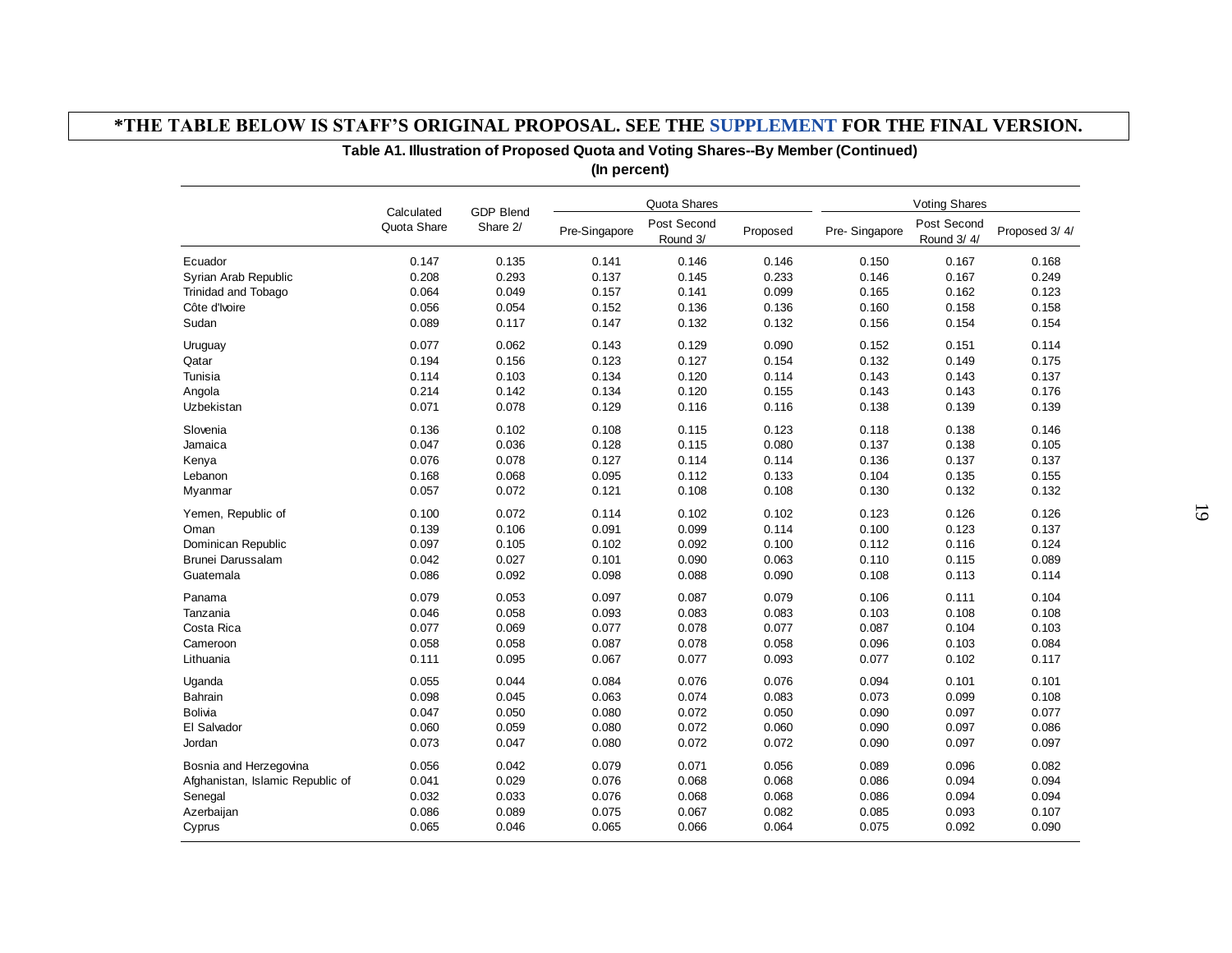|                                  | <b>GDP Blend</b><br>Calculated |          |               | Quota Shares            |          | <b>Voting Shares</b> |                           |               |
|----------------------------------|--------------------------------|----------|---------------|-------------------------|----------|----------------------|---------------------------|---------------|
|                                  | Quota Share                    | Share 2/ | Pre-Singapore | Post Second<br>Round 3/ | Proposed | Pre-Singapore        | Post Second<br>Round 3/4/ | Proposed 3/4/ |
| Ecuador                          | 0.147                          | 0.135    | 0.141         | 0.146                   | 0.146    | 0.150                | 0.167                     | 0.168         |
| Syrian Arab Republic             | 0.208                          | 0.293    | 0.137         | 0.145                   | 0.233    | 0.146                | 0.167                     | 0.249         |
| Trinidad and Tobago              | 0.064                          | 0.049    | 0.157         | 0.141                   | 0.099    | 0.165                | 0.162                     | 0.123         |
| Côte d'Ivoire                    | 0.056                          | 0.054    | 0.152         | 0.136                   | 0.136    | 0.160                | 0.158                     | 0.158         |
| Sudan                            | 0.089                          | 0.117    | 0.147         | 0.132                   | 0.132    | 0.156                | 0.154                     | 0.154         |
| Uruguay                          | 0.077                          | 0.062    | 0.143         | 0.129                   | 0.090    | 0.152                | 0.151                     | 0.114         |
| Qatar                            | 0.194                          | 0.156    | 0.123         | 0.127                   | 0.154    | 0.132                | 0.149                     | 0.175         |
| Tunisia                          | 0.114                          | 0.103    | 0.134         | 0.120                   | 0.114    | 0.143                | 0.143                     | 0.137         |
| Angola                           | 0.214                          | 0.142    | 0.134         | 0.120                   | 0.155    | 0.143                | 0.143                     | 0.176         |
| Uzbekistan                       | 0.071                          | 0.078    | 0.129         | 0.116                   | 0.116    | 0.138                | 0.139                     | 0.139         |
| Slovenia                         | 0.136                          | 0.102    | 0.108         | 0.115                   | 0.123    | 0.118                | 0.138                     | 0.146         |
| Jamaica                          | 0.047                          | 0.036    | 0.128         | 0.115                   | 0.080    | 0.137                | 0.138                     | 0.105         |
| Kenya                            | 0.076                          | 0.078    | 0.127         | 0.114                   | 0.114    | 0.136                | 0.137                     | 0.137         |
| Lebanon                          | 0.168                          | 0.068    | 0.095         | 0.112                   | 0.133    | 0.104                | 0.135                     | 0.155         |
| Myanmar                          | 0.057                          | 0.072    | 0.121         | 0.108                   | 0.108    | 0.130                | 0.132                     | 0.132         |
| Yemen, Republic of               | 0.100                          | 0.072    | 0.114         | 0.102                   | 0.102    | 0.123                | 0.126                     | 0.126         |
| Oman                             | 0.139                          | 0.106    | 0.091         | 0.099                   | 0.114    | 0.100                | 0.123                     | 0.137         |
| Dominican Republic               | 0.097                          | 0.105    | 0.102         | 0.092                   | 0.100    | 0.112                | 0.116                     | 0.124         |
| Brunei Darussalam                | 0.042                          | 0.027    | 0.101         | 0.090                   | 0.063    | 0.110                | 0.115                     | 0.089         |
| Guatemala                        | 0.086                          | 0.092    | 0.098         | 0.088                   | 0.090    | 0.108                | 0.113                     | 0.114         |
| Panama                           | 0.079                          | 0.053    | 0.097         | 0.087                   | 0.079    | 0.106                | 0.111                     | 0.104         |
| Tanzania                         | 0.046                          | 0.058    | 0.093         | 0.083                   | 0.083    | 0.103                | 0.108                     | 0.108         |
| Costa Rica                       | 0.077                          | 0.069    | 0.077         | 0.078                   | 0.077    | 0.087                | 0.104                     | 0.103         |
| Cameroon                         | 0.058                          | 0.058    | 0.087         | 0.078                   | 0.058    | 0.096                | 0.103                     | 0.084         |
| Lithuania                        | 0.111                          | 0.095    | 0.067         | 0.077                   | 0.093    | 0.077                | 0.102                     | 0.117         |
| Uganda                           | 0.055                          | 0.044    | 0.084         | 0.076                   | 0.076    | 0.094                | 0.101                     | 0.101         |
| <b>Bahrain</b>                   | 0.098                          | 0.045    | 0.063         | 0.074                   | 0.083    | 0.073                | 0.099                     | 0.108         |
| <b>Bolivia</b>                   | 0.047                          | 0.050    | 0.080         | 0.072                   | 0.050    | 0.090                | 0.097                     | 0.077         |
| El Salvador                      | 0.060                          | 0.059    | 0.080         | 0.072                   | 0.060    | 0.090                | 0.097                     | 0.086         |
| Jordan                           | 0.073                          | 0.047    | 0.080         | 0.072                   | 0.072    | 0.090                | 0.097                     | 0.097         |
| Bosnia and Herzegovina           | 0.056                          | 0.042    | 0.079         | 0.071                   | 0.056    | 0.089                | 0.096                     | 0.082         |
| Afghanistan, Islamic Republic of | 0.041                          | 0.029    | 0.076         | 0.068                   | 0.068    | 0.086                | 0.094                     | 0.094         |
| Senegal                          | 0.032                          | 0.033    | 0.076         | 0.068                   | 0.068    | 0.086                | 0.094                     | 0.094         |
| Azerbaijan                       | 0.086                          | 0.089    | 0.075         | 0.067                   | 0.082    | 0.085                | 0.093                     | 0.107         |
| Cyprus                           | 0.065                          | 0.046    | 0.065         | 0.066                   | 0.064    | 0.075                | 0.092                     | 0.090         |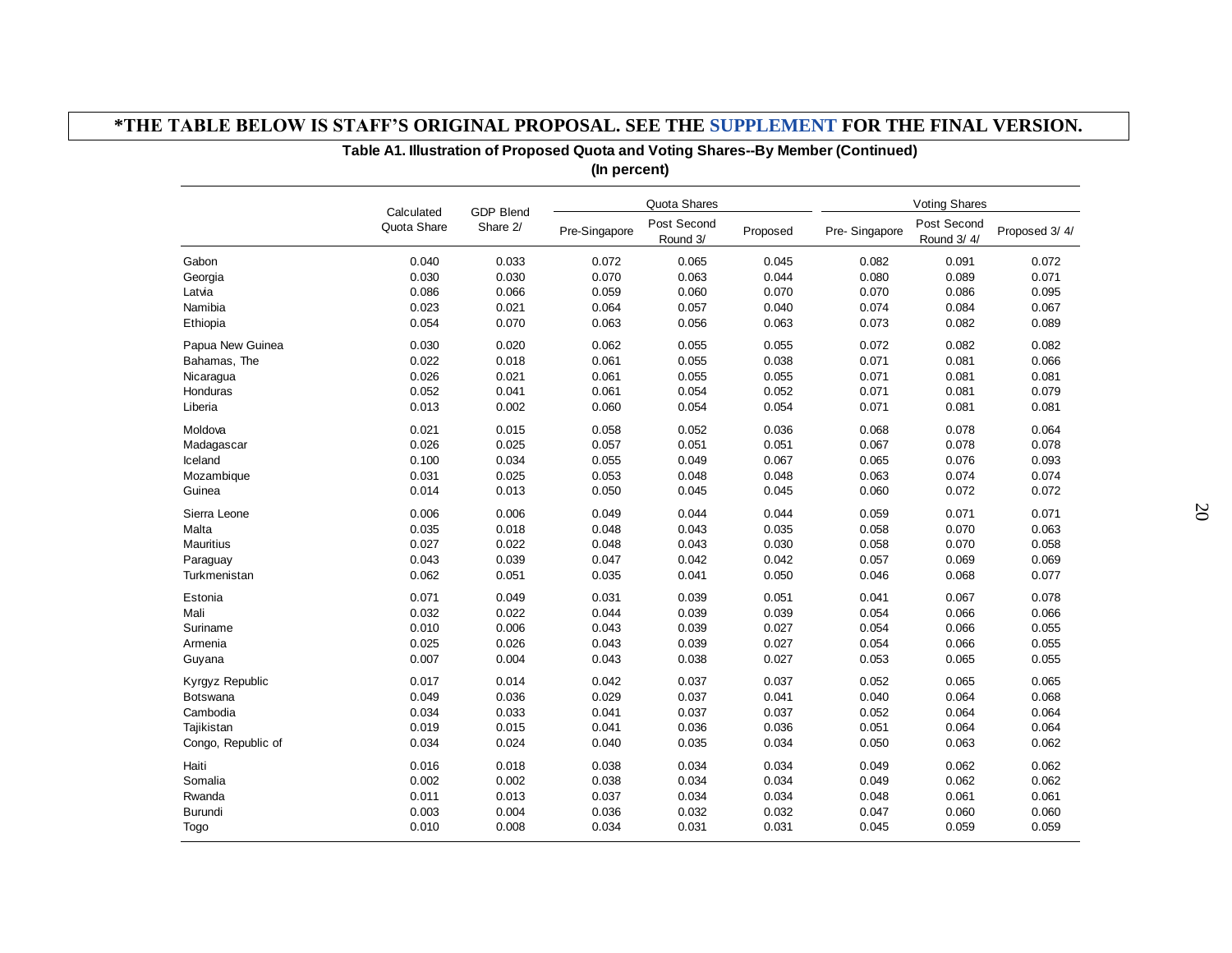|                    | Calculated  | <b>GDP Blend</b> | Quota Shares  |                         |          |               | <b>Voting Shares</b>      |               |  |
|--------------------|-------------|------------------|---------------|-------------------------|----------|---------------|---------------------------|---------------|--|
|                    | Quota Share | Share 2/         | Pre-Singapore | Post Second<br>Round 3/ | Proposed | Pre-Singapore | Post Second<br>Round 3/4/ | Proposed 3/4/ |  |
| Gabon              | 0.040       | 0.033            | 0.072         | 0.065                   | 0.045    | 0.082         | 0.091                     | 0.072         |  |
| Georgia            | 0.030       | 0.030            | 0.070         | 0.063                   | 0.044    | 0.080         | 0.089                     | 0.071         |  |
| Latvia             | 0.086       | 0.066            | 0.059         | 0.060                   | 0.070    | 0.070         | 0.086                     | 0.095         |  |
| Namibia            | 0.023       | 0.021            | 0.064         | 0.057                   | 0.040    | 0.074         | 0.084                     | 0.067         |  |
| Ethiopia           | 0.054       | 0.070            | 0.063         | 0.056                   | 0.063    | 0.073         | 0.082                     | 0.089         |  |
| Papua New Guinea   | 0.030       | 0.020            | 0.062         | 0.055                   | 0.055    | 0.072         | 0.082                     | 0.082         |  |
| Bahamas, The       | 0.022       | 0.018            | 0.061         | 0.055                   | 0.038    | 0.071         | 0.081                     | 0.066         |  |
| Nicaragua          | 0.026       | 0.021            | 0.061         | 0.055                   | 0.055    | 0.071         | 0.081                     | 0.081         |  |
| Honduras           | 0.052       | 0.041            | 0.061         | 0.054                   | 0.052    | 0.071         | 0.081                     | 0.079         |  |
| Liberia            | 0.013       | 0.002            | 0.060         | 0.054                   | 0.054    | 0.071         | 0.081                     | 0.081         |  |
| Moldova            | 0.021       | 0.015            | 0.058         | 0.052                   | 0.036    | 0.068         | 0.078                     | 0.064         |  |
| Madagascar         | 0.026       | 0.025            | 0.057         | 0.051                   | 0.051    | 0.067         | 0.078                     | 0.078         |  |
| Iceland            | 0.100       | 0.034            | 0.055         | 0.049                   | 0.067    | 0.065         | 0.076                     | 0.093         |  |
| Mozambique         | 0.031       | 0.025            | 0.053         | 0.048                   | 0.048    | 0.063         | 0.074                     | 0.074         |  |
| Guinea             | 0.014       | 0.013            | 0.050         | 0.045                   | 0.045    | 0.060         | 0.072                     | 0.072         |  |
| Sierra Leone       | 0.006       | 0.006            | 0.049         | 0.044                   | 0.044    | 0.059         | 0.071                     | 0.071         |  |
| Malta              | 0.035       | 0.018            | 0.048         | 0.043                   | 0.035    | 0.058         | 0.070                     | 0.063         |  |
| Mauritius          | 0.027       | 0.022            | 0.048         | 0.043                   | 0.030    | 0.058         | 0.070                     | 0.058         |  |
| Paraguay           | 0.043       | 0.039            | 0.047         | 0.042                   | 0.042    | 0.057         | 0.069                     | 0.069         |  |
| Turkmenistan       | 0.062       | 0.051            | 0.035         | 0.041                   | 0.050    | 0.046         | 0.068                     | 0.077         |  |
| Estonia            | 0.071       | 0.049            | 0.031         | 0.039                   | 0.051    | 0.041         | 0.067                     | 0.078         |  |
| Mali               | 0.032       | 0.022            | 0.044         | 0.039                   | 0.039    | 0.054         | 0.066                     | 0.066         |  |
| Suriname           | 0.010       | 0.006            | 0.043         | 0.039                   | 0.027    | 0.054         | 0.066                     | 0.055         |  |
| Armenia            | 0.025       | 0.026            | 0.043         | 0.039                   | 0.027    | 0.054         | 0.066                     | 0.055         |  |
| Guyana             | 0.007       | 0.004            | 0.043         | 0.038                   | 0.027    | 0.053         | 0.065                     | 0.055         |  |
| Kyrgyz Republic    | 0.017       | 0.014            | 0.042         | 0.037                   | 0.037    | 0.052         | 0.065                     | 0.065         |  |
| Botswana           | 0.049       | 0.036            | 0.029         | 0.037                   | 0.041    | 0.040         | 0.064                     | 0.068         |  |
| Cambodia           | 0.034       | 0.033            | 0.041         | 0.037                   | 0.037    | 0.052         | 0.064                     | 0.064         |  |
| Tajikistan         | 0.019       | 0.015            | 0.041         | 0.036                   | 0.036    | 0.051         | 0.064                     | 0.064         |  |
| Congo, Republic of | 0.034       | 0.024            | 0.040         | 0.035                   | 0.034    | 0.050         | 0.063                     | 0.062         |  |
| Haiti              | 0.016       | 0.018            | 0.038         | 0.034                   | 0.034    | 0.049         | 0.062                     | 0.062         |  |
| Somalia            | 0.002       | 0.002            | 0.038         | 0.034                   | 0.034    | 0.049         | 0.062                     | 0.062         |  |
| Rwanda             | 0.011       | 0.013            | 0.037         | 0.034                   | 0.034    | 0.048         | 0.061                     | 0.061         |  |
| <b>Burundi</b>     | 0.003       | 0.004            | 0.036         | 0.032                   | 0.032    | 0.047         | 0.060                     | 0.060         |  |
| Togo               | 0.010       | 0.008            | 0.034         | 0.031                   | 0.031    | 0.045         | 0.059                     | 0.059         |  |

**(In percent)**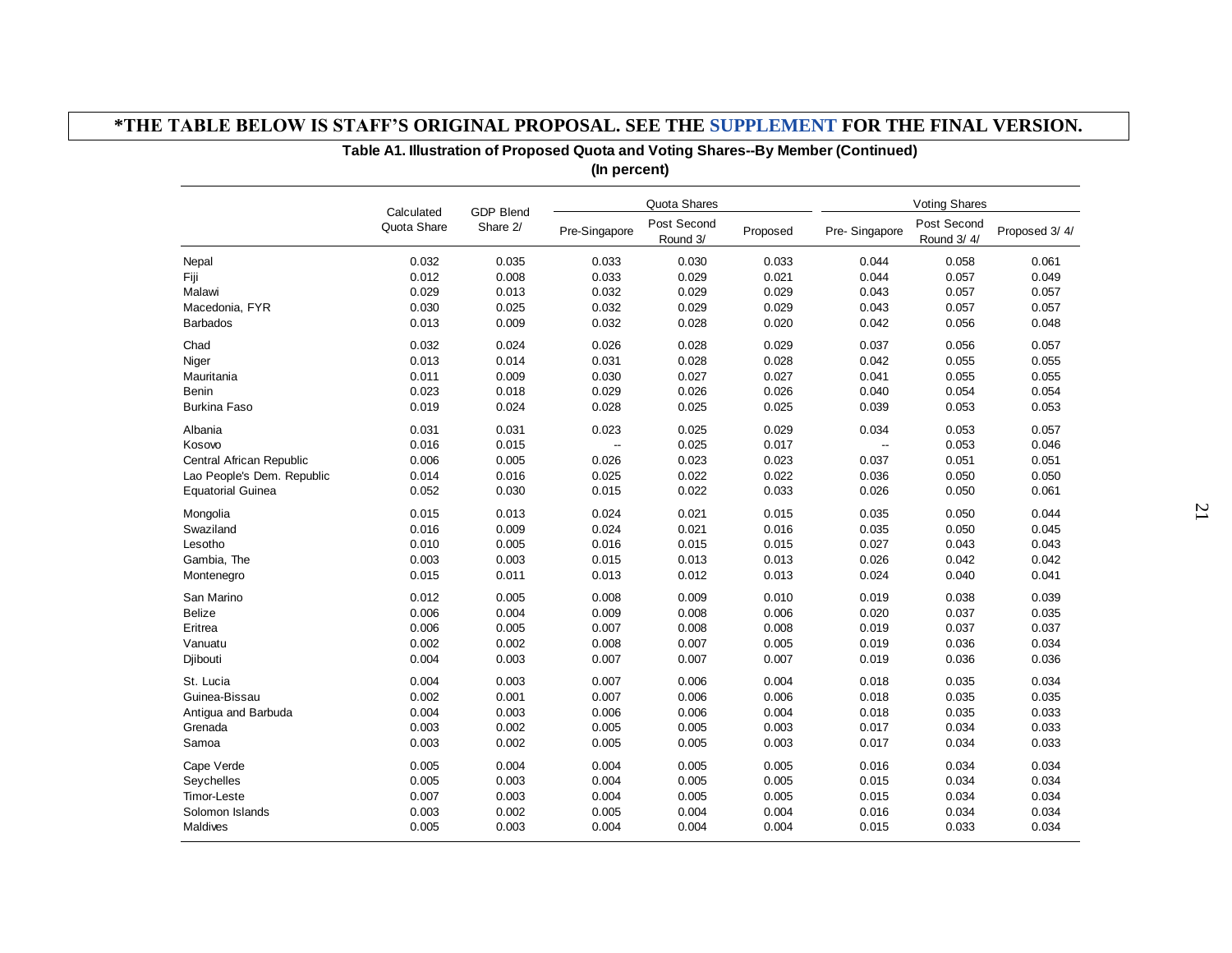|                            | <b>GDP Blend</b><br>Calculated |          |               | Quota Shares            |          | <b>Voting Shares</b> |                           |               |
|----------------------------|--------------------------------|----------|---------------|-------------------------|----------|----------------------|---------------------------|---------------|
|                            | Quota Share                    | Share 2/ | Pre-Singapore | Post Second<br>Round 3/ | Proposed | Pre-Singapore        | Post Second<br>Round 3/4/ | Proposed 3/4/ |
| Nepal                      | 0.032                          | 0.035    | 0.033         | 0.030                   | 0.033    | 0.044                | 0.058                     | 0.061         |
| Fiji                       | 0.012                          | 0.008    | 0.033         | 0.029                   | 0.021    | 0.044                | 0.057                     | 0.049         |
| Malawi                     | 0.029                          | 0.013    | 0.032         | 0.029                   | 0.029    | 0.043                | 0.057                     | 0.057         |
| Macedonia, FYR             | 0.030                          | 0.025    | 0.032         | 0.029                   | 0.029    | 0.043                | 0.057                     | 0.057         |
| <b>Barbados</b>            | 0.013                          | 0.009    | 0.032         | 0.028                   | 0.020    | 0.042                | 0.056                     | 0.048         |
| Chad                       | 0.032                          | 0.024    | 0.026         | 0.028                   | 0.029    | 0.037                | 0.056                     | 0.057         |
| Niger                      | 0.013                          | 0.014    | 0.031         | 0.028                   | 0.028    | 0.042                | 0.055                     | 0.055         |
| Mauritania                 | 0.011                          | 0.009    | 0.030         | 0.027                   | 0.027    | 0.041                | 0.055                     | 0.055         |
| Benin                      | 0.023                          | 0.018    | 0.029         | 0.026                   | 0.026    | 0.040                | 0.054                     | 0.054         |
| <b>Burkina Faso</b>        | 0.019                          | 0.024    | 0.028         | 0.025                   | 0.025    | 0.039                | 0.053                     | 0.053         |
| Albania                    | 0.031                          | 0.031    | 0.023         | 0.025                   | 0.029    | 0.034                | 0.053                     | 0.057         |
| Kosovo                     | 0.016                          | 0.015    | Щ.            | 0.025                   | 0.017    | $\overline{a}$       | 0.053                     | 0.046         |
| Central African Republic   | 0.006                          | 0.005    | 0.026         | 0.023                   | 0.023    | 0.037                | 0.051                     | 0.051         |
| Lao People's Dem. Republic | 0.014                          | 0.016    | 0.025         | 0.022                   | 0.022    | 0.036                | 0.050                     | 0.050         |
| <b>Equatorial Guinea</b>   | 0.052                          | 0.030    | 0.015         | 0.022                   | 0.033    | 0.026                | 0.050                     | 0.061         |
| Mongolia                   | 0.015                          | 0.013    | 0.024         | 0.021                   | 0.015    | 0.035                | 0.050                     | 0.044         |
| Swaziland                  | 0.016                          | 0.009    | 0.024         | 0.021                   | 0.016    | 0.035                | 0.050                     | 0.045         |
| Lesotho                    | 0.010                          | 0.005    | 0.016         | 0.015                   | 0.015    | 0.027                | 0.043                     | 0.043         |
| Gambia, The                | 0.003                          | 0.003    | 0.015         | 0.013                   | 0.013    | 0.026                | 0.042                     | 0.042         |
| Montenegro                 | 0.015                          | 0.011    | 0.013         | 0.012                   | 0.013    | 0.024                | 0.040                     | 0.041         |
| San Marino                 | 0.012                          | 0.005    | 0.008         | 0.009                   | 0.010    | 0.019                | 0.038                     | 0.039         |
| <b>Belize</b>              | 0.006                          | 0.004    | 0.009         | 0.008                   | 0.006    | 0.020                | 0.037                     | 0.035         |
| Eritrea                    | 0.006                          | 0.005    | 0.007         | 0.008                   | 0.008    | 0.019                | 0.037                     | 0.037         |
| Vanuatu                    | 0.002                          | 0.002    | 0.008         | 0.007                   | 0.005    | 0.019                | 0.036                     | 0.034         |
| Djibouti                   | 0.004                          | 0.003    | 0.007         | 0.007                   | 0.007    | 0.019                | 0.036                     | 0.036         |
| St. Lucia                  | 0.004                          | 0.003    | 0.007         | 0.006                   | 0.004    | 0.018                | 0.035                     | 0.034         |
| Guinea-Bissau              | 0.002                          | 0.001    | 0.007         | 0.006                   | 0.006    | 0.018                | 0.035                     | 0.035         |
| Antigua and Barbuda        | 0.004                          | 0.003    | 0.006         | 0.006                   | 0.004    | 0.018                | 0.035                     | 0.033         |
| Grenada                    | 0.003                          | 0.002    | 0.005         | 0.005                   | 0.003    | 0.017                | 0.034                     | 0.033         |
| Samoa                      | 0.003                          | 0.002    | 0.005         | 0.005                   | 0.003    | 0.017                | 0.034                     | 0.033         |
| Cape Verde                 | 0.005                          | 0.004    | 0.004         | 0.005                   | 0.005    | 0.016                | 0.034                     | 0.034         |
| Seychelles                 | 0.005                          | 0.003    | 0.004         | 0.005                   | 0.005    | 0.015                | 0.034                     | 0.034         |
| Timor-Leste                | 0.007                          | 0.003    | 0.004         | 0.005                   | 0.005    | 0.015                | 0.034                     | 0.034         |
| Solomon Islands            | 0.003                          | 0.002    | 0.005         | 0.004                   | 0.004    | 0.016                | 0.034                     | 0.034         |
| <b>Maldives</b>            | 0.005                          | 0.003    | 0.004         | 0.004                   | 0.004    | 0.015                | 0.033                     | 0.034         |

21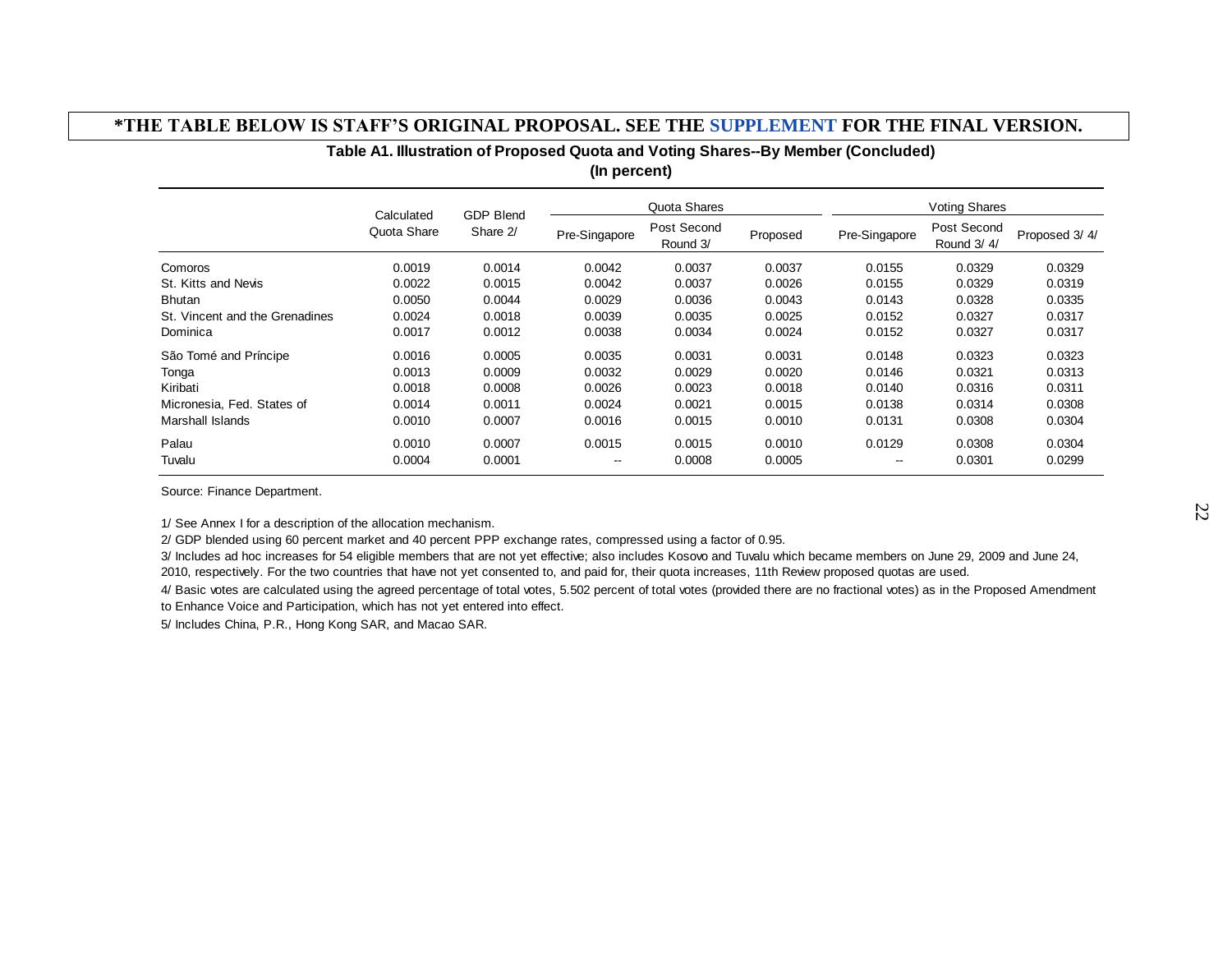| (In percent)                   |                           |                  |               |                         |          |                      |                           |               |  |
|--------------------------------|---------------------------|------------------|---------------|-------------------------|----------|----------------------|---------------------------|---------------|--|
|                                |                           | <b>GDP Blend</b> | Quota Shares  |                         |          | <b>Voting Shares</b> |                           |               |  |
|                                | Calculated<br>Quota Share | Share 2/         | Pre-Singapore | Post Second<br>Round 3/ | Proposed | Pre-Singapore        | Post Second<br>Round 3/4/ | Proposed 3/4/ |  |
| Comoros                        | 0.0019                    | 0.0014           | 0.0042        | 0.0037                  | 0.0037   | 0.0155               | 0.0329                    | 0.0329        |  |
| St. Kitts and Nevis            | 0.0022                    | 0.0015           | 0.0042        | 0.0037                  | 0.0026   | 0.0155               | 0.0329                    | 0.0319        |  |
| <b>Bhutan</b>                  | 0.0050                    | 0.0044           | 0.0029        | 0.0036                  | 0.0043   | 0.0143               | 0.0328                    | 0.0335        |  |
| St. Vincent and the Grenadines | 0.0024                    | 0.0018           | 0.0039        | 0.0035                  | 0.0025   | 0.0152               | 0.0327                    | 0.0317        |  |
| Dominica                       | 0.0017                    | 0.0012           | 0.0038        | 0.0034                  | 0.0024   | 0.0152               | 0.0327                    | 0.0317        |  |
| São Tomé and Príncipe          | 0.0016                    | 0.0005           | 0.0035        | 0.0031                  | 0.0031   | 0.0148               | 0.0323                    | 0.0323        |  |
| Tonga                          | 0.0013                    | 0.0009           | 0.0032        | 0.0029                  | 0.0020   | 0.0146               | 0.0321                    | 0.0313        |  |
| Kiribati                       | 0.0018                    | 0.0008           | 0.0026        | 0.0023                  | 0.0018   | 0.0140               | 0.0316                    | 0.0311        |  |
| Micronesia, Fed. States of     | 0.0014                    | 0.0011           | 0.0024        | 0.0021                  | 0.0015   | 0.0138               | 0.0314                    | 0.0308        |  |
| Marshall Islands               | 0.0010                    | 0.0007           | 0.0016        | 0.0015                  | 0.0010   | 0.0131               | 0.0308                    | 0.0304        |  |
| Palau                          | 0.0010                    | 0.0007           | 0.0015        | 0.0015                  | 0.0010   | 0.0129               | 0.0308                    | 0.0304        |  |
| Tuvalu                         | 0.0004                    | 0.0001           | --            | 0.0008                  | 0.0005   | --                   | 0.0301                    | 0.0299        |  |

#### **Table A1. Illustration of Proposed Quota and Voting Shares--By Member (Concluded)**

Source: Finance Department.

1/ See Annex I for a description of the allocation mechanism.

2/ GDP blended using 60 percent market and 40 percent PPP exchange rates, compressed using a factor of 0.95.

3/ Includes ad hoc increases for 54 eligible members that are not yet effective; also includes Kosovo and Tuvalu which became members on June 29, 2009 and June 24, 2010, respectively. For the two countries that have not yet consented to, and paid for, their quota increases, 11th Review proposed quotas are used.

4/ Basic votes are calculated using the agreed percentage of total votes, 5.502 percent of total votes (provided there are no fractional votes) as in the Proposed Amendment to Enhance Voice and Participation, which has not yet entered into effect.

5/ Includes China, P.R., Hong Kong SAR, and Macao SAR.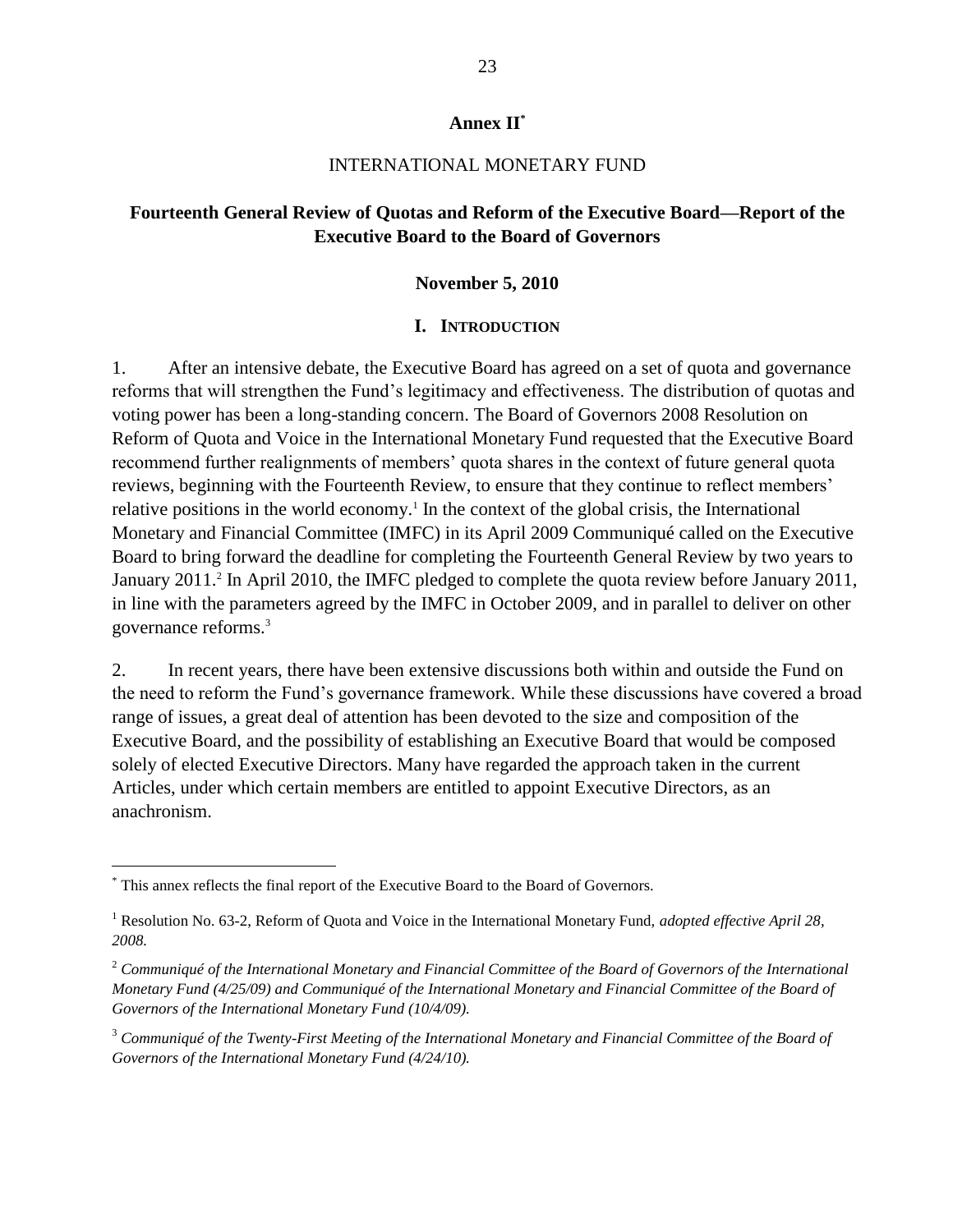#### **Annex II\***

### INTERNATIONAL MONETARY FUND

### <span id="page-22-0"></span>**Fourteenth General Review of Quotas and Reform of the Executive Board—Report of the Executive Board to the Board of Governors**

#### **November 5, 2010**

#### **I. INTRODUCTION**

1. After an intensive debate, the Executive Board has agreed on a set of quota and governance reforms that will strengthen the Fund's legitimacy and effectiveness. The distribution of quotas and voting power has been a long-standing concern. The Board of Governors 2008 Resolution on Reform of Quota and Voice in the International Monetary Fund requested that the Executive Board recommend further realignments of members' quota shares in the context of future general quota reviews, beginning with the Fourteenth Review, to ensure that they continue to reflect members' relative positions in the world economy.<sup>1</sup> In the context of the global crisis, the International Monetary and Financial Committee (IMFC) in its April 2009 Communiqué called on the Executive Board to bring forward the deadline for completing the Fourteenth General Review by two years to January 2011.<sup>2</sup> In April 2010, the IMFC pledged to complete the quota review before January 2011, in line with the parameters agreed by the IMFC in October 2009, and in parallel to deliver on other governance reforms.<sup>3</sup>

2. In recent years, there have been extensive discussions both within and outside the Fund on the need to reform the Fund's governance framework. While these discussions have covered a broad range of issues, a great deal of attention has been devoted to the size and composition of the Executive Board, and the possibility of establishing an Executive Board that would be composed solely of elected Executive Directors. Many have regarded the approach taken in the current Articles, under which certain members are entitled to appoint Executive Directors, as an anachronism.

<sup>\*</sup> This annex reflects the final report of the Executive Board to the Board of Governors.

<sup>1</sup> Resolution No. 63-2, Reform of Quota and Voice in the International Monetary Fund, *adopted effective April 28, 2008.*

<sup>2</sup> *Communiqué of the International Monetary and Financial Committee of the Board of Governors of the International Monetary Fund (4/25/09) and Communiqué of the International Monetary and Financial Committee of the Board of Governors of the International Monetary Fund (10/4/09).*

<sup>3</sup> *Communiqué of the Twenty-First Meeting of the International Monetary and Financial Committee of the Board of Governors of the International Monetary Fund (4/24/10).*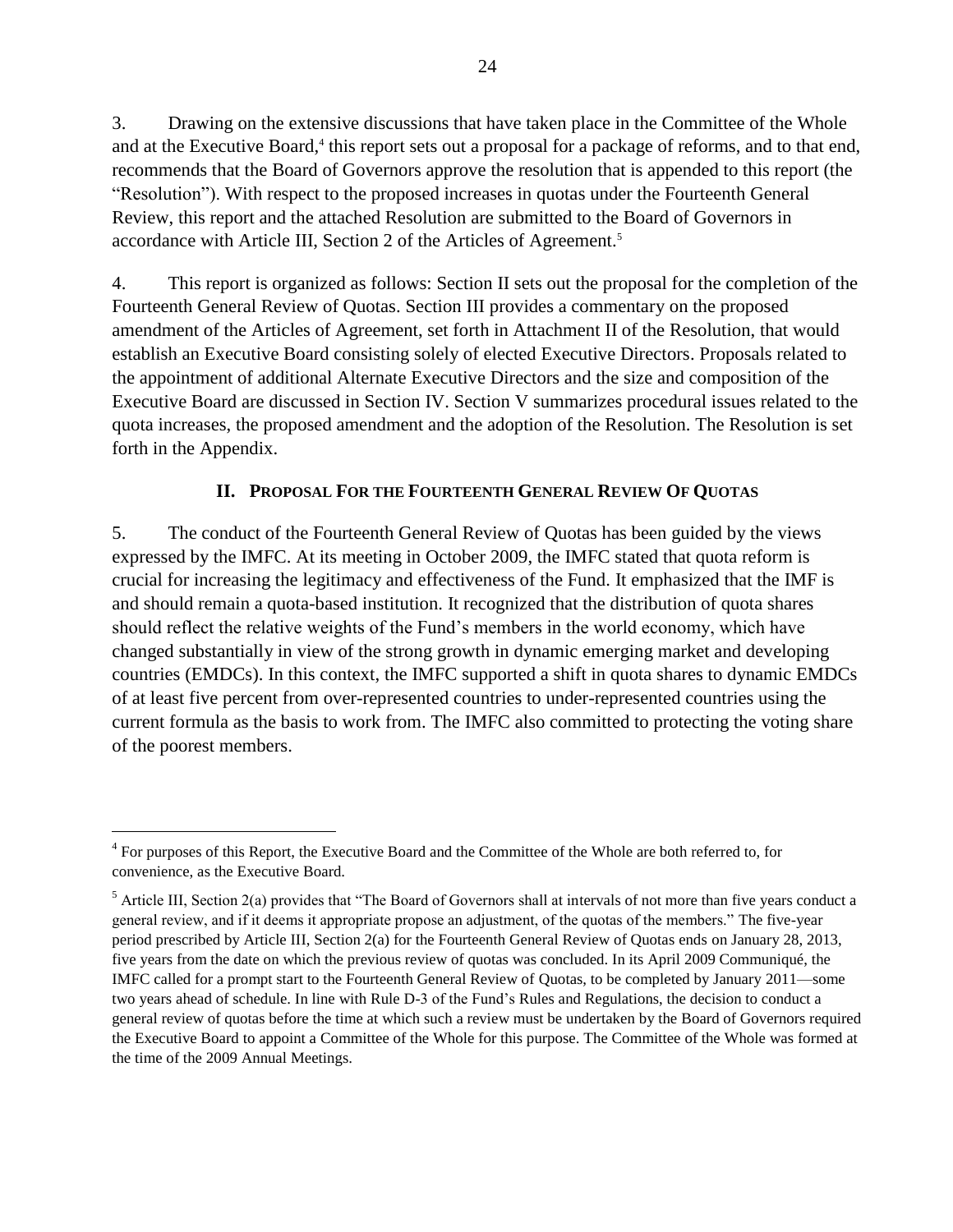3. Drawing on the extensive discussions that have taken place in the Committee of the Whole and at the Executive Board, 4 this report sets out a proposal for a package of reforms, and to that end, recommends that the Board of Governors approve the resolution that is appended to this report (the "Resolution"). With respect to the proposed increases in quotas under the Fourteenth General Review, this report and the attached Resolution are submitted to the Board of Governors in accordance with Article III, Section 2 of the Articles of Agreement. 5

4. This report is organized as follows: Section II sets out the proposal for the completion of the Fourteenth General Review of Quotas. Section III provides a commentary on the proposed amendment of the Articles of Agreement, set forth in Attachment II of the Resolution, that would establish an Executive Board consisting solely of elected Executive Directors. Proposals related to the appointment of additional Alternate Executive Directors and the size and composition of the Executive Board are discussed in Section IV. Section V summarizes procedural issues related to the quota increases, the proposed amendment and the adoption of the Resolution. The Resolution is set forth in the Appendix.

## **II. PROPOSAL FOR THE FOURTEENTH GENERAL REVIEW OF QUOTAS**

5. The conduct of the Fourteenth General Review of Quotas has been guided by the views expressed by the IMFC. At its meeting in October 2009, the IMFC stated that quota reform is crucial for increasing the legitimacy and effectiveness of the Fund. It emphasized that the IMF is and should remain a quota-based institution. It recognized that the distribution of quota shares should reflect the relative weights of the Fund's members in the world economy, which have changed substantially in view of the strong growth in dynamic emerging market and developing countries (EMDCs). In this context, the IMFC supported a shift in quota shares to dynamic EMDCs of at least five percent from over-represented countries to under-represented countries using the current formula as the basis to work from. The IMFC also committed to protecting the voting share of the poorest members.

<sup>&</sup>lt;sup>4</sup> For purposes of this Report, the Executive Board and the Committee of the Whole are both referred to, for convenience, as the Executive Board.

<sup>&</sup>lt;sup>5</sup> Article III, Section 2(a) provides that "The Board of Governors shall at intervals of not more than five years conduct a general review, and if it deems it appropriate propose an adjustment, of the quotas of the members." The five-year period prescribed by Article III, Section 2(a) for the Fourteenth General Review of Quotas ends on January 28, 2013, five years from the date on which the previous review of quotas was concluded. In its April 2009 Communiqué, the IMFC called for a prompt start to the Fourteenth General Review of Quotas, to be completed by January 2011—some two years ahead of schedule. In line with Rule D-3 of the Fund's Rules and Regulations, the decision to conduct a general review of quotas before the time at which such a review must be undertaken by the Board of Governors required the Executive Board to appoint a Committee of the Whole for this purpose. The Committee of the Whole was formed at the time of the 2009 Annual Meetings.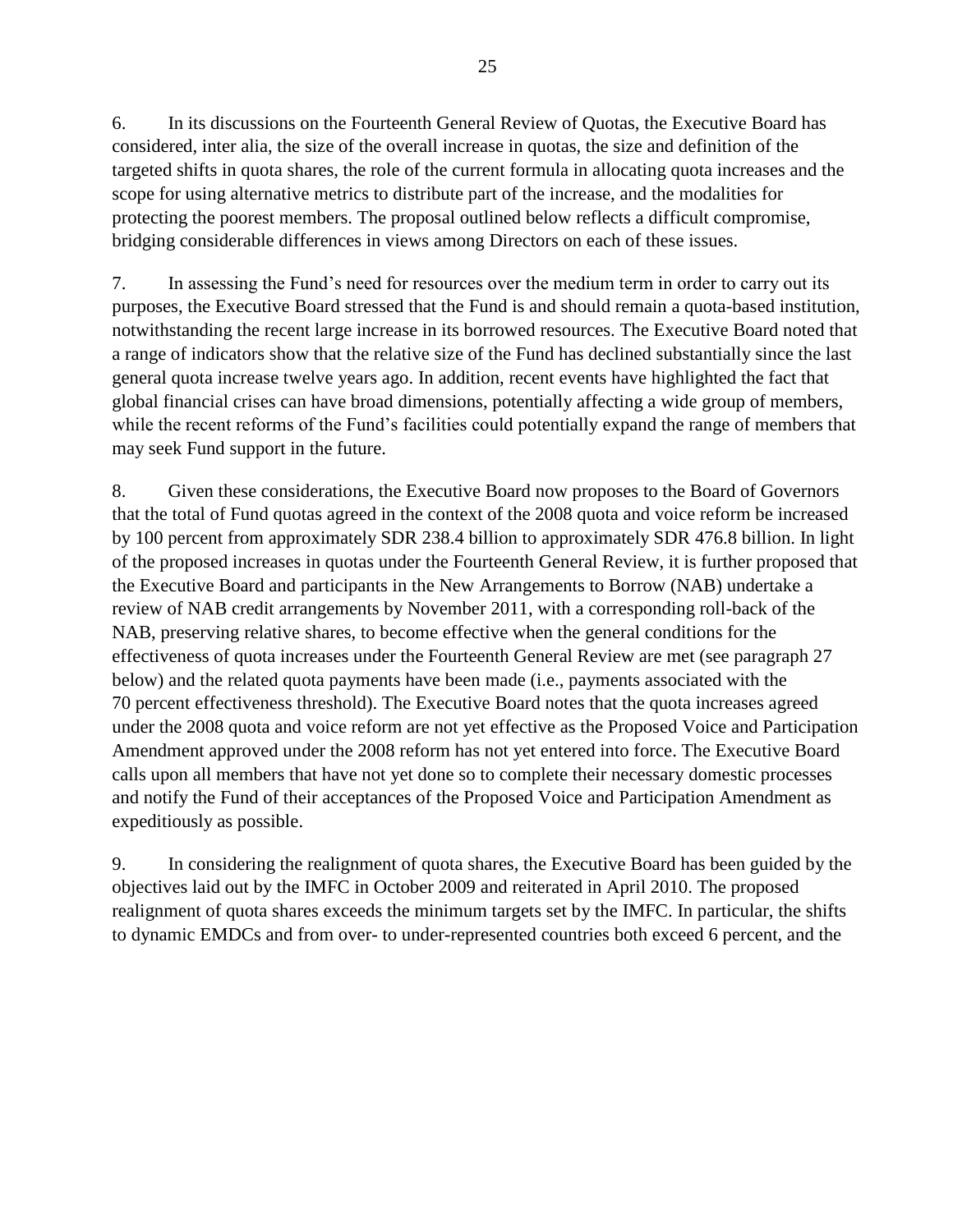6. In its discussions on the Fourteenth General Review of Quotas, the Executive Board has considered, inter alia, the size of the overall increase in quotas, the size and definition of the targeted shifts in quota shares, the role of the current formula in allocating quota increases and the scope for using alternative metrics to distribute part of the increase, and the modalities for protecting the poorest members. The proposal outlined below reflects a difficult compromise, bridging considerable differences in views among Directors on each of these issues.

7. In assessing the Fund's need for resources over the medium term in order to carry out its purposes, the Executive Board stressed that the Fund is and should remain a quota-based institution, notwithstanding the recent large increase in its borrowed resources. The Executive Board noted that a range of indicators show that the relative size of the Fund has declined substantially since the last general quota increase twelve years ago. In addition, recent events have highlighted the fact that global financial crises can have broad dimensions, potentially affecting a wide group of members, while the recent reforms of the Fund's facilities could potentially expand the range of members that may seek Fund support in the future.

8. Given these considerations, the Executive Board now proposes to the Board of Governors that the total of Fund quotas agreed in the context of the 2008 quota and voice reform be increased by 100 percent from approximately SDR 238.4 billion to approximately SDR 476.8 billion. In light of the proposed increases in quotas under the Fourteenth General Review, it is further proposed that the Executive Board and participants in the New Arrangements to Borrow (NAB) undertake a review of NAB credit arrangements by November 2011, with a corresponding roll-back of the NAB, preserving relative shares, to become effective when the general conditions for the effectiveness of quota increases under the Fourteenth General Review are met (see paragraph 27 below) and the related quota payments have been made (i.e., payments associated with the 70 percent effectiveness threshold). The Executive Board notes that the quota increases agreed under the 2008 quota and voice reform are not yet effective as the Proposed Voice and Participation Amendment approved under the 2008 reform has not yet entered into force. The Executive Board calls upon all members that have not yet done so to complete their necessary domestic processes and notify the Fund of their acceptances of the Proposed Voice and Participation Amendment as expeditiously as possible.

9. In considering the realignment of quota shares, the Executive Board has been guided by the objectives laid out by the IMFC in October 2009 and reiterated in April 2010. The proposed realignment of quota shares exceeds the minimum targets set by the IMFC. In particular, the shifts to dynamic EMDCs and from over- to under-represented countries both exceed 6 percent, and the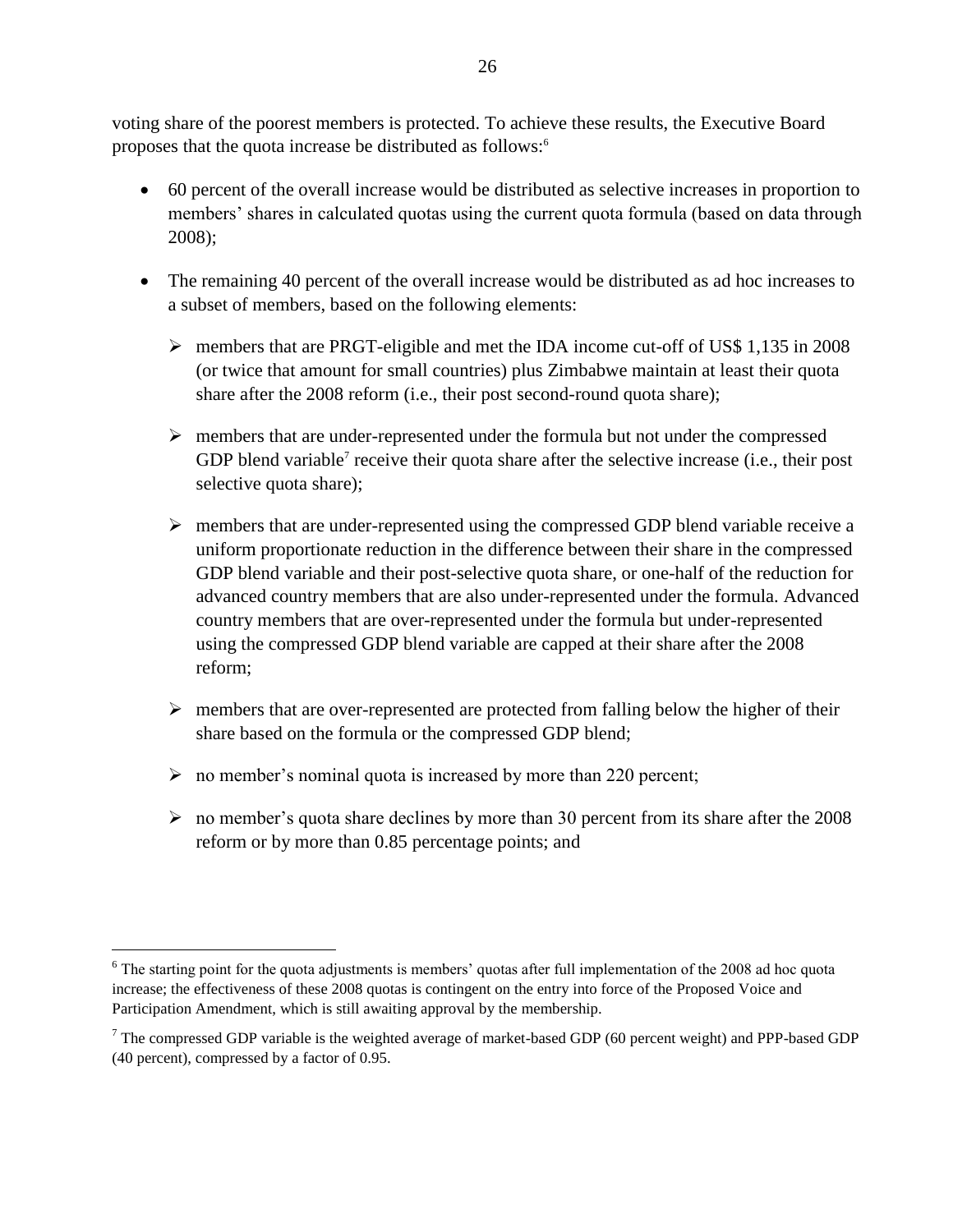voting share of the poorest members is protected. To achieve these results, the Executive Board proposes that the quota increase be distributed as follows:<sup>6</sup>

- 60 percent of the overall increase would be distributed as selective increases in proportion to members' shares in calculated quotas using the current quota formula (based on data through 2008);
- The remaining 40 percent of the overall increase would be distributed as ad hoc increases to a subset of members, based on the following elements:
	- $\triangleright$  members that are PRGT-eligible and met the IDA income cut-off of US\$ 1,135 in 2008 (or twice that amount for small countries) plus Zimbabwe maintain at least their quota share after the 2008 reform (i.e., their post second-round quota share);
	- $\triangleright$  members that are under-represented under the formula but not under the compressed GDP blend variable<sup>7</sup> receive their quota share after the selective increase (i.e., their post selective quota share);
	- $\triangleright$  members that are under-represented using the compressed GDP blend variable receive a uniform proportionate reduction in the difference between their share in the compressed GDP blend variable and their post-selective quota share, or one-half of the reduction for advanced country members that are also under-represented under the formula. Advanced country members that are over-represented under the formula but under-represented using the compressed GDP blend variable are capped at their share after the 2008 reform;
	- $\triangleright$  members that are over-represented are protected from falling below the higher of their share based on the formula or the compressed GDP blend;
	- $\triangleright$  no member's nominal quota is increased by more than 220 percent;

 $\overline{a}$ 

 $\triangleright$  no member's quota share declines by more than 30 percent from its share after the 2008 reform or by more than 0.85 percentage points; and

<sup>&</sup>lt;sup>6</sup> The starting point for the quota adjustments is members' quotas after full implementation of the 2008 ad hoc quota increase; the effectiveness of these 2008 quotas is contingent on the entry into force of the Proposed Voice and Participation Amendment, which is still awaiting approval by the membership.

<sup>&</sup>lt;sup>7</sup> The compressed GDP variable is the weighted average of market-based GDP (60 percent weight) and PPP-based GDP (40 percent), compressed by a factor of 0.95.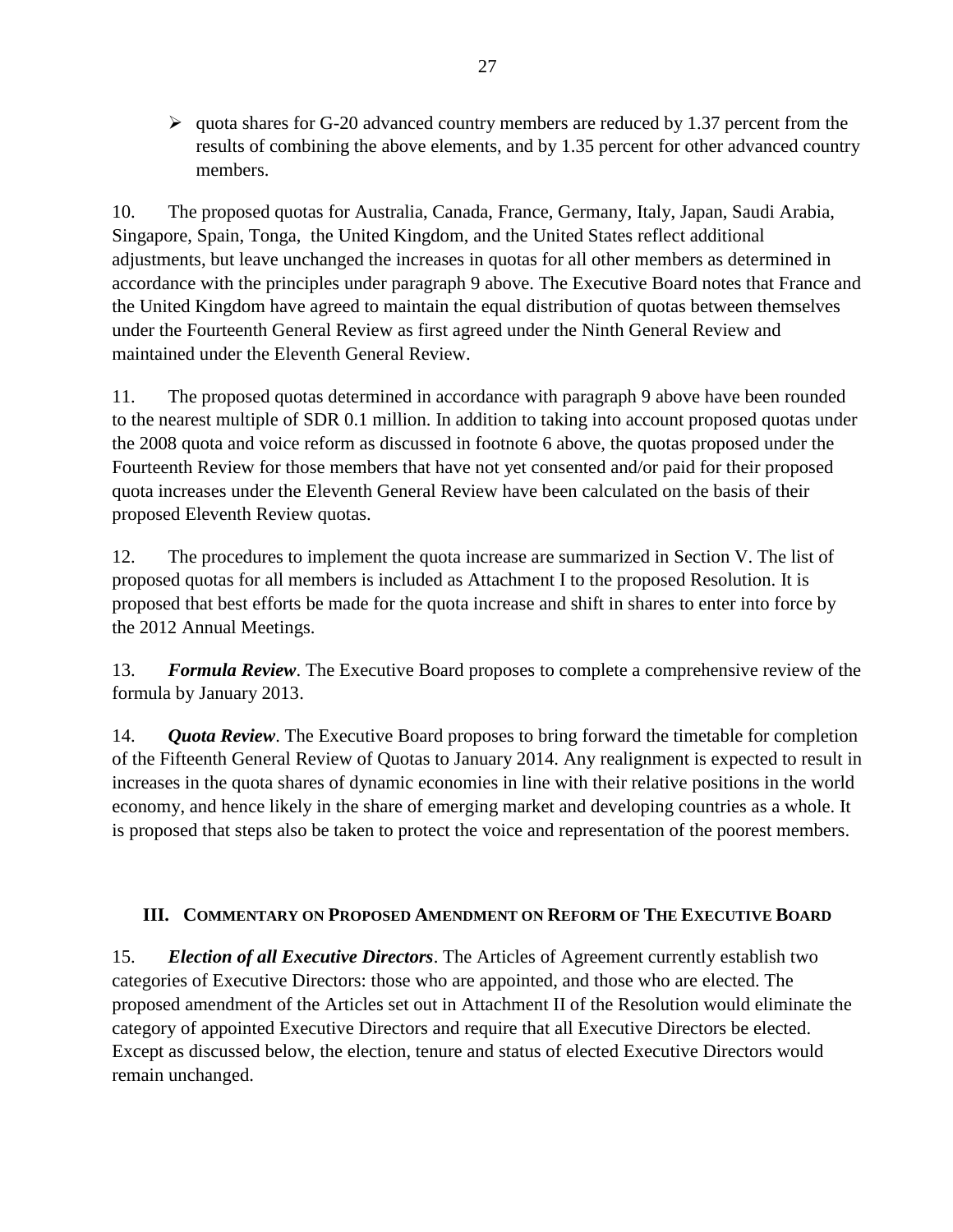<span id="page-26-0"></span> $\geq$  quota shares for G-20 advanced country members are reduced by 1.37 percent from the results of combining the above elements, and by 1.35 percent for other advanced country members.

10. The proposed quotas for Australia, Canada, France, Germany, Italy, Japan, Saudi Arabia, Singapore, Spain, Tonga, the United Kingdom, and the United States reflect additional adjustments, but leave unchanged the increases in quotas for all other members as determined in accordance with the principles under paragraph 9 above. The Executive Board notes that France and the United Kingdom have agreed to maintain the equal distribution of quotas between themselves under the Fourteenth General Review as first agreed under the Ninth General Review and maintained under the Eleventh General Review.

11. The proposed quotas determined in accordance with paragraph 9 above have been rounded to the nearest multiple of SDR 0.1 million. In addition to taking into account proposed quotas under the 2008 quota and voice reform as discussed in footnote 6 above, the quotas proposed under the Fourteenth Review for those members that have not yet consented and/or paid for their proposed quota increases under the Eleventh General Review have been calculated on the basis of their proposed Eleventh Review quotas.

12. The procedures to implement the quota increase are summarized in Section V. The list of proposed quotas for all members is included as Attachment I to the proposed Resolution. It is proposed that best efforts be made for the quota increase and shift in shares to enter into force by the 2012 Annual Meetings.

13. *Formula Review*. The Executive Board proposes to complete a comprehensive review of the formula by January 2013.

14. *Quota Review*. The Executive Board proposes to bring forward the timetable for completion of the Fifteenth General Review of Quotas to January 2014. Any realignment is expected to result in increases in the quota shares of dynamic economies in line with their relative positions in the world economy, and hence likely in the share of emerging market and developing countries as a whole. It is proposed that steps also be taken to protect the voice and representation of the poorest members.

## **III. COMMENTARY ON PROPOSED AMENDMENT ON REFORM OF THE EXECUTIVE BOARD**

15. *Election of all Executive Directors*. The Articles of Agreement currently establish two categories of Executive Directors: those who are appointed, and those who are elected. The proposed amendment of the Articles set out in Attachment II of the Resolution would eliminate the category of appointed Executive Directors and require that all Executive Directors be elected. Except as discussed below, the election, tenure and status of elected Executive Directors would remain unchanged.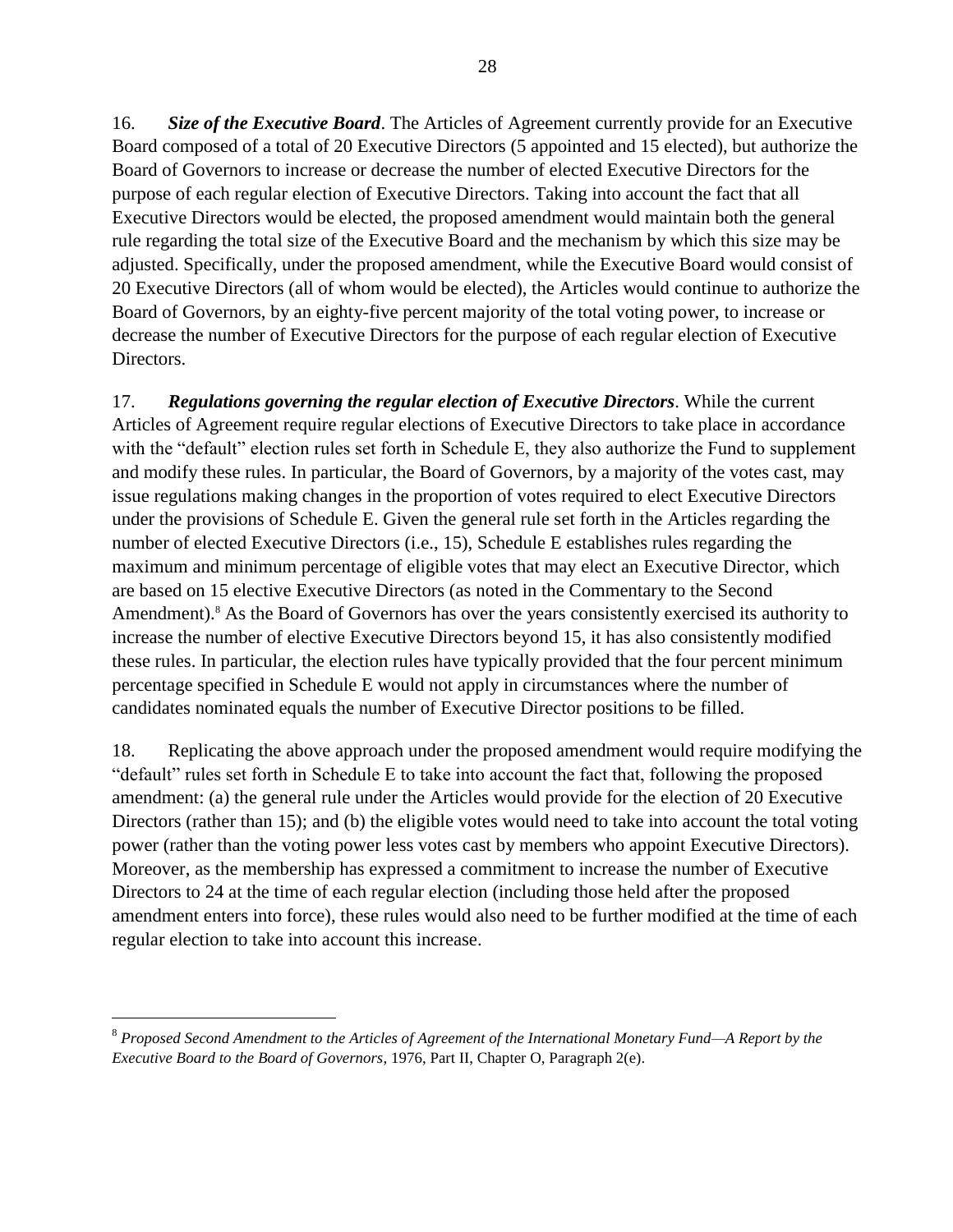16. *Size of the Executive Board*. The Articles of Agreement currently provide for an Executive Board composed of a total of 20 Executive Directors (5 appointed and 15 elected), but authorize the Board of Governors to increase or decrease the number of elected Executive Directors for the purpose of each regular election of Executive Directors. Taking into account the fact that all Executive Directors would be elected, the proposed amendment would maintain both the general rule regarding the total size of the Executive Board and the mechanism by which this size may be adjusted. Specifically, under the proposed amendment, while the Executive Board would consist of 20 Executive Directors (all of whom would be elected), the Articles would continue to authorize the Board of Governors, by an eighty-five percent majority of the total voting power, to increase or decrease the number of Executive Directors for the purpose of each regular election of Executive Directors.

17. *Regulations governing the regular election of Executive Directors*. While the current Articles of Agreement require regular elections of Executive Directors to take place in accordance with the "default" election rules set forth in Schedule E, they also authorize the Fund to supplement and modify these rules. In particular, the Board of Governors, by a majority of the votes cast, may issue regulations making changes in the proportion of votes required to elect Executive Directors under the provisions of Schedule E. Given the general rule set forth in the Articles regarding the number of elected Executive Directors (i.e., 15), Schedule E establishes rules regarding the maximum and minimum percentage of eligible votes that may elect an Executive Director, which are based on 15 elective Executive Directors (as noted in the Commentary to the Second Amendment).<sup>8</sup> As the Board of Governors has over the years consistently exercised its authority to increase the number of elective Executive Directors beyond 15, it has also consistently modified these rules. In particular, the election rules have typically provided that the four percent minimum percentage specified in Schedule E would not apply in circumstances where the number of candidates nominated equals the number of Executive Director positions to be filled.

18. Replicating the above approach under the proposed amendment would require modifying the "default" rules set forth in Schedule E to take into account the fact that, following the proposed amendment: (a) the general rule under the Articles would provide for the election of 20 Executive Directors (rather than 15); and (b) the eligible votes would need to take into account the total voting power (rather than the voting power less votes cast by members who appoint Executive Directors). Moreover, as the membership has expressed a commitment to increase the number of Executive Directors to 24 at the time of each regular election (including those held after the proposed amendment enters into force), these rules would also need to be further modified at the time of each regular election to take into account this increase.

<sup>8</sup> *Proposed Second Amendment to the Articles of Agreement of the International Monetary Fund—A Report by the Executive Board to the Board of Governors*, 1976, Part II, Chapter O, Paragraph 2(e).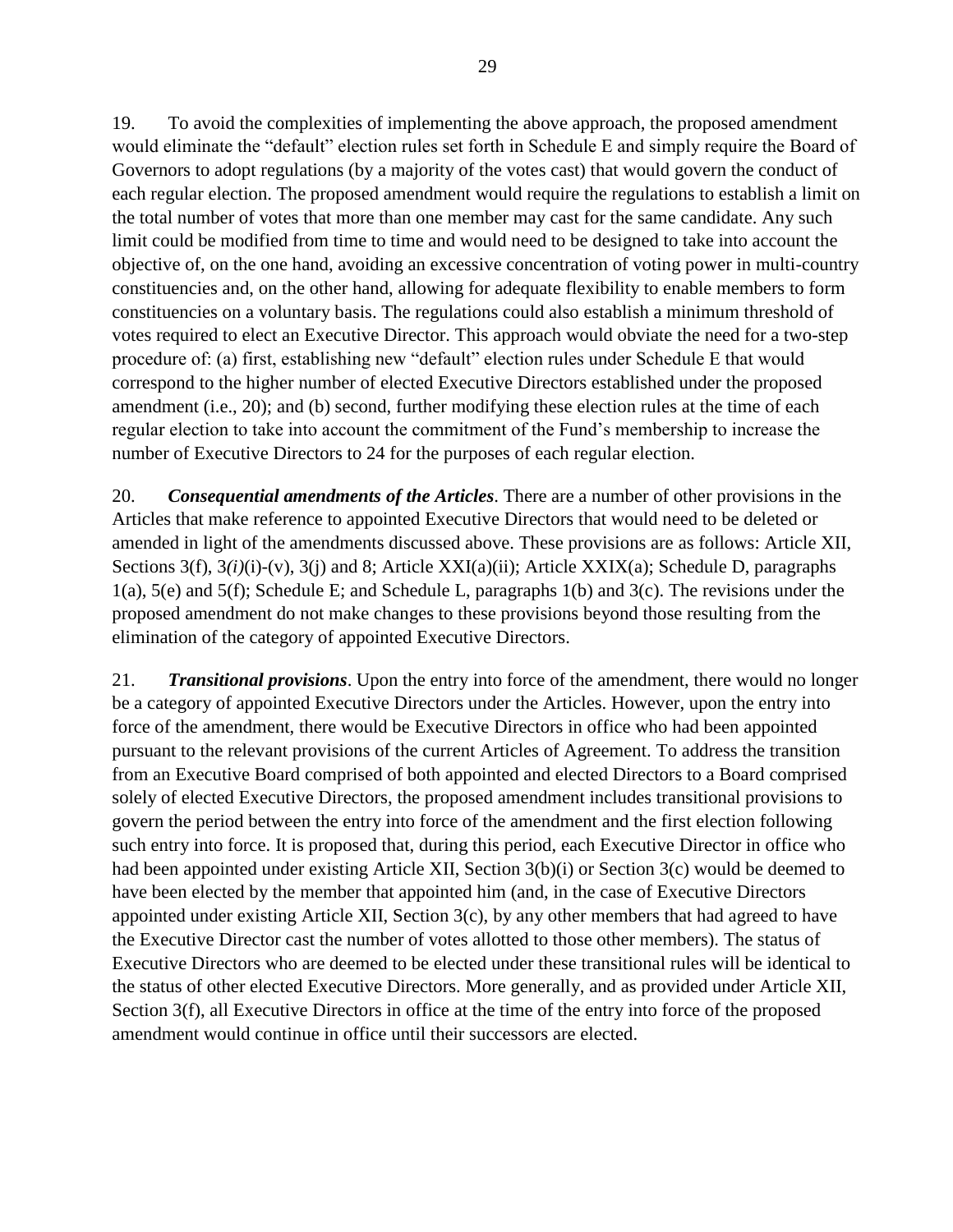19. To avoid the complexities of implementing the above approach, the proposed amendment would eliminate the "default" election rules set forth in Schedule E and simply require the Board of Governors to adopt regulations (by a majority of the votes cast) that would govern the conduct of each regular election. The proposed amendment would require the regulations to establish a limit on the total number of votes that more than one member may cast for the same candidate. Any such limit could be modified from time to time and would need to be designed to take into account the objective of, on the one hand, avoiding an excessive concentration of voting power in multi-country constituencies and, on the other hand, allowing for adequate flexibility to enable members to form constituencies on a voluntary basis. The regulations could also establish a minimum threshold of votes required to elect an Executive Director. This approach would obviate the need for a two-step procedure of: (a) first, establishing new "default" election rules under Schedule E that would correspond to the higher number of elected Executive Directors established under the proposed amendment (i.e., 20); and (b) second, further modifying these election rules at the time of each regular election to take into account the commitment of the Fund's membership to increase the number of Executive Directors to 24 for the purposes of each regular election.

20. *Consequential amendments of the Articles*. There are a number of other provisions in the Articles that make reference to appointed Executive Directors that would need to be deleted or amended in light of the amendments discussed above. These provisions are as follows: Article XII, Sections 3(f), 3(*i*)(i)-(v), 3(*j*) and 8; Article XXI(a)(ii); Article XXIX(a); Schedule D, paragraphs 1(a), 5(e) and 5(f); Schedule E; and Schedule L, paragraphs 1(b) and 3(c). The revisions under the proposed amendment do not make changes to these provisions beyond those resulting from the elimination of the category of appointed Executive Directors.

21. *Transitional provisions*. Upon the entry into force of the amendment, there would no longer be a category of appointed Executive Directors under the Articles. However, upon the entry into force of the amendment, there would be Executive Directors in office who had been appointed pursuant to the relevant provisions of the current Articles of Agreement. To address the transition from an Executive Board comprised of both appointed and elected Directors to a Board comprised solely of elected Executive Directors, the proposed amendment includes transitional provisions to govern the period between the entry into force of the amendment and the first election following such entry into force. It is proposed that, during this period, each Executive Director in office who had been appointed under existing Article XII, Section 3(b)(i) or Section 3(c) would be deemed to have been elected by the member that appointed him (and, in the case of Executive Directors appointed under existing Article XII, Section 3(c), by any other members that had agreed to have the Executive Director cast the number of votes allotted to those other members). The status of Executive Directors who are deemed to be elected under these transitional rules will be identical to the status of other elected Executive Directors. More generally, and as provided under Article XII, Section 3(f), all Executive Directors in office at the time of the entry into force of the proposed amendment would continue in office until their successors are elected.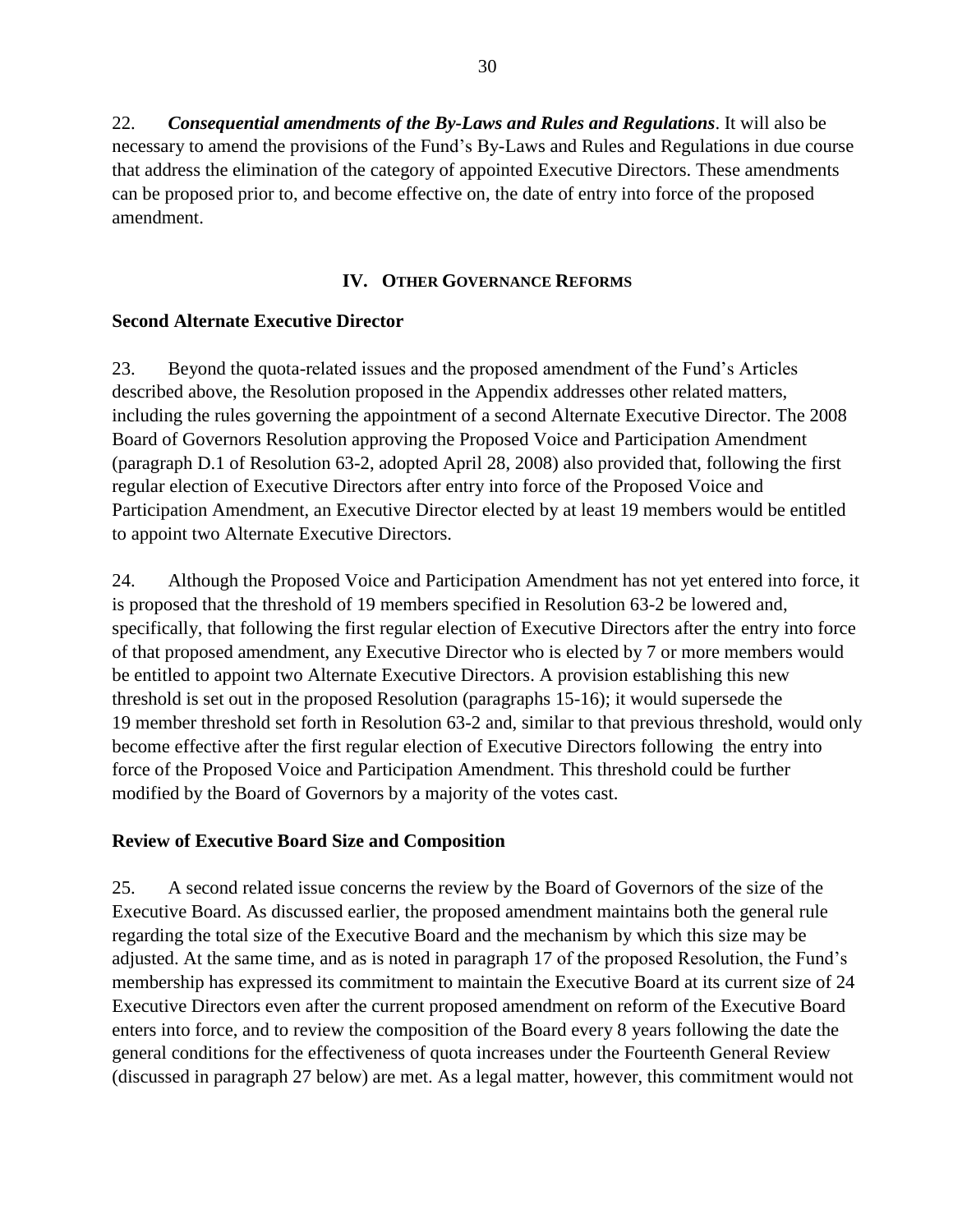22. *Consequential amendments of the By-Laws and Rules and Regulations*. It will also be necessary to amend the provisions of the Fund's By-Laws and Rules and Regulations in due course that address the elimination of the category of appointed Executive Directors. These amendments can be proposed prior to, and become effective on, the date of entry into force of the proposed amendment.

## **IV. OTHER GOVERNANCE REFORMS**

## **Second Alternate Executive Director**

23. Beyond the quota-related issues and the proposed amendment of the Fund's Articles described above, the Resolution proposed in the Appendix addresses other related matters, including the rules governing the appointment of a second Alternate Executive Director. The 2008 Board of Governors Resolution approving the Proposed Voice and Participation Amendment (paragraph D.1 of Resolution 63-2, adopted April 28, 2008) also provided that, following the first regular election of Executive Directors after entry into force of the Proposed Voice and Participation Amendment, an Executive Director elected by at least 19 members would be entitled to appoint two Alternate Executive Directors.

24. Although the Proposed Voice and Participation Amendment has not yet entered into force, it is proposed that the threshold of 19 members specified in Resolution 63-2 be lowered and, specifically, that following the first regular election of Executive Directors after the entry into force of that proposed amendment, any Executive Director who is elected by 7 or more members would be entitled to appoint two Alternate Executive Directors. A provision establishing this new threshold is set out in the proposed Resolution (paragraphs 15-16); it would supersede the 19 member threshold set forth in Resolution 63-2 and, similar to that previous threshold, would only become effective after the first regular election of Executive Directors following the entry into force of the Proposed Voice and Participation Amendment. This threshold could be further modified by the Board of Governors by a majority of the votes cast.

### **Review of Executive Board Size and Composition**

25. A second related issue concerns the review by the Board of Governors of the size of the Executive Board. As discussed earlier, the proposed amendment maintains both the general rule regarding the total size of the Executive Board and the mechanism by which this size may be adjusted. At the same time, and as is noted in paragraph 17 of the proposed Resolution, the Fund's membership has expressed its commitment to maintain the Executive Board at its current size of 24 Executive Directors even after the current proposed amendment on reform of the Executive Board enters into force, and to review the composition of the Board every 8 years following the date the general conditions for the effectiveness of quota increases under the Fourteenth General Review (discussed in paragraph 27 below) are met. As a legal matter, however, this commitment would not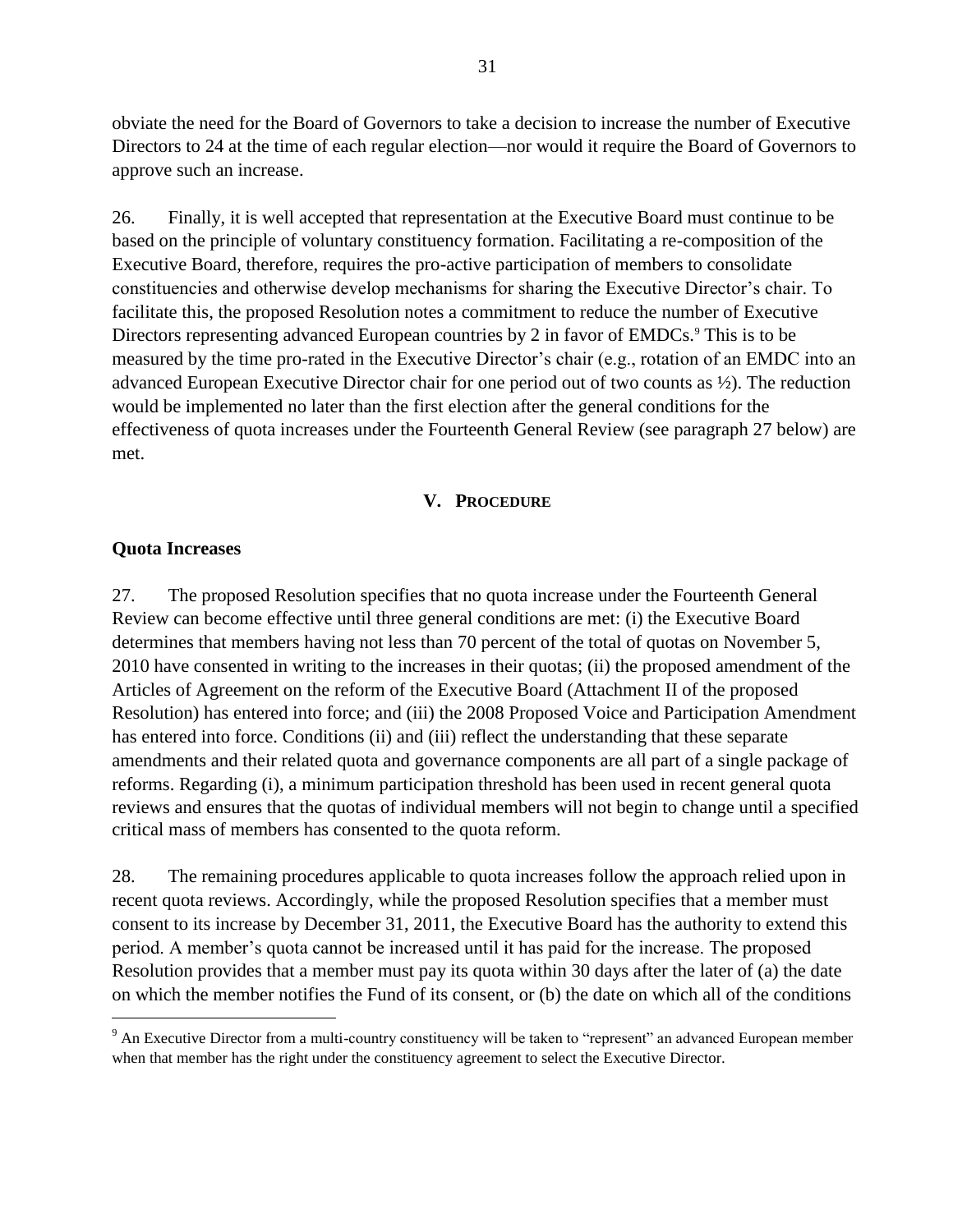obviate the need for the Board of Governors to take a decision to increase the number of Executive Directors to 24 at the time of each regular election—nor would it require the Board of Governors to approve such an increase.

26. Finally, it is well accepted that representation at the Executive Board must continue to be based on the principle of voluntary constituency formation. Facilitating a re-composition of the Executive Board, therefore, requires the pro-active participation of members to consolidate constituencies and otherwise develop mechanisms for sharing the Executive Director's chair. To facilitate this, the proposed Resolution notes a commitment to reduce the number of Executive Directors representing advanced European countries by 2 in favor of EMDCs.<sup>9</sup> This is to be measured by the time pro-rated in the Executive Director's chair (e.g., rotation of an EMDC into an advanced European Executive Director chair for one period out of two counts as ½). The reduction would be implemented no later than the first election after the general conditions for the effectiveness of quota increases under the Fourteenth General Review (see paragraph 27 below) are met.

### **V. PROCEDURE**

### **Quota Increases**

 $\overline{a}$ 

27. The proposed Resolution specifies that no quota increase under the Fourteenth General Review can become effective until three general conditions are met: (i) the Executive Board determines that members having not less than 70 percent of the total of quotas on November 5, 2010 have consented in writing to the increases in their quotas; (ii) the proposed amendment of the Articles of Agreement on the reform of the Executive Board (Attachment II of the proposed Resolution) has entered into force; and (iii) the 2008 Proposed Voice and Participation Amendment has entered into force. Conditions (ii) and (iii) reflect the understanding that these separate amendments and their related quota and governance components are all part of a single package of reforms. Regarding (i), a minimum participation threshold has been used in recent general quota reviews and ensures that the quotas of individual members will not begin to change until a specified critical mass of members has consented to the quota reform.

28. The remaining procedures applicable to quota increases follow the approach relied upon in recent quota reviews. Accordingly, while the proposed Resolution specifies that a member must consent to its increase by December 31, 2011, the Executive Board has the authority to extend this period. A member's quota cannot be increased until it has paid for the increase. The proposed Resolution provides that a member must pay its quota within 30 days after the later of (a) the date on which the member notifies the Fund of its consent, or (b) the date on which all of the conditions

<sup>9</sup> An Executive Director from a multi-country constituency will be taken to "represent" an advanced European member when that member has the right under the constituency agreement to select the Executive Director.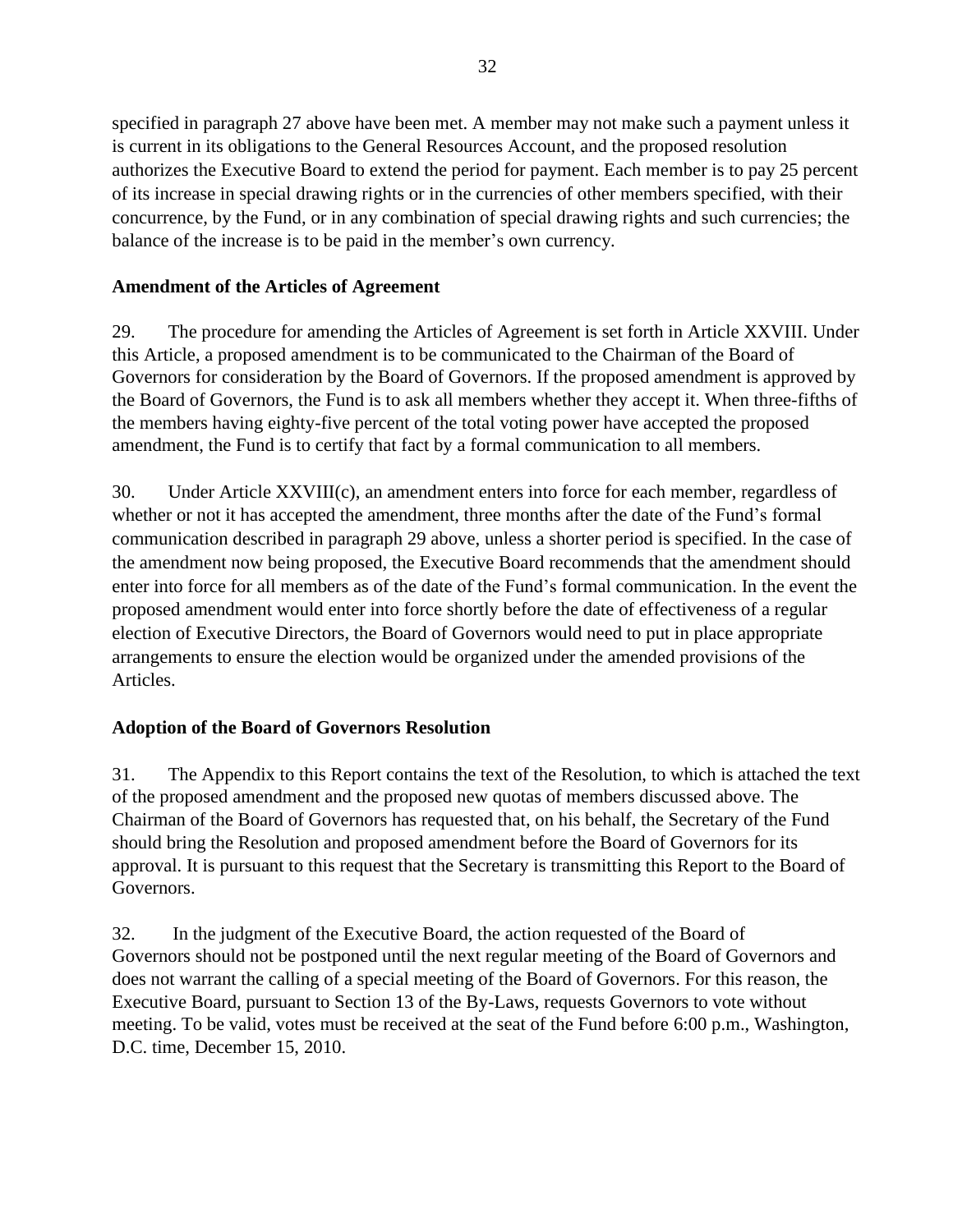specified in paragraph 27 above have been met. A member may not make such a payment unless it is current in its obligations to the General Resources Account, and the proposed resolution authorizes the Executive Board to extend the period for payment. Each member is to pay 25 percent of its increase in special drawing rights or in the currencies of other members specified, with their concurrence, by the Fund, or in any combination of special drawing rights and such currencies; the balance of the increase is to be paid in the member's own currency.

## **Amendment of the Articles of Agreement**

29. The procedure for amending the Articles of Agreement is set forth in Article XXVIII. Under this Article, a proposed amendment is to be communicated to the Chairman of the Board of Governors for consideration by the Board of Governors. If the proposed amendment is approved by the Board of Governors, the Fund is to ask all members whether they accept it. When three-fifths of the members having eighty-five percent of the total voting power have accepted the proposed amendment, the Fund is to certify that fact by a formal communication to all members.

30. Under Article XXVIII(c), an amendment enters into force for each member, regardless of whether or not it has accepted the amendment, three months after the date of the Fund's formal communication described in paragraph 29 above, unless a shorter period is specified. In the case of the amendment now being proposed, the Executive Board recommends that the amendment should enter into force for all members as of the date of the Fund's formal communication. In the event the proposed amendment would enter into force shortly before the date of effectiveness of a regular election of Executive Directors, the Board of Governors would need to put in place appropriate arrangements to ensure the election would be organized under the amended provisions of the Articles.

## **Adoption of the Board of Governors Resolution**

31. The Appendix to this Report contains the text of the Resolution, to which is attached the text of the proposed amendment and the proposed new quotas of members discussed above. The Chairman of the Board of Governors has requested that, on his behalf, the Secretary of the Fund should bring the Resolution and proposed amendment before the Board of Governors for its approval. It is pursuant to this request that the Secretary is transmitting this Report to the Board of Governors.

32. In the judgment of the Executive Board, the action requested of the Board of Governors should not be postponed until the next regular meeting of the Board of Governors and does not warrant the calling of a special meeting of the Board of Governors. For this reason, the Executive Board, pursuant to Section 13 of the By-Laws, requests Governors to vote without meeting. To be valid, votes must be received at the seat of the Fund before 6:00 p.m., Washington, D.C. time, December 15, 2010.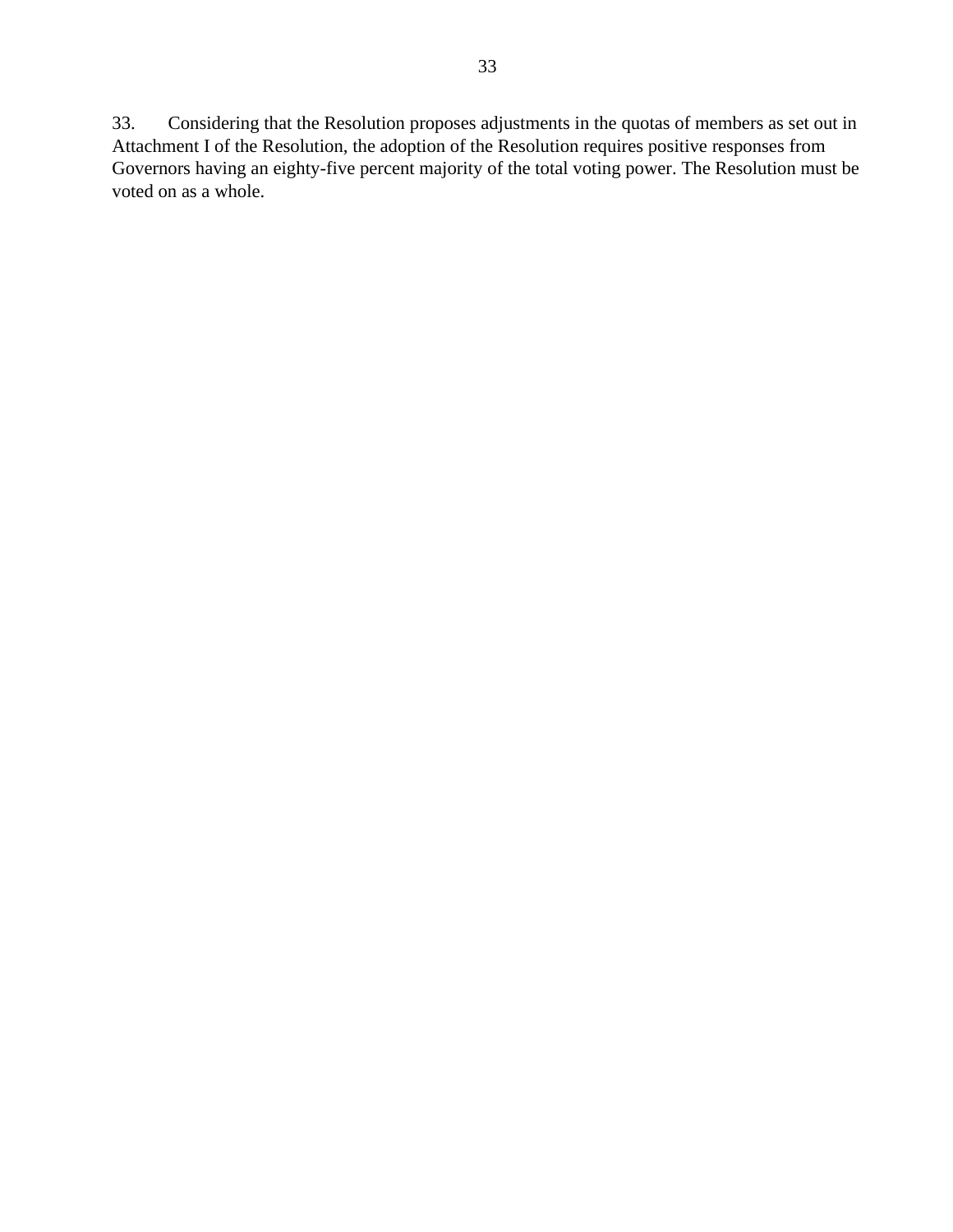33. Considering that the Resolution proposes adjustments in the quotas of members as set out in Attachment I of the Resolution, the adoption of the Resolution requires positive responses from Governors having an eighty-five percent majority of the total voting power. The Resolution must be voted on as a whole.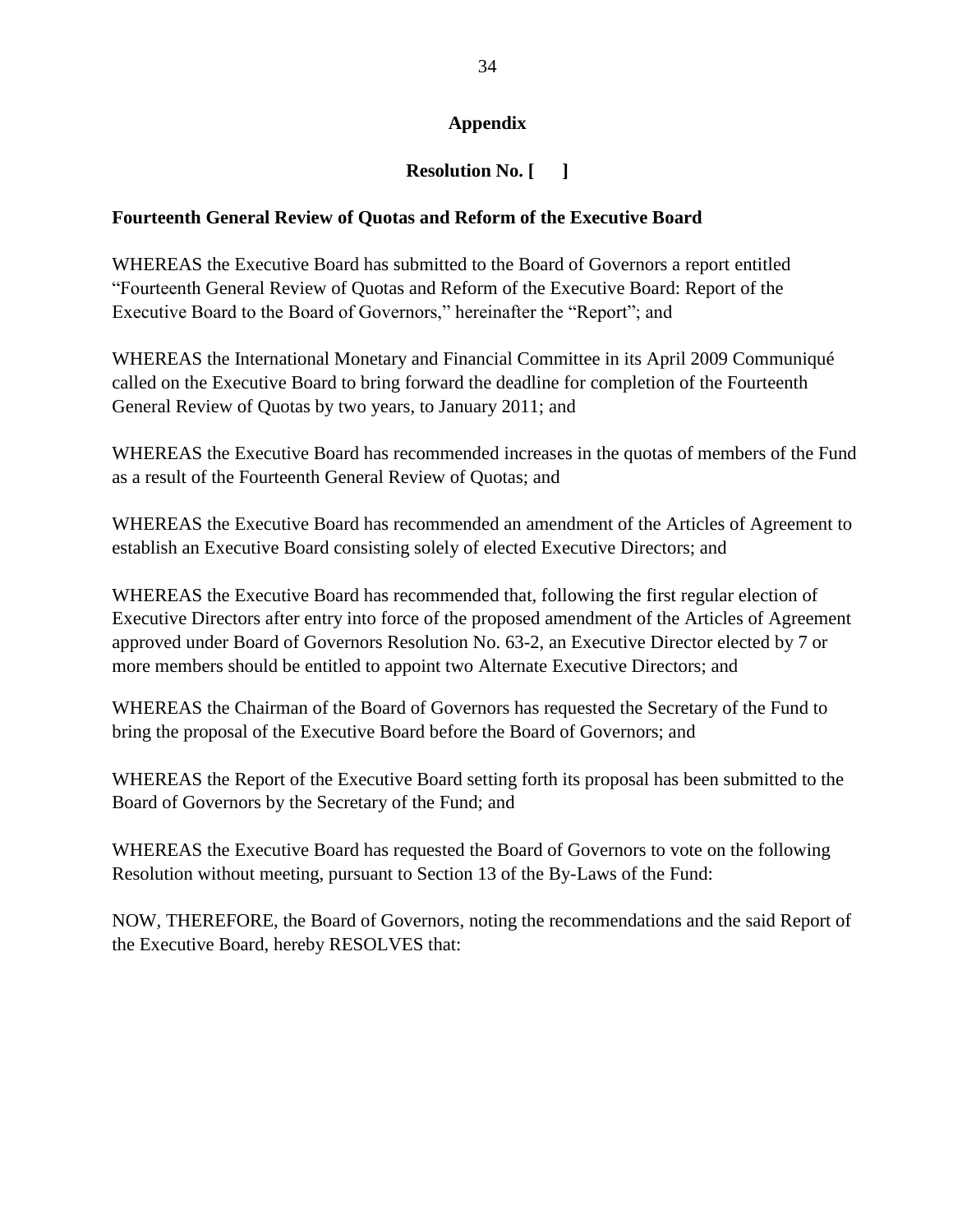## **Appendix**

## **Resolution No. [ ]**

## <span id="page-33-0"></span>**Fourteenth General Review of Quotas and Reform of the Executive Board**

WHEREAS the Executive Board has submitted to the Board of Governors a report entitled "Fourteenth General Review of Quotas and Reform of the Executive Board: Report of the Executive Board to the Board of Governors," hereinafter the "Report"; and

WHEREAS the International Monetary and Financial Committee in its April 2009 Communiqué called on the Executive Board to bring forward the deadline for completion of the Fourteenth General Review of Quotas by two years, to January 2011; and

WHEREAS the Executive Board has recommended increases in the quotas of members of the Fund as a result of the Fourteenth General Review of Quotas; and

WHEREAS the Executive Board has recommended an amendment of the Articles of Agreement to establish an Executive Board consisting solely of elected Executive Directors; and

WHEREAS the Executive Board has recommended that, following the first regular election of Executive Directors after entry into force of the proposed amendment of the Articles of Agreement approved under Board of Governors Resolution No. 63-2, an Executive Director elected by 7 or more members should be entitled to appoint two Alternate Executive Directors; and

WHEREAS the Chairman of the Board of Governors has requested the Secretary of the Fund to bring the proposal of the Executive Board before the Board of Governors; and

WHEREAS the Report of the Executive Board setting forth its proposal has been submitted to the Board of Governors by the Secretary of the Fund; and

WHEREAS the Executive Board has requested the Board of Governors to vote on the following Resolution without meeting, pursuant to Section 13 of the By-Laws of the Fund:

NOW, THEREFORE, the Board of Governors, noting the recommendations and the said Report of the Executive Board, hereby RESOLVES that: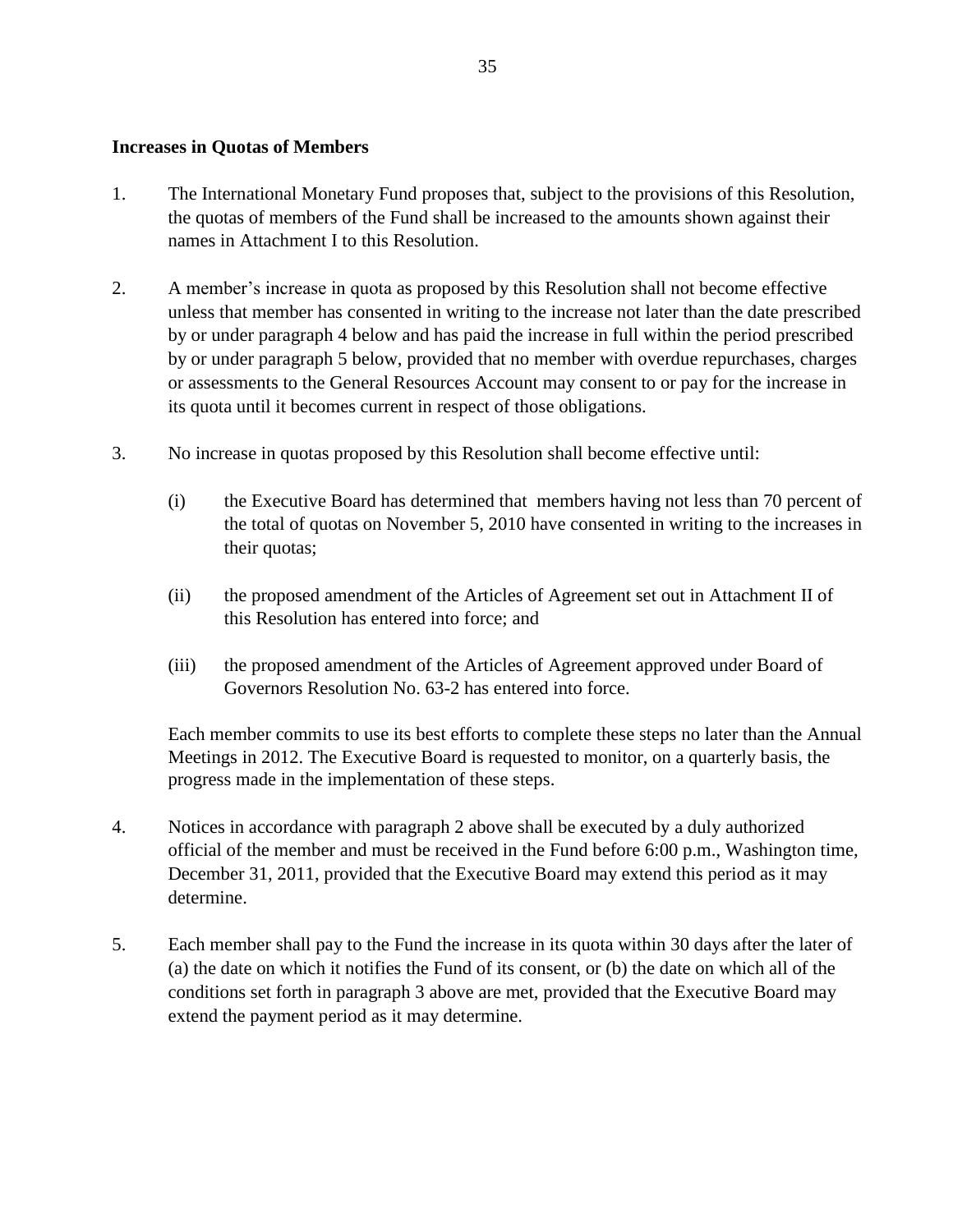### **Increases in Quotas of Members**

- 1. The International Monetary Fund proposes that, subject to the provisions of this Resolution, the quotas of members of the Fund shall be increased to the amounts shown against their names in Attachment I to this Resolution.
- 2. A member's increase in quota as proposed by this Resolution shall not become effective unless that member has consented in writing to the increase not later than the date prescribed by or under paragraph 4 below and has paid the increase in full within the period prescribed by or under paragraph 5 below, provided that no member with overdue repurchases, charges or assessments to the General Resources Account may consent to or pay for the increase in its quota until it becomes current in respect of those obligations.
- 3. No increase in quotas proposed by this Resolution shall become effective until:
	- (i) the Executive Board has determined that members having not less than 70 percent of the total of quotas on November 5, 2010 have consented in writing to the increases in their quotas;
	- (ii) the proposed amendment of the Articles of Agreement set out in Attachment II of this Resolution has entered into force; and
	- (iii) the proposed amendment of the Articles of Agreement approved under Board of Governors Resolution No. 63-2 has entered into force.

Each member commits to use its best efforts to complete these steps no later than the Annual Meetings in 2012. The Executive Board is requested to monitor, on a quarterly basis, the progress made in the implementation of these steps.

- 4. Notices in accordance with paragraph 2 above shall be executed by a duly authorized official of the member and must be received in the Fund before 6:00 p.m., Washington time, December 31, 2011, provided that the Executive Board may extend this period as it may determine.
- 5. Each member shall pay to the Fund the increase in its quota within 30 days after the later of (a) the date on which it notifies the Fund of its consent, or (b) the date on which all of the conditions set forth in paragraph 3 above are met, provided that the Executive Board may extend the payment period as it may determine.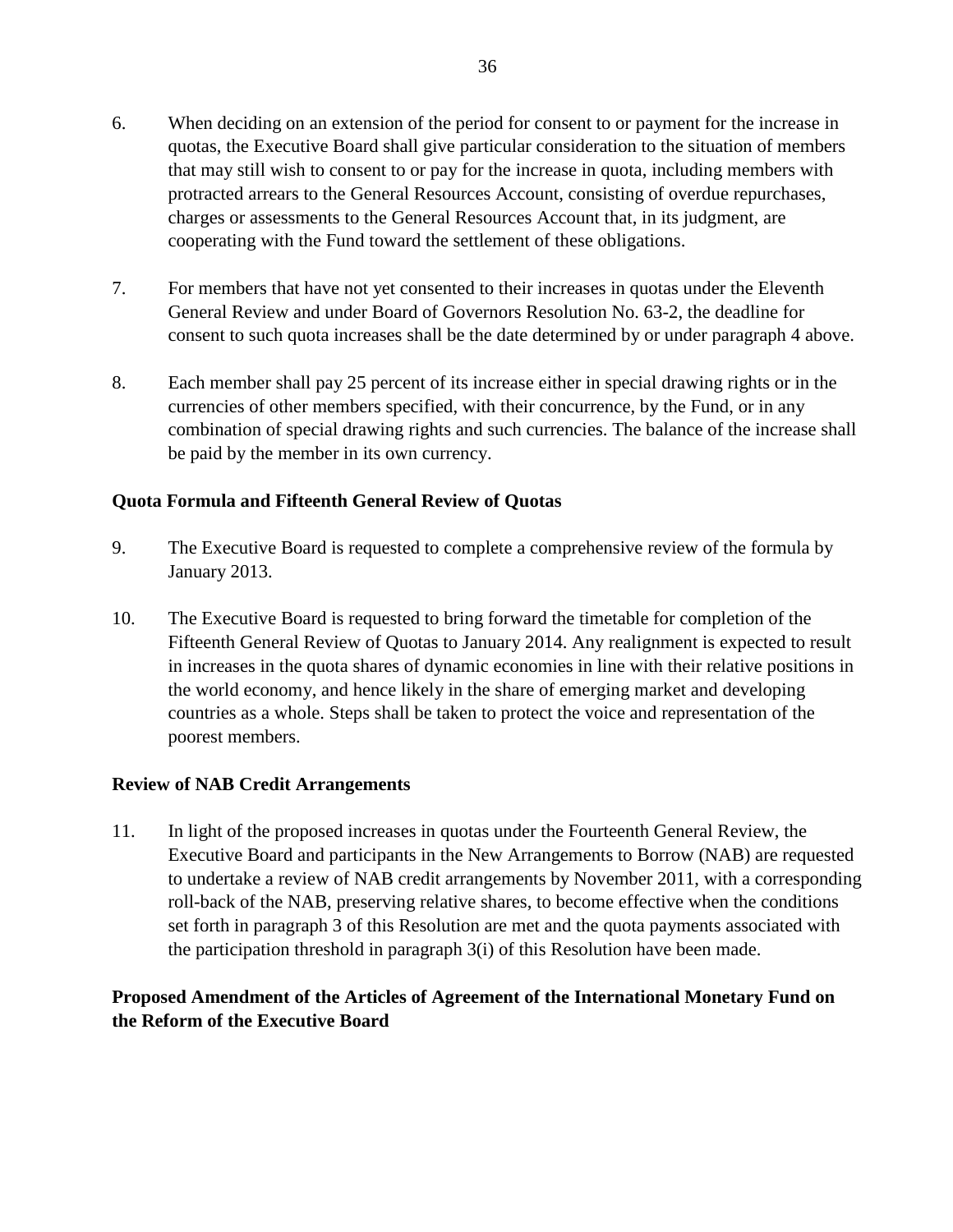- 6. When deciding on an extension of the period for consent to or payment for the increase in quotas, the Executive Board shall give particular consideration to the situation of members that may still wish to consent to or pay for the increase in quota, including members with protracted arrears to the General Resources Account, consisting of overdue repurchases, charges or assessments to the General Resources Account that, in its judgment, are cooperating with the Fund toward the settlement of these obligations.
- 7. For members that have not yet consented to their increases in quotas under the Eleventh General Review and under Board of Governors Resolution No. 63-2, the deadline for consent to such quota increases shall be the date determined by or under paragraph 4 above.
- 8. Each member shall pay 25 percent of its increase either in special drawing rights or in the currencies of other members specified, with their concurrence, by the Fund, or in any combination of special drawing rights and such currencies. The balance of the increase shall be paid by the member in its own currency.

## **Quota Formula and Fifteenth General Review of Quotas**

- 9. The Executive Board is requested to complete a comprehensive review of the formula by January 2013.
- 10. The Executive Board is requested to bring forward the timetable for completion of the Fifteenth General Review of Quotas to January 2014. Any realignment is expected to result in increases in the quota shares of dynamic economies in line with their relative positions in the world economy, and hence likely in the share of emerging market and developing countries as a whole. Steps shall be taken to protect the voice and representation of the poorest members.

### **Review of NAB Credit Arrangements**

11. In light of the proposed increases in quotas under the Fourteenth General Review, the Executive Board and participants in the New Arrangements to Borrow (NAB) are requested to undertake a review of NAB credit arrangements by November 2011, with a corresponding roll-back of the NAB, preserving relative shares, to become effective when the conditions set forth in paragraph 3 of this Resolution are met and the quota payments associated with the participation threshold in paragraph 3(i) of this Resolution have been made.

## **Proposed Amendment of the Articles of Agreement of the International Monetary Fund on the Reform of the Executive Board**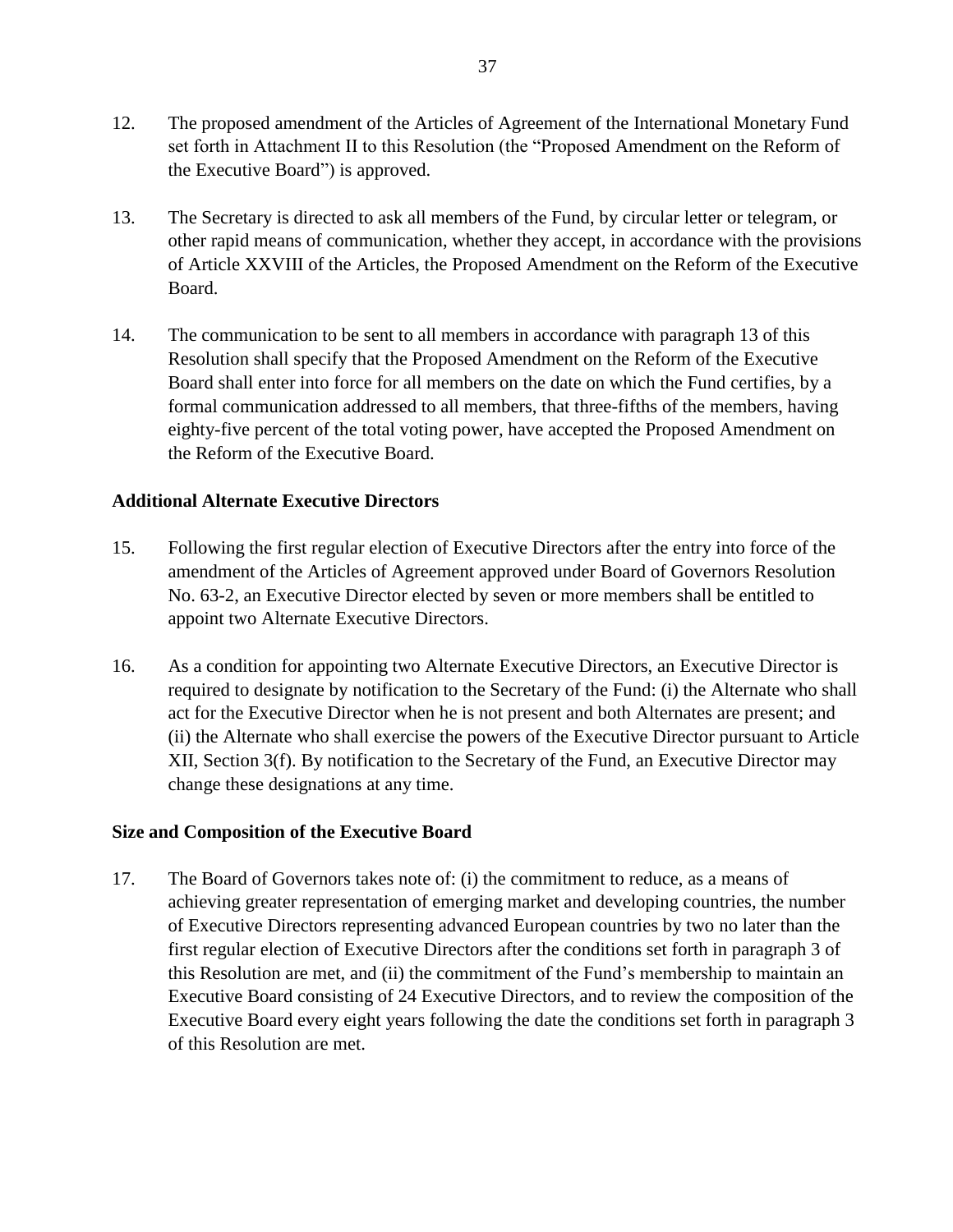- 12. The proposed amendment of the Articles of Agreement of the International Monetary Fund set forth in Attachment II to this Resolution (the "Proposed Amendment on the Reform of the Executive Board") is approved.
- 13. The Secretary is directed to ask all members of the Fund, by circular letter or telegram, or other rapid means of communication, whether they accept, in accordance with the provisions of Article XXVIII of the Articles, the Proposed Amendment on the Reform of the Executive Board.
- 14. The communication to be sent to all members in accordance with paragraph 13 of this Resolution shall specify that the Proposed Amendment on the Reform of the Executive Board shall enter into force for all members on the date on which the Fund certifies, by a formal communication addressed to all members, that three-fifths of the members, having eighty-five percent of the total voting power, have accepted the Proposed Amendment on the Reform of the Executive Board.

### **Additional Alternate Executive Directors**

- 15. Following the first regular election of Executive Directors after the entry into force of the amendment of the Articles of Agreement approved under Board of Governors Resolution No. 63-2, an Executive Director elected by seven or more members shall be entitled to appoint two Alternate Executive Directors.
- 16. As a condition for appointing two Alternate Executive Directors, an Executive Director is required to designate by notification to the Secretary of the Fund: (i) the Alternate who shall act for the Executive Director when he is not present and both Alternates are present; and (ii) the Alternate who shall exercise the powers of the Executive Director pursuant to Article XII, Section 3(f). By notification to the Secretary of the Fund, an Executive Director may change these designations at any time.

### **Size and Composition of the Executive Board**

17. The Board of Governors takes note of: (i) the commitment to reduce, as a means of achieving greater representation of emerging market and developing countries, the number of Executive Directors representing advanced European countries by two no later than the first regular election of Executive Directors after the conditions set forth in paragraph 3 of this Resolution are met, and (ii) the commitment of the Fund's membership to maintain an Executive Board consisting of 24 Executive Directors, and to review the composition of the Executive Board every eight years following the date the conditions set forth in paragraph 3 of this Resolution are met.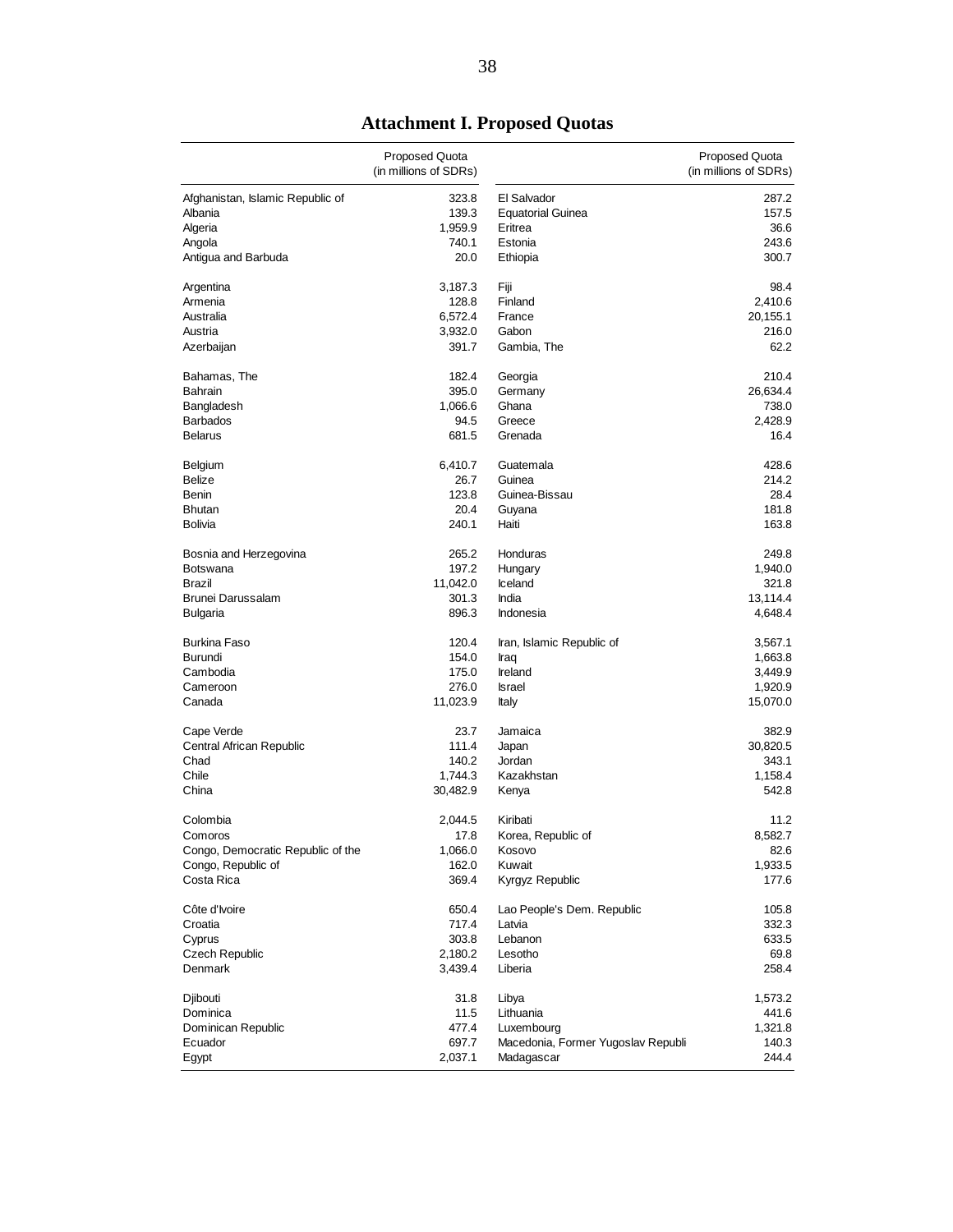|                                   | <b>Proposed Quota</b><br>(in millions of SDRs) | <b>Proposed Quota</b><br>(in millions of SDRs) |          |  |  |  |
|-----------------------------------|------------------------------------------------|------------------------------------------------|----------|--|--|--|
| Afghanistan, Islamic Republic of  | 323.8                                          | El Salvador                                    | 287.2    |  |  |  |
| Albania                           | 139.3                                          | <b>Equatorial Guinea</b>                       | 157.5    |  |  |  |
| Algeria                           | 1,959.9                                        | Eritrea                                        | 36.6     |  |  |  |
| Angola                            | 740.1                                          | Estonia                                        | 243.6    |  |  |  |
| Antigua and Barbuda               | 20.0                                           | Ethiopia                                       | 300.7    |  |  |  |
| Argentina                         | 3,187.3                                        | Fiji                                           | 98.4     |  |  |  |
| Armenia                           | 128.8                                          | Finland                                        | 2,410.6  |  |  |  |
| Australia                         | 6,572.4                                        | France                                         | 20,155.1 |  |  |  |
| Austria                           | 3,932.0                                        | Gabon                                          | 216.0    |  |  |  |
| Azerbaijan                        | 391.7                                          | Gambia, The                                    | 62.2     |  |  |  |
| Bahamas, The                      | 182.4                                          | Georgia                                        | 210.4    |  |  |  |
| Bahrain                           | 395.0                                          | Germany                                        | 26,634.4 |  |  |  |
| Bangladesh                        | 1,066.6                                        | Ghana                                          | 738.0    |  |  |  |
| <b>Barbados</b>                   | 94.5                                           | Greece                                         | 2,428.9  |  |  |  |
| <b>Belarus</b>                    | 681.5                                          | Grenada                                        | 16.4     |  |  |  |
| Belgium                           | 6,410.7                                        | Guatemala                                      | 428.6    |  |  |  |
| Belize                            | 26.7                                           | Guinea                                         | 214.2    |  |  |  |
| Benin                             | 123.8                                          | Guinea-Bissau                                  | 28.4     |  |  |  |
| <b>Bhutan</b>                     | 20.4                                           | Guyana                                         | 181.8    |  |  |  |
| Bolivia                           | 240.1                                          | Haiti                                          | 163.8    |  |  |  |
| Bosnia and Herzegovina            | 265.2                                          | Honduras                                       | 249.8    |  |  |  |
| <b>Botswana</b>                   | 197.2                                          | Hungary                                        | 1,940.0  |  |  |  |
| Brazil                            | 11,042.0                                       | Iceland                                        | 321.8    |  |  |  |
| Brunei Darussalam                 | 301.3                                          | India                                          | 13,114.4 |  |  |  |
| <b>Bulgaria</b>                   | 896.3                                          | Indonesia                                      | 4,648.4  |  |  |  |
| Burkina Faso                      | 120.4                                          | Iran, Islamic Republic of                      | 3,567.1  |  |  |  |
| Burundi                           | 154.0                                          | Iraq                                           | 1,663.8  |  |  |  |
| Cambodia                          | 175.0                                          | Ireland                                        | 3,449.9  |  |  |  |
| Cameroon                          | 276.0                                          | <b>Israel</b>                                  | 1,920.9  |  |  |  |
| Canada                            | 11,023.9                                       | Italy                                          | 15,070.0 |  |  |  |
| Cape Verde                        | 23.7                                           | Jamaica                                        | 382.9    |  |  |  |
| Central African Republic          | 111.4                                          | Japan                                          | 30,820.5 |  |  |  |
| Chad                              | 140.2                                          | Jordan                                         | 343.1    |  |  |  |
| Chile                             | 1,744.3                                        | Kazakhstan                                     | 1,158.4  |  |  |  |
| China                             | 30,482.9                                       | Kenya                                          | 542.8    |  |  |  |
| Colombia                          | 2,044.5                                        | Kiribati                                       | 11.2     |  |  |  |
| Comoros                           | 17.8                                           | Korea, Republic of                             | 8,582.7  |  |  |  |
| Congo, Democratic Republic of the | 1,066.0                                        | Kosovo                                         | 82.6     |  |  |  |
| Congo, Republic of                | 162.0                                          | Kuwait                                         | 1,933.5  |  |  |  |
| Costa Rica                        | 369.4                                          | Kyrgyz Republic                                | 177.6    |  |  |  |
| Côte d'Ivoire                     | 650.4                                          | Lao People's Dem. Republic                     | 105.8    |  |  |  |
| Croatia                           | 717.4                                          | Latvia                                         | 332.3    |  |  |  |
| Cyprus                            | 303.8                                          | Lebanon                                        | 633.5    |  |  |  |
| Czech Republic                    | 2,180.2                                        | Lesotho                                        | 69.8     |  |  |  |
| Denmark                           | 3,439.4                                        | Liberia                                        | 258.4    |  |  |  |
| Djibouti                          | 31.8                                           | Libya                                          | 1,573.2  |  |  |  |
| Dominica                          | 11.5                                           | Lithuania                                      | 441.6    |  |  |  |
| Dominican Republic                | 477.4                                          | Luxembourg                                     | 1,321.8  |  |  |  |
| Ecuador                           | 697.7                                          | Macedonia, Former Yugoslav Republi             | 140.3    |  |  |  |
| Egypt                             | 2,037.1                                        | Madagascar                                     | 244.4    |  |  |  |

**Attachment I. Proposed Quotas**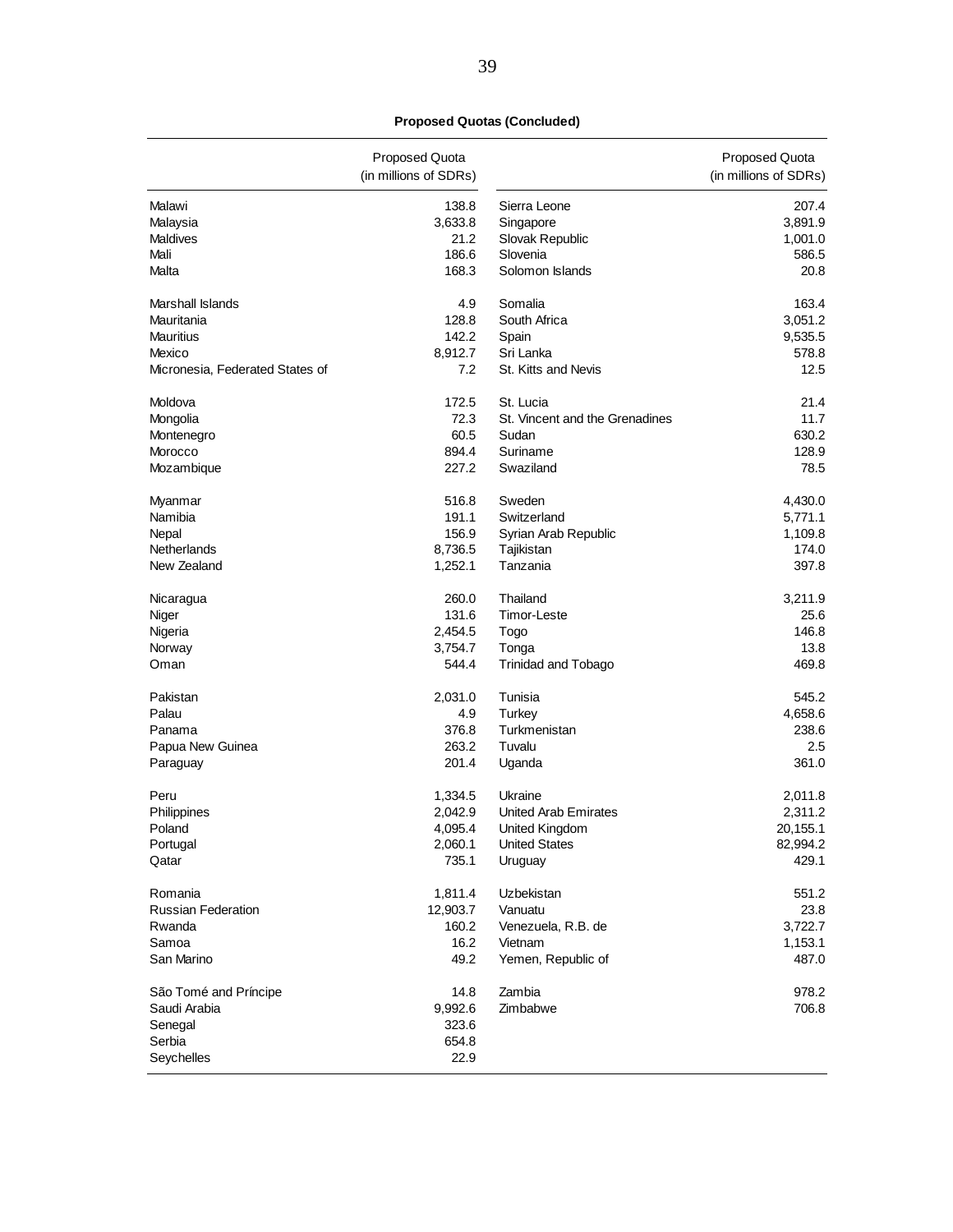#### **Proposed Quotas (Concluded)**

|                                 | <b>Proposed Quota</b><br>(in millions of SDRs) |                                | <b>Proposed Quota</b><br>(in millions of SDRs) |
|---------------------------------|------------------------------------------------|--------------------------------|------------------------------------------------|
| Malawi                          | 138.8                                          | Sierra Leone                   | 207.4                                          |
| Malaysia                        | 3,633.8                                        | Singapore                      | 3,891.9                                        |
| <b>Maldives</b>                 | 21.2                                           | Slovak Republic                | 1,001.0                                        |
| Mali                            | 186.6                                          | Slovenia                       | 586.5                                          |
| Malta                           | 168.3                                          | Solomon Islands                | 20.8                                           |
|                                 |                                                |                                |                                                |
| Marshall Islands                | 4.9                                            | Somalia                        | 163.4                                          |
| Mauritania                      | 128.8                                          | South Africa                   | 3,051.2                                        |
| <b>Mauritius</b>                | 142.2                                          | Spain                          | 9,535.5                                        |
| Mexico                          | 8,912.7                                        | Sri Lanka                      | 578.8                                          |
| Micronesia, Federated States of | 7.2                                            | St. Kitts and Nevis            | 12.5                                           |
| Moldova                         | 172.5                                          | St. Lucia                      | 21.4                                           |
| Mongolia                        | 72.3                                           | St. Vincent and the Grenadines | 11.7                                           |
| Montenegro                      | 60.5                                           | Sudan                          | 630.2                                          |
| Morocco                         | 894.4                                          | Suriname                       | 128.9                                          |
| Mozambique                      | 227.2                                          | Swaziland                      | 78.5                                           |
|                                 |                                                |                                |                                                |
| Myanmar                         | 516.8                                          | Sweden                         | 4,430.0                                        |
| Namibia                         | 191.1                                          | Switzerland                    | 5,771.1                                        |
| Nepal                           | 156.9                                          | Syrian Arab Republic           | 1,109.8                                        |
| Netherlands                     | 8,736.5                                        | Tajikistan                     | 174.0                                          |
| New Zealand                     | 1,252.1                                        | Tanzania                       | 397.8                                          |
| Nicaragua                       | 260.0                                          | Thailand                       | 3,211.9                                        |
| Niger                           | 131.6                                          | <b>Timor-Leste</b>             | 25.6                                           |
| Nigeria                         | 2,454.5                                        | Togo                           | 146.8                                          |
| Norway                          | 3,754.7                                        | Tonga                          | 13.8                                           |
| Oman                            | 544.4                                          | <b>Trinidad and Tobago</b>     | 469.8                                          |
|                                 |                                                |                                |                                                |
| Pakistan                        | 2,031.0                                        | Tunisia                        | 545.2                                          |
| Palau                           | 4.9                                            | Turkey                         | 4,658.6                                        |
| Panama                          | 376.8                                          | Turkmenistan                   | 238.6                                          |
| Papua New Guinea                | 263.2                                          | Tuvalu                         | 2.5                                            |
| Paraguay                        | 201.4                                          | Uganda                         | 361.0                                          |
| Peru                            | 1,334.5                                        | Ukraine                        | 2,011.8                                        |
| Philippines                     | 2,042.9                                        | United Arab Emirates           | 2,311.2                                        |
| Poland                          | 4,095.4                                        | United Kingdom                 | 20,155.1                                       |
| Portugal                        | 2,060.1                                        | <b>United States</b>           | 82,994.2                                       |
| Qatar                           | 735.1                                          | Uruguay                        | 429.1                                          |
| Romania                         | 1,811.4                                        | Uzbekistan                     | 551.2                                          |
| <b>Russian Federation</b>       | 12,903.7                                       | Vanuatu                        | 23.8                                           |
| Rwanda                          | 160.2                                          | Venezuela, R.B. de             | 3,722.7                                        |
| Samoa                           | 16.2                                           | Vietnam                        | 1,153.1                                        |
| San Marino                      | 49.2                                           | Yemen, Republic of             | 487.0                                          |
|                                 |                                                |                                |                                                |
| São Tomé and Príncipe           | 14.8                                           | Zambia                         | 978.2                                          |
| Saudi Arabia                    | 9,992.6                                        | Zimbabwe                       | 706.8                                          |
| Senegal                         | 323.6                                          |                                |                                                |
| Serbia                          | 654.8                                          |                                |                                                |
| Seychelles                      | 22.9                                           |                                |                                                |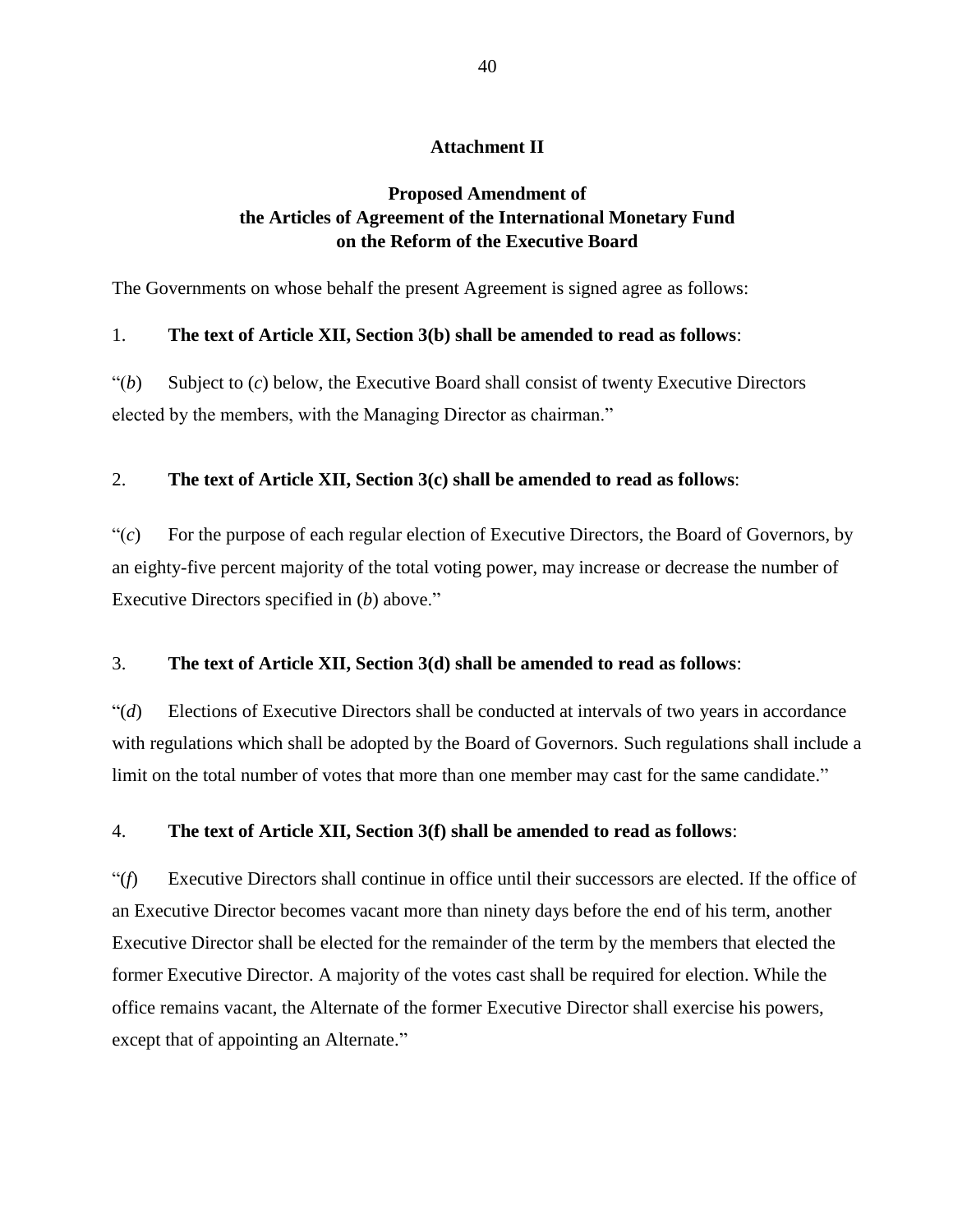### **Attachment II**

## **Proposed Amendment of the Articles of Agreement of the International Monetary Fund on the Reform of the Executive Board**

The Governments on whose behalf the present Agreement is signed agree as follows:

### 1. **The text of Article XII, Section 3(b) shall be amended to read as follows**:

"(*b*) Subject to (*c*) below, the Executive Board shall consist of twenty Executive Directors elected by the members, with the Managing Director as chairman."

### 2. **The text of Article XII, Section 3(c) shall be amended to read as follows**:

 $\zeta(c)$  For the purpose of each regular election of Executive Directors, the Board of Governors, by an eighty-five percent majority of the total voting power, may increase or decrease the number of Executive Directors specified in (*b*) above."

### 3. **The text of Article XII, Section 3(d) shall be amended to read as follows**:

"(*d*) Elections of Executive Directors shall be conducted at intervals of two years in accordance with regulations which shall be adopted by the Board of Governors. Such regulations shall include a limit on the total number of votes that more than one member may cast for the same candidate."

### 4. **The text of Article XII, Section 3(f) shall be amended to read as follows**:

"(*f*) Executive Directors shall continue in office until their successors are elected. If the office of an Executive Director becomes vacant more than ninety days before the end of his term, another Executive Director shall be elected for the remainder of the term by the members that elected the former Executive Director. A majority of the votes cast shall be required for election. While the office remains vacant, the Alternate of the former Executive Director shall exercise his powers, except that of appointing an Alternate."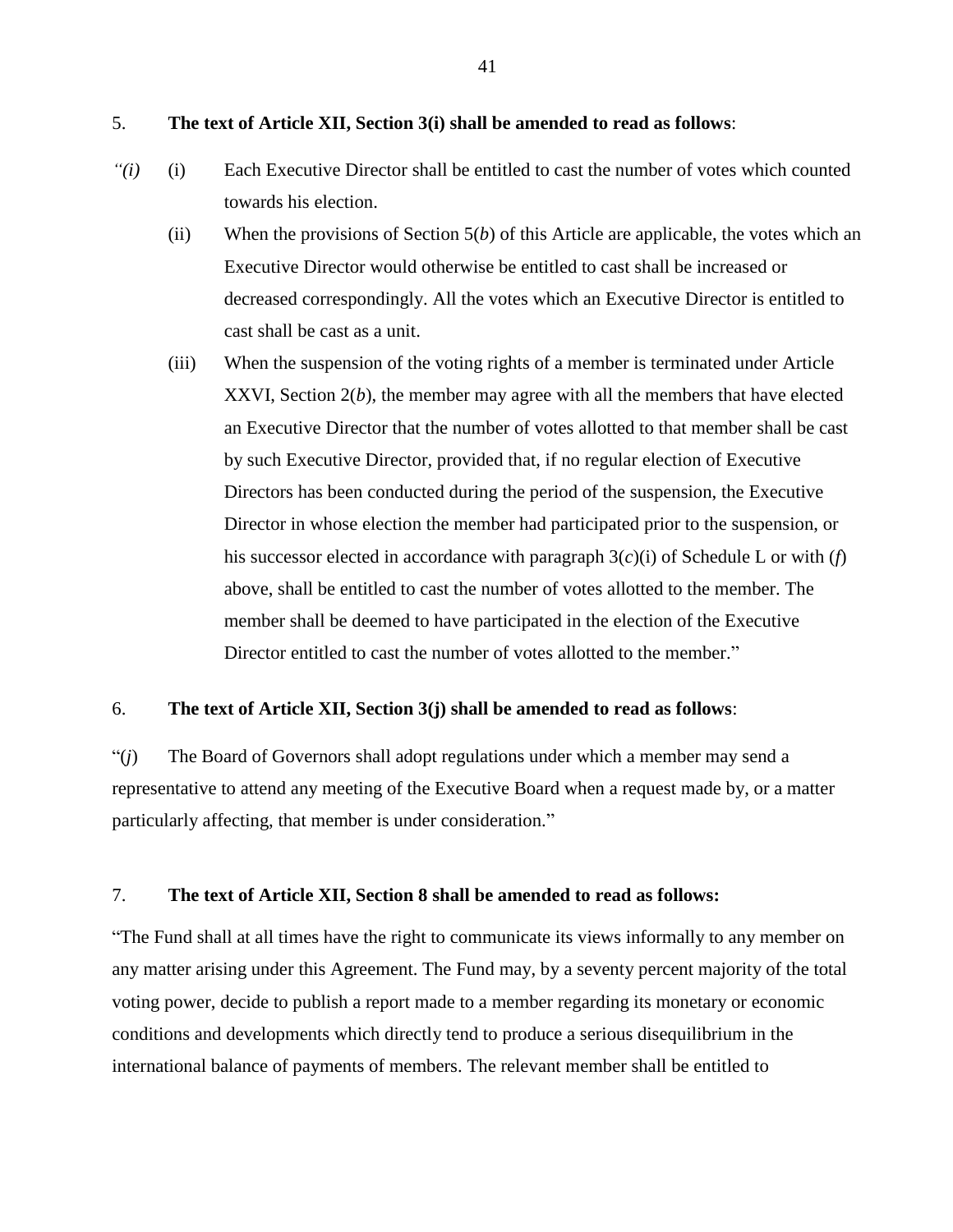```
5. The text of Article XII, Section 3(i) shall be amended to read as follows:
```
- *"(i)* (i) Each Executive Director shall be entitled to cast the number of votes which counted towards his election.
	- (ii) When the provisions of Section 5(*b*) of this Article are applicable, the votes which an Executive Director would otherwise be entitled to cast shall be increased or decreased correspondingly. All the votes which an Executive Director is entitled to cast shall be cast as a unit.
	- (iii) When the suspension of the voting rights of a member is terminated under Article XXVI, Section 2(*b*), the member may agree with all the members that have elected an Executive Director that the number of votes allotted to that member shall be cast by such Executive Director, provided that, if no regular election of Executive Directors has been conducted during the period of the suspension, the Executive Director in whose election the member had participated prior to the suspension, or his successor elected in accordance with paragraph 3(*c*)(i) of Schedule L or with (*f*) above, shall be entitled to cast the number of votes allotted to the member. The member shall be deemed to have participated in the election of the Executive Director entitled to cast the number of votes allotted to the member."

### 6. **The text of Article XII, Section 3(j) shall be amended to read as follows**:

"(*j*) The Board of Governors shall adopt regulations under which a member may send a representative to attend any meeting of the Executive Board when a request made by, or a matter particularly affecting, that member is under consideration."

### 7. **The text of Article XII, Section 8 shall be amended to read as follows:**

"The Fund shall at all times have the right to communicate its views informally to any member on any matter arising under this Agreement. The Fund may, by a seventy percent majority of the total voting power, decide to publish a report made to a member regarding its monetary or economic conditions and developments which directly tend to produce a serious disequilibrium in the international balance of payments of members. The relevant member shall be entitled to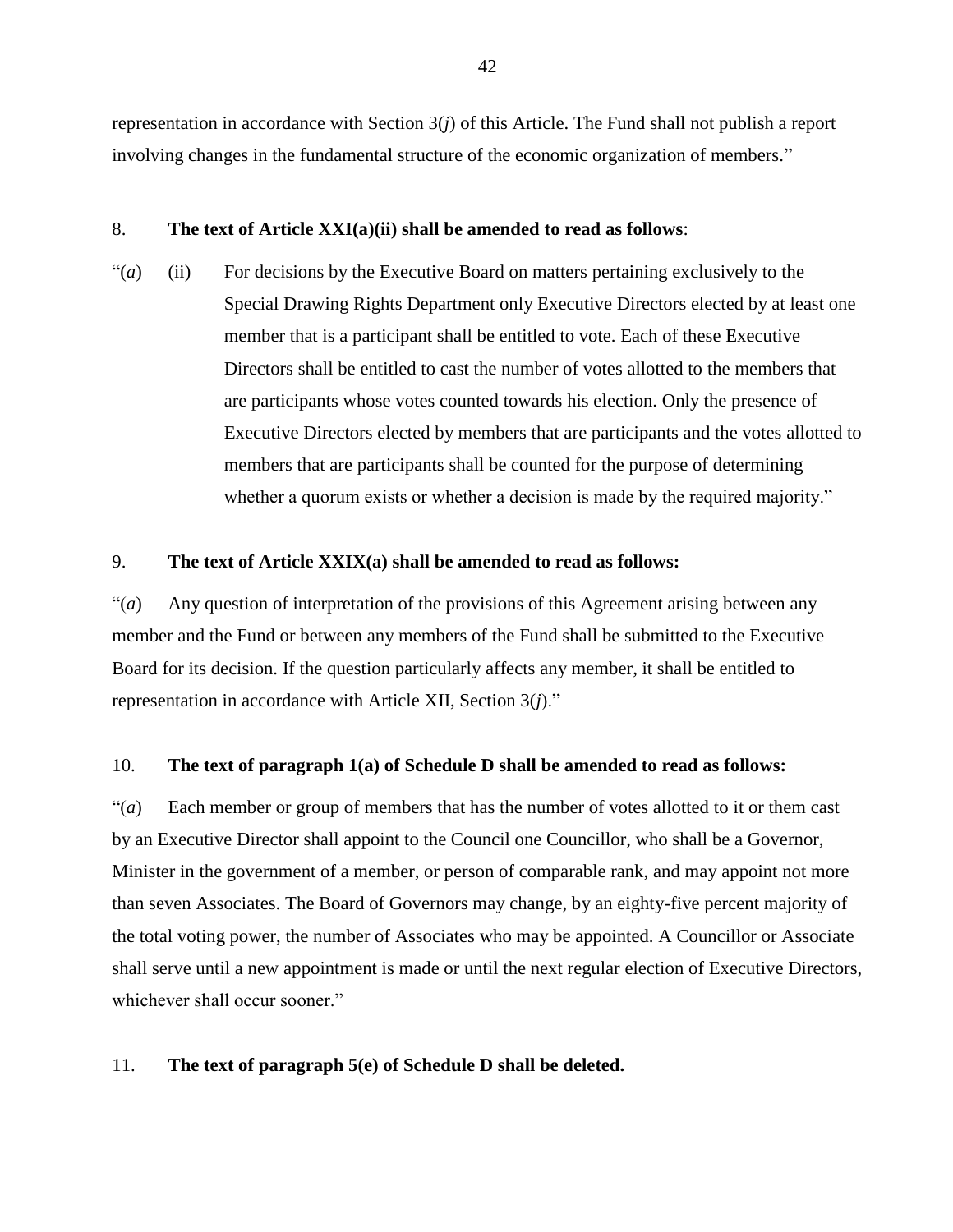representation in accordance with Section 3(*j*) of this Article. The Fund shall not publish a report involving changes in the fundamental structure of the economic organization of members."

#### 8. **The text of Article XXI(a)(ii) shall be amended to read as follows**:

"(*a*) (ii) For decisions by the Executive Board on matters pertaining exclusively to the Special Drawing Rights Department only Executive Directors elected by at least one member that is a participant shall be entitled to vote. Each of these Executive Directors shall be entitled to cast the number of votes allotted to the members that are participants whose votes counted towards his election. Only the presence of Executive Directors elected by members that are participants and the votes allotted to members that are participants shall be counted for the purpose of determining whether a quorum exists or whether a decision is made by the required majority."

#### 9. **The text of Article XXIX(a) shall be amended to read as follows:**

"(*a*) Any question of interpretation of the provisions of this Agreement arising between any member and the Fund or between any members of the Fund shall be submitted to the Executive Board for its decision. If the question particularly affects any member, it shall be entitled to representation in accordance with Article XII, Section 3(*j*)."

#### 10. **The text of paragraph 1(a) of Schedule D shall be amended to read as follows:**

"(*a*) Each member or group of members that has the number of votes allotted to it or them cast by an Executive Director shall appoint to the Council one Councillor, who shall be a Governor, Minister in the government of a member, or person of comparable rank, and may appoint not more than seven Associates. The Board of Governors may change, by an eighty-five percent majority of the total voting power, the number of Associates who may be appointed. A Councillor or Associate shall serve until a new appointment is made or until the next regular election of Executive Directors, whichever shall occur sooner."

#### 11. **The text of paragraph 5(e) of Schedule D shall be deleted.**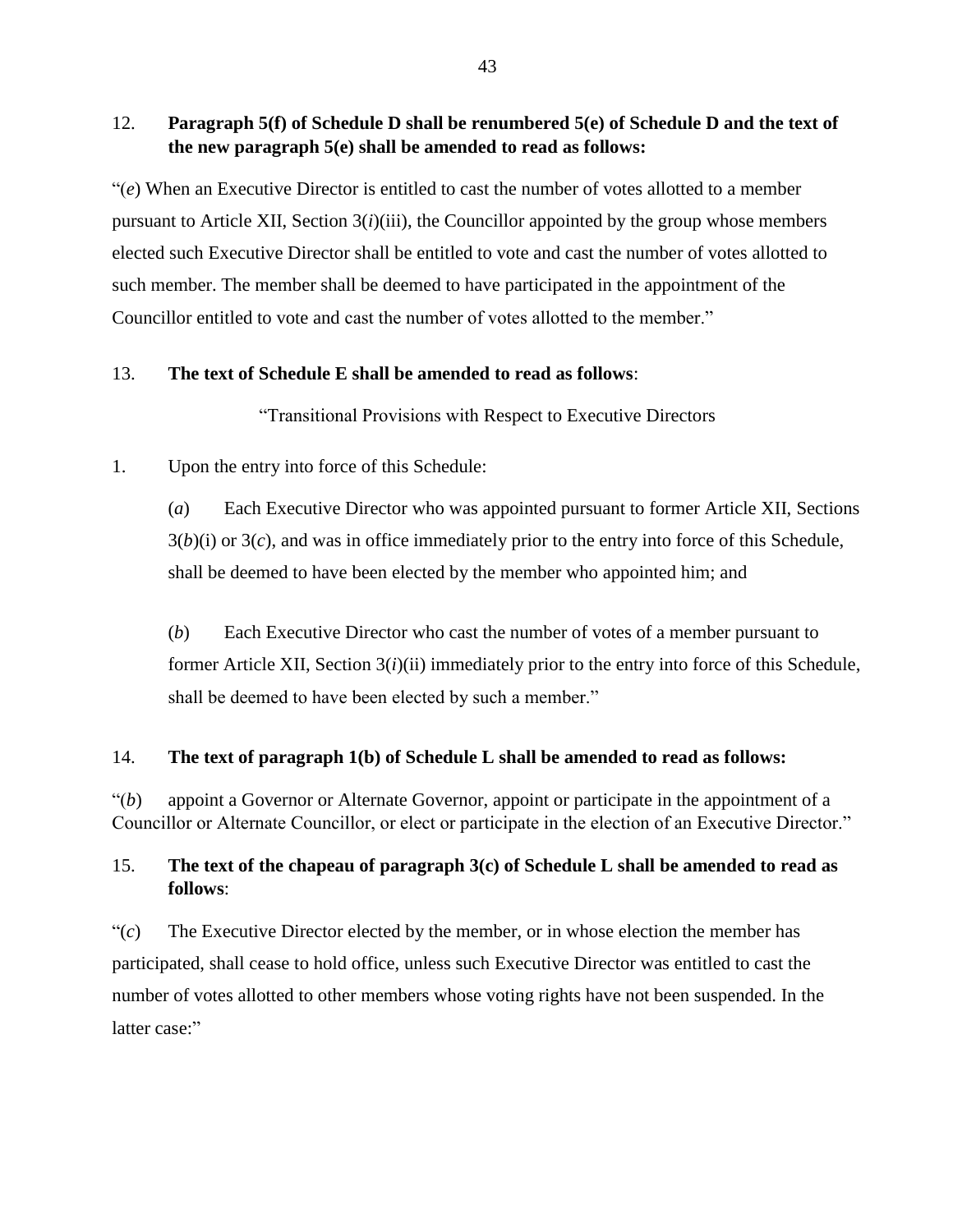## 12. **Paragraph 5(f) of Schedule D shall be renumbered 5(e) of Schedule D and the text of the new paragraph 5(e) shall be amended to read as follows:**

"(*e*) When an Executive Director is entitled to cast the number of votes allotted to a member pursuant to Article XII, Section 3(*i*)(iii), the Councillor appointed by the group whose members elected such Executive Director shall be entitled to vote and cast the number of votes allotted to such member. The member shall be deemed to have participated in the appointment of the Councillor entitled to vote and cast the number of votes allotted to the member."

### 13. **The text of Schedule E shall be amended to read as follows**:

"Transitional Provisions with Respect to Executive Directors

## 1. Upon the entry into force of this Schedule:

(*a*) Each Executive Director who was appointed pursuant to former Article XII, Sections  $3(b)(i)$  or  $3(c)$ , and was in office immediately prior to the entry into force of this Schedule, shall be deemed to have been elected by the member who appointed him; and

(*b*) Each Executive Director who cast the number of votes of a member pursuant to former Article XII, Section 3(*i*)(ii) immediately prior to the entry into force of this Schedule, shall be deemed to have been elected by such a member."

## 14. **The text of paragraph 1(b) of Schedule L shall be amended to read as follows:**

"(*b*) appoint a Governor or Alternate Governor, appoint or participate in the appointment of a Councillor or Alternate Councillor, or elect or participate in the election of an Executive Director."

## 15. **The text of the chapeau of paragraph 3(c) of Schedule L shall be amended to read as follows**:

" $(c)$  The Executive Director elected by the member, or in whose election the member has participated, shall cease to hold office, unless such Executive Director was entitled to cast the number of votes allotted to other members whose voting rights have not been suspended. In the latter case:"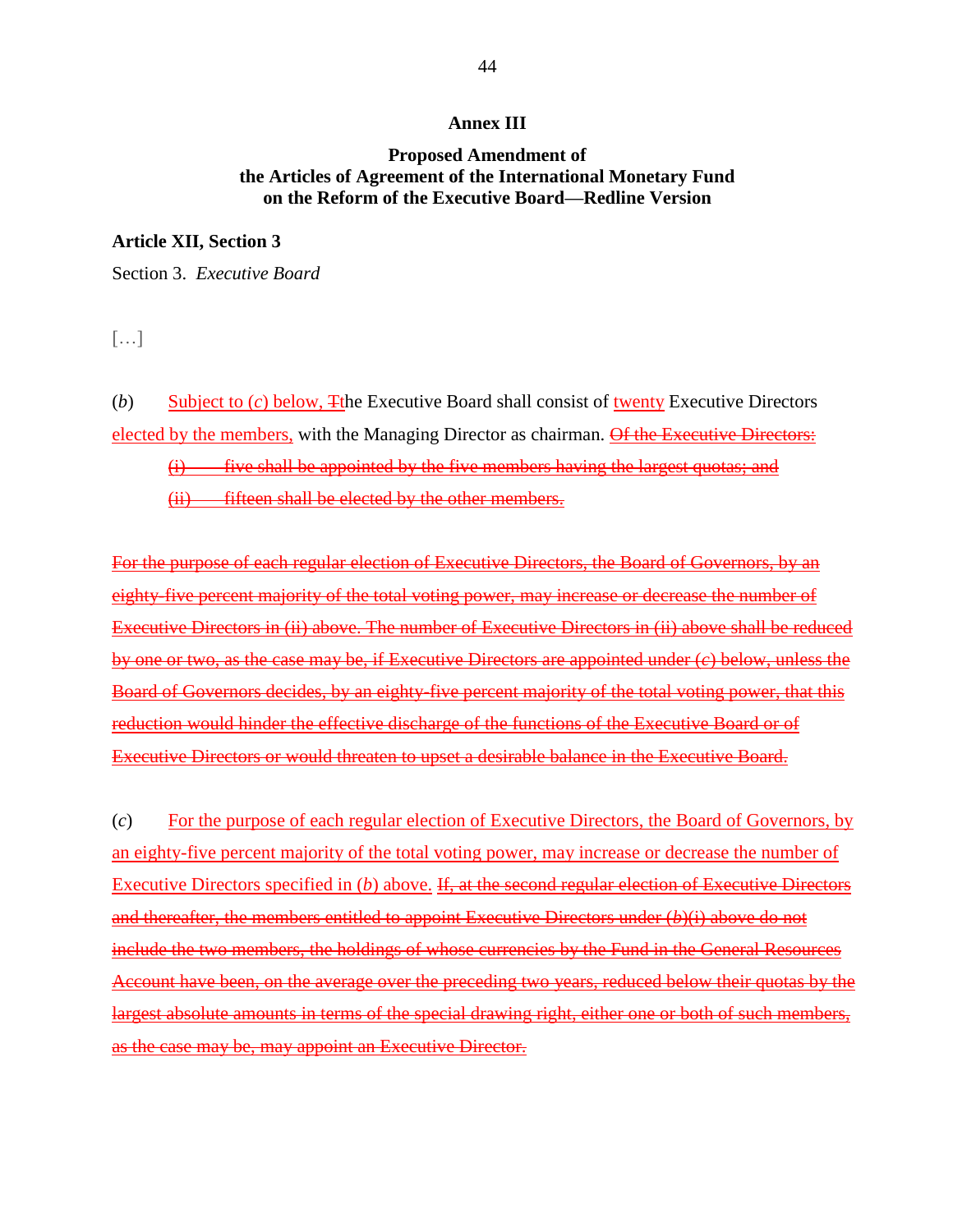#### **Annex III**

### **Proposed Amendment of the Articles of Agreement of the International Monetary Fund on the Reform of the Executive Board—Redline Version**

#### **Article XII, Section 3**

Section 3. *Executive Board*

[…]

(*b*) Subject to (*c*) below, Tthe Executive Board shall consist of twenty Executive Directors elected by the members, with the Managing Director as chairman. Of the Executive Directors: (i) five shall be appointed by the five members having the largest quotas; and

### (ii) fifteen shall be elected by the other members.

For the purpose of each regular election of Executive Directors, the Board of Governors, by an eighty-five percent majority of the total voting power, may increase or decrease the number of Executive Directors in (ii) above. The number of Executive Directors in (ii) above shall be reduced by one or two, as the case may be, if Executive Directors are appointed under (*c*) below, unless the Board of Governors decides, by an eighty-five percent majority of the total voting power, that this reduction would hinder the effective discharge of the functions of the Executive Board or of Executive Directors or would threaten to upset a desirable balance in the Executive Board.

(*c*) For the purpose of each regular election of Executive Directors, the Board of Governors, by an eighty-five percent majority of the total voting power, may increase or decrease the number of Executive Directors specified in (*b*) above. If, at the second regular election of Executive Directors and thereafter, the members entitled to appoint Executive Directors under (*b*)(i) above do not include the two members, the holdings of whose currencies by the Fund in the General Resources Account have been, on the average over the preceding two years, reduced below their quotas by the largest absolute amounts in terms of the special drawing right, either one or both of such members, as the case may be, may appoint an Executive Director.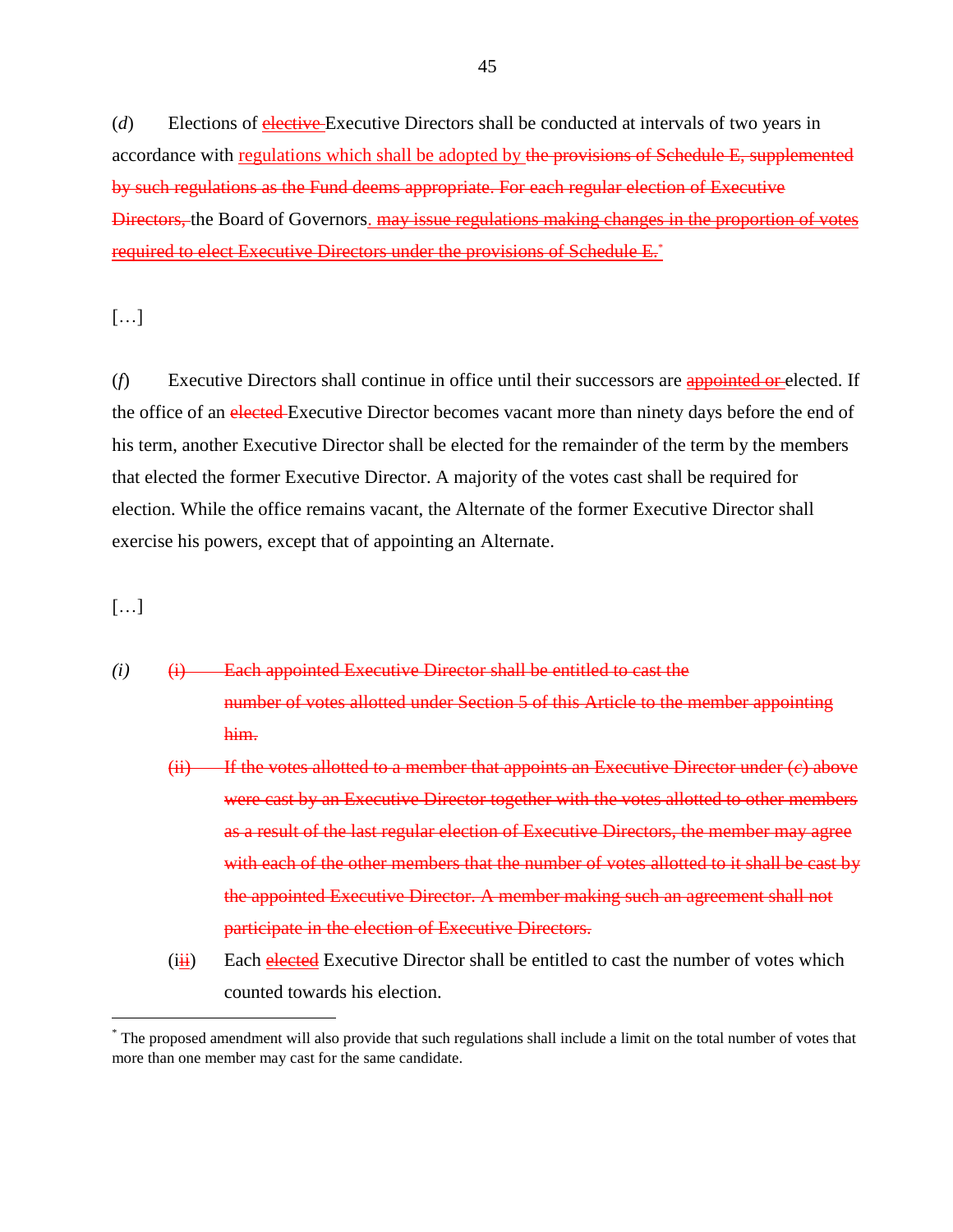(*d*) Elections of elective Executive Directors shall be conducted at intervals of two years in accordance with regulations which shall be adopted by the provisions of Schedule E, supplemented by such regulations as the Fund deems appropriate. For each regular election of Executive Directors, the Board of Governors. may issue regulations making changes in the proportion of votes required to elect Executive Directors under the provisions of Schedule E.<sup>\*</sup>

[…]

(*f*) Executive Directors shall continue in office until their successors are appointed or elected. If the office of an elected Executive Director becomes vacant more than ninety days before the end of his term, another Executive Director shall be elected for the remainder of the term by the members that elected the former Executive Director. A majority of the votes cast shall be required for election. While the office remains vacant, the Alternate of the former Executive Director shall exercise his powers, except that of appointing an Alternate.

[…]

- *(i)* (i) Each appointed Executive Director shall be entitled to cast the number of votes allotted under Section 5 of this Article to the member appointing him.
	- $(ii)$  If the votes allotted to a member that appoints an Executive Director under  $(c)$  above were cast by an Executive Director together with the votes allotted to other members as a result of the last regular election of Executive Directors, the member may agree with each of the other members that the number of votes allotted to it shall be cast by the appointed Executive Director. A member making such an agreement shall not participate in the election of Executive Directors.
	- $(iii)$  Each elected Executive Director shall be entitled to cast the number of votes which counted towards his election.

The proposed amendment will also provide that such regulations shall include a limit on the total number of votes that more than one member may cast for the same candidate.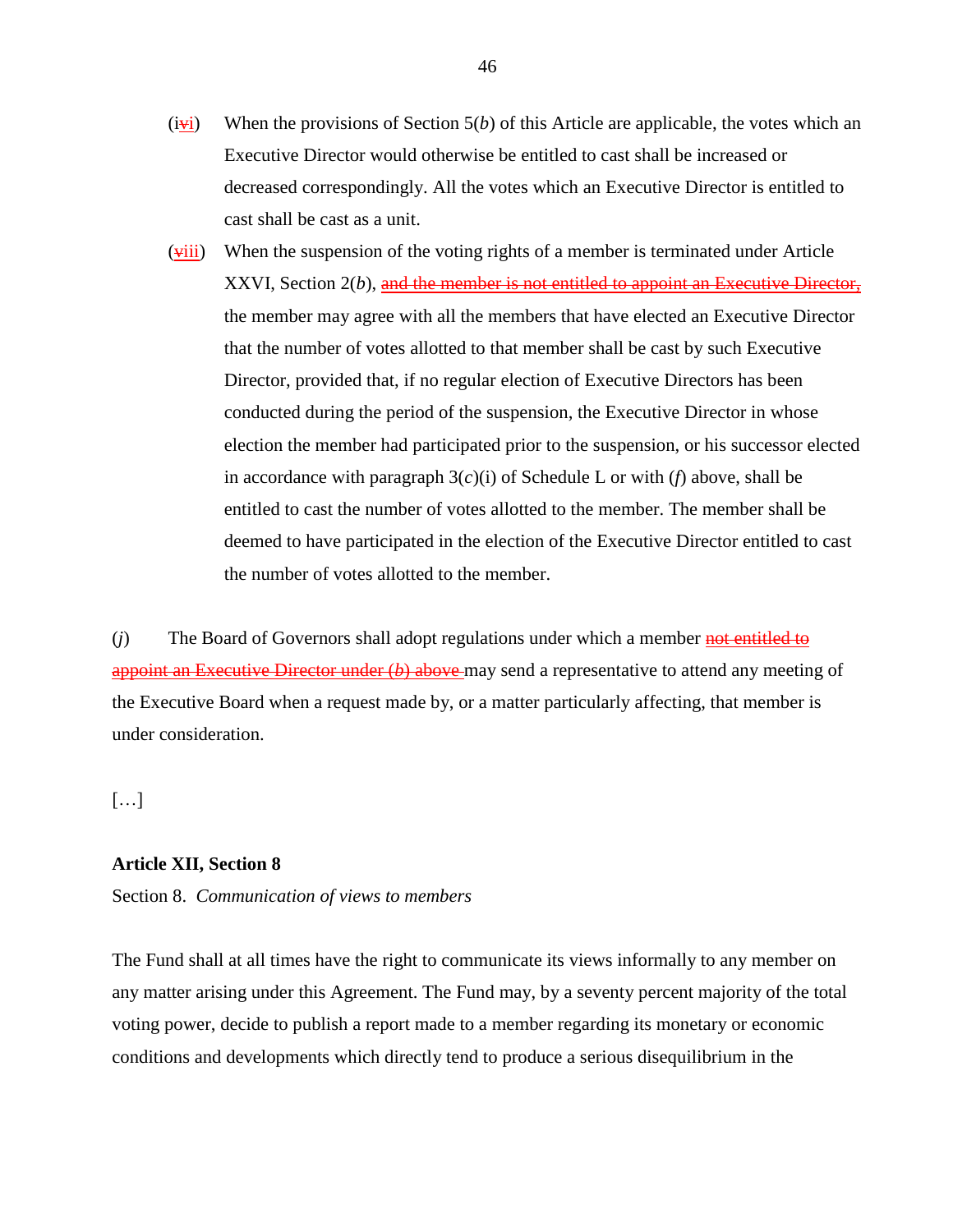- $(i\ddot{\mathbf{v}})$  When the provisions of Section 5(*b*) of this Article are applicable, the votes which an Executive Director would otherwise be entitled to cast shall be increased or decreased correspondingly. All the votes which an Executive Director is entitled to cast shall be cast as a unit.
- $(viii)$  When the suspension of the voting rights of a member is terminated under Article XXVI, Section 2(*b*), and the member is not entitled to appoint an Executive Director, the member may agree with all the members that have elected an Executive Director that the number of votes allotted to that member shall be cast by such Executive Director, provided that, if no regular election of Executive Directors has been conducted during the period of the suspension, the Executive Director in whose election the member had participated prior to the suspension, or his successor elected in accordance with paragraph  $3(c)(i)$  of Schedule L or with (*f*) above, shall be entitled to cast the number of votes allotted to the member. The member shall be deemed to have participated in the election of the Executive Director entitled to cast the number of votes allotted to the member.

(*j*) The Board of Governors shall adopt regulations under which a member not entitled to appoint an Executive Director under (*b*) above may send a representative to attend any meeting of the Executive Board when a request made by, or a matter particularly affecting, that member is under consideration.

[…]

### **Article XII, Section 8**

Section 8. *Communication of views to members*

The Fund shall at all times have the right to communicate its views informally to any member on any matter arising under this Agreement. The Fund may, by a seventy percent majority of the total voting power, decide to publish a report made to a member regarding its monetary or economic conditions and developments which directly tend to produce a serious disequilibrium in the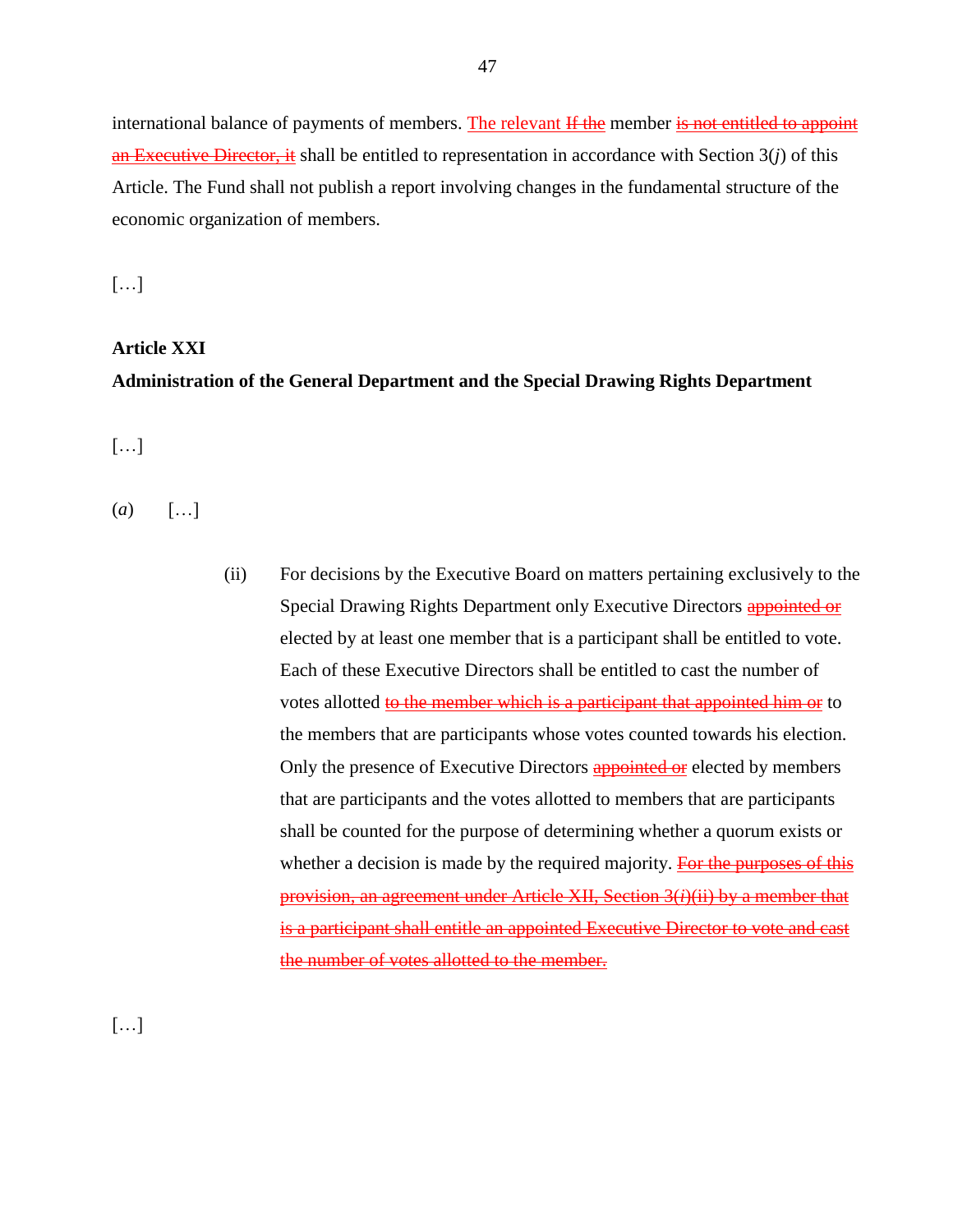international balance of payments of members. The relevant If the member is not entitled to appoint an Executive Director, it shall be entitled to representation in accordance with Section 3(*j*) of this Article. The Fund shall not publish a report involving changes in the fundamental structure of the economic organization of members.

[…]

## **Article XXI**

### **Administration of the General Department and the Special Drawing Rights Department**

[…]

 $(a)$  [...]

(ii) For decisions by the Executive Board on matters pertaining exclusively to the Special Drawing Rights Department only Executive Directors **appointed or** elected by at least one member that is a participant shall be entitled to vote. Each of these Executive Directors shall be entitled to cast the number of votes allotted to the member which is a participant that appointed him or to the members that are participants whose votes counted towards his election. Only the presence of Executive Directors **appointed or** elected by members that are participants and the votes allotted to members that are participants shall be counted for the purpose of determining whether a quorum exists or whether a decision is made by the required majority. For the purposes of this provision, an agreement under Article XII, Section 3(*i*)(ii) by a member that is a participant shall entitle an appointed Executive Director to vote and cast the number of votes allotted to the member.

[…]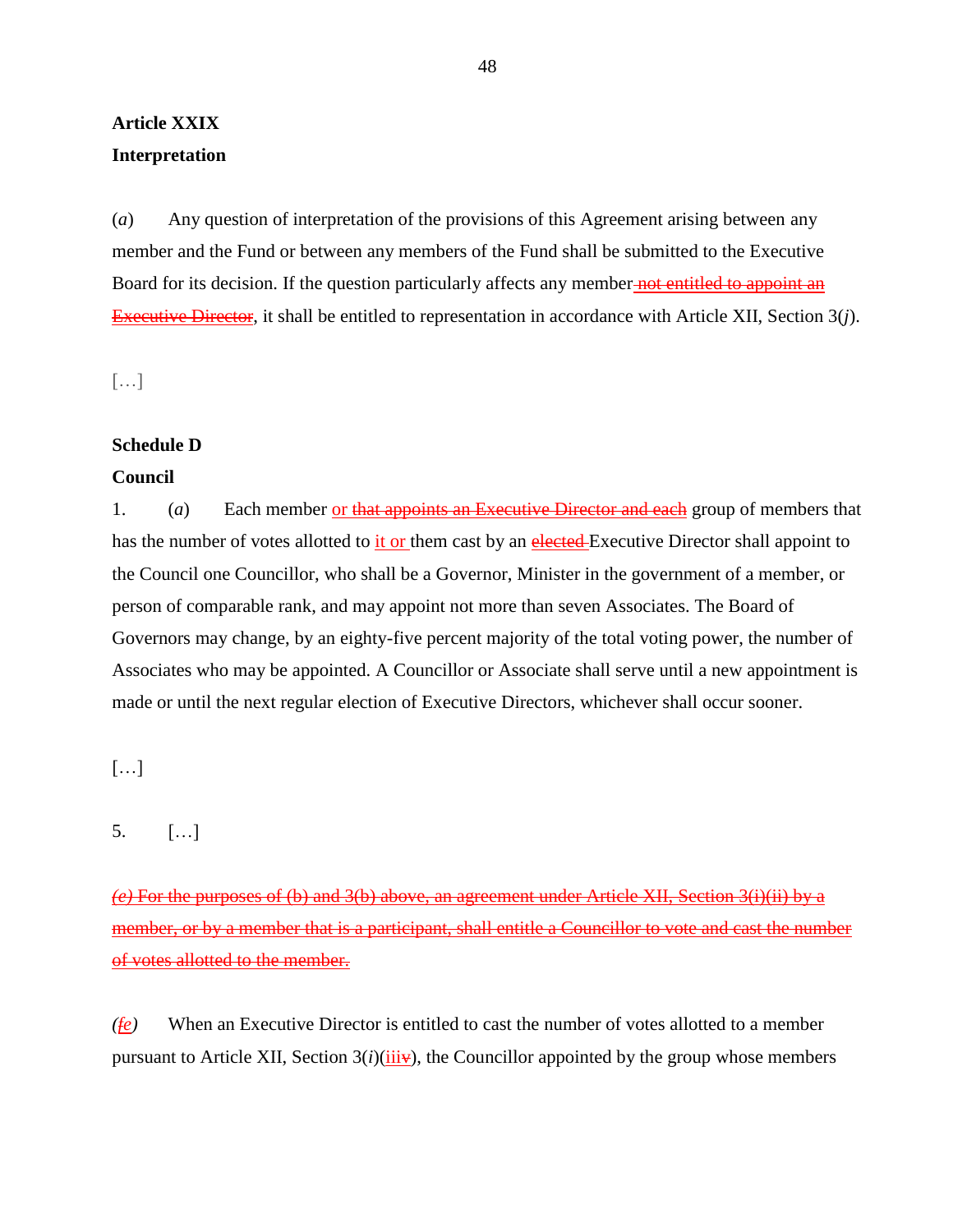# **Article XXIX Interpretation**

(*a*) Any question of interpretation of the provisions of this Agreement arising between any member and the Fund or between any members of the Fund shall be submitted to the Executive Board for its decision. If the question particularly affects any member not entitled to appoint an Executive Director, it shall be entitled to representation in accordance with Article XII, Section 3(*j*).

 $\lceil$ ...]

### **Schedule D**

### **Council**

1. (*a*) Each member or that appoints an Executive Director and each group of members that has the number of votes allotted to it or them cast by an elected Executive Director shall appoint to the Council one Councillor, who shall be a Governor, Minister in the government of a member, or person of comparable rank, and may appoint not more than seven Associates. The Board of Governors may change, by an eighty-five percent majority of the total voting power, the number of Associates who may be appointed. A Councillor or Associate shall serve until a new appointment is made or until the next regular election of Executive Directors, whichever shall occur sooner.

### […]

## 5. […]

*(e)* For the purposes of (b) and 3(b) above, an agreement under Article XII, Section 3(i)(ii) by a member, or by a member that is a participant, shall entitle a Councillor to vote and cast the number of votes allotted to the member.

*(fe)* When an Executive Director is entitled to cast the number of votes allotted to a member pursuant to Article XII, Section  $3(i)(iii)$ , the Councillor appointed by the group whose members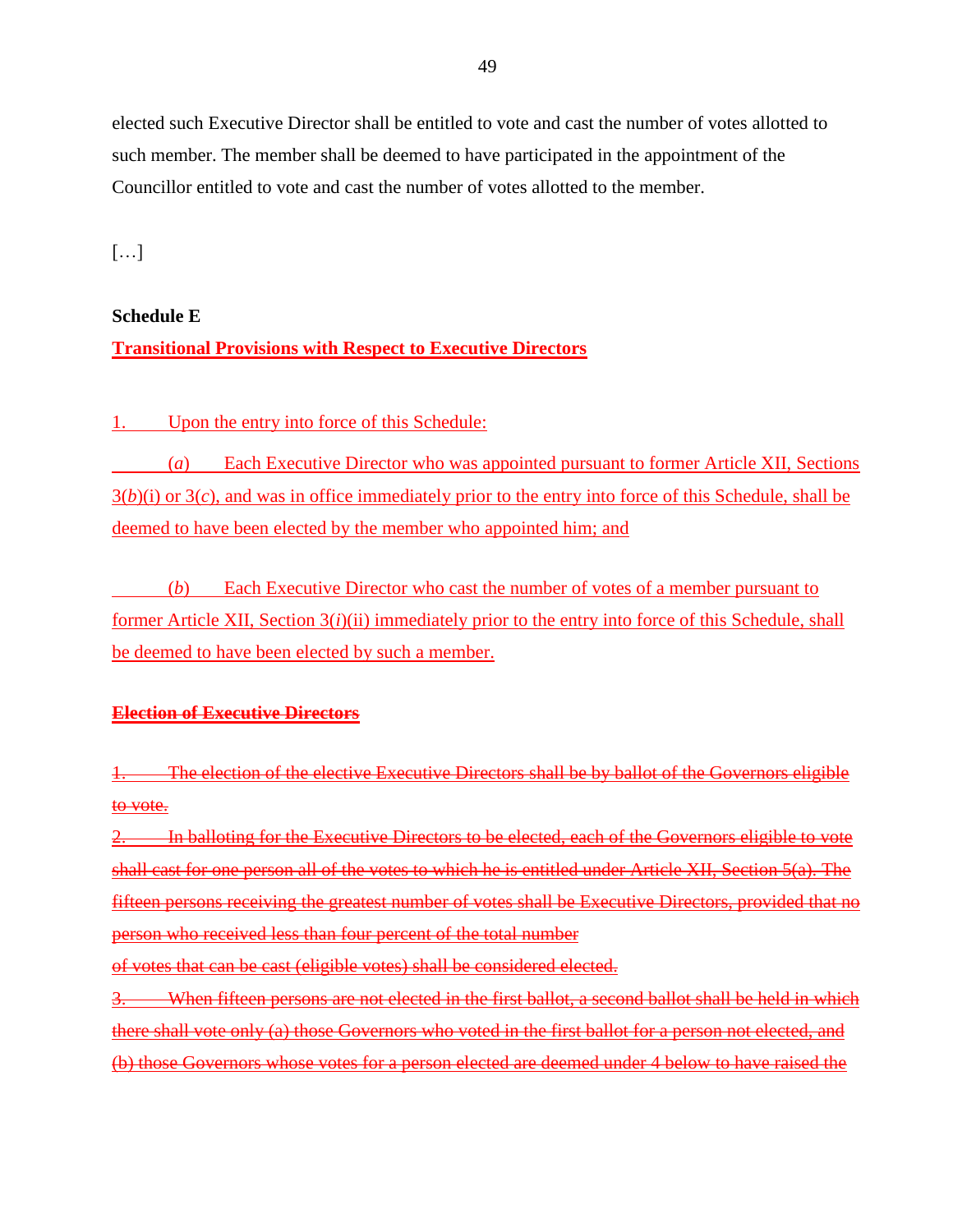elected such Executive Director shall be entitled to vote and cast the number of votes allotted to such member. The member shall be deemed to have participated in the appointment of the Councillor entitled to vote and cast the number of votes allotted to the member.

[…]

## **Schedule E**

# **Transitional Provisions with Respect to Executive Directors**

1. Upon the entry into force of this Schedule:

(*a*) Each Executive Director who was appointed pursuant to former Article XII, Sections 3(*b*)(i) or 3(*c*), and was in office immediately prior to the entry into force of this Schedule, shall be deemed to have been elected by the member who appointed him; and

(*b*) Each Executive Director who cast the number of votes of a member pursuant to former Article XII, Section 3(*i*)(ii) immediately prior to the entry into force of this Schedule, shall be deemed to have been elected by such a member.

## **Election of Executive Directors**

1. The election of the elective Executive Directors shall be by ballot of the Governors eligible to vote.

2. In balloting for the Executive Directors to be elected, each of the Governors eligible to vote shall cast for one person all of the votes to which he is entitled under Article XII, Section 5(a). The fifteen persons receiving the greatest number of votes shall be Executive Directors, provided that no person who received less than four percent of the total number

of votes that can be cast (eligible votes) shall be considered elected.

When fifteen persons are not elected in the first ballot, a second ballot shall be held in which there shall vote only (a) those Governors who voted in the first ballot for a person not elected, and (b) those Governors whose votes for a person elected are deemed under 4 below to have raised the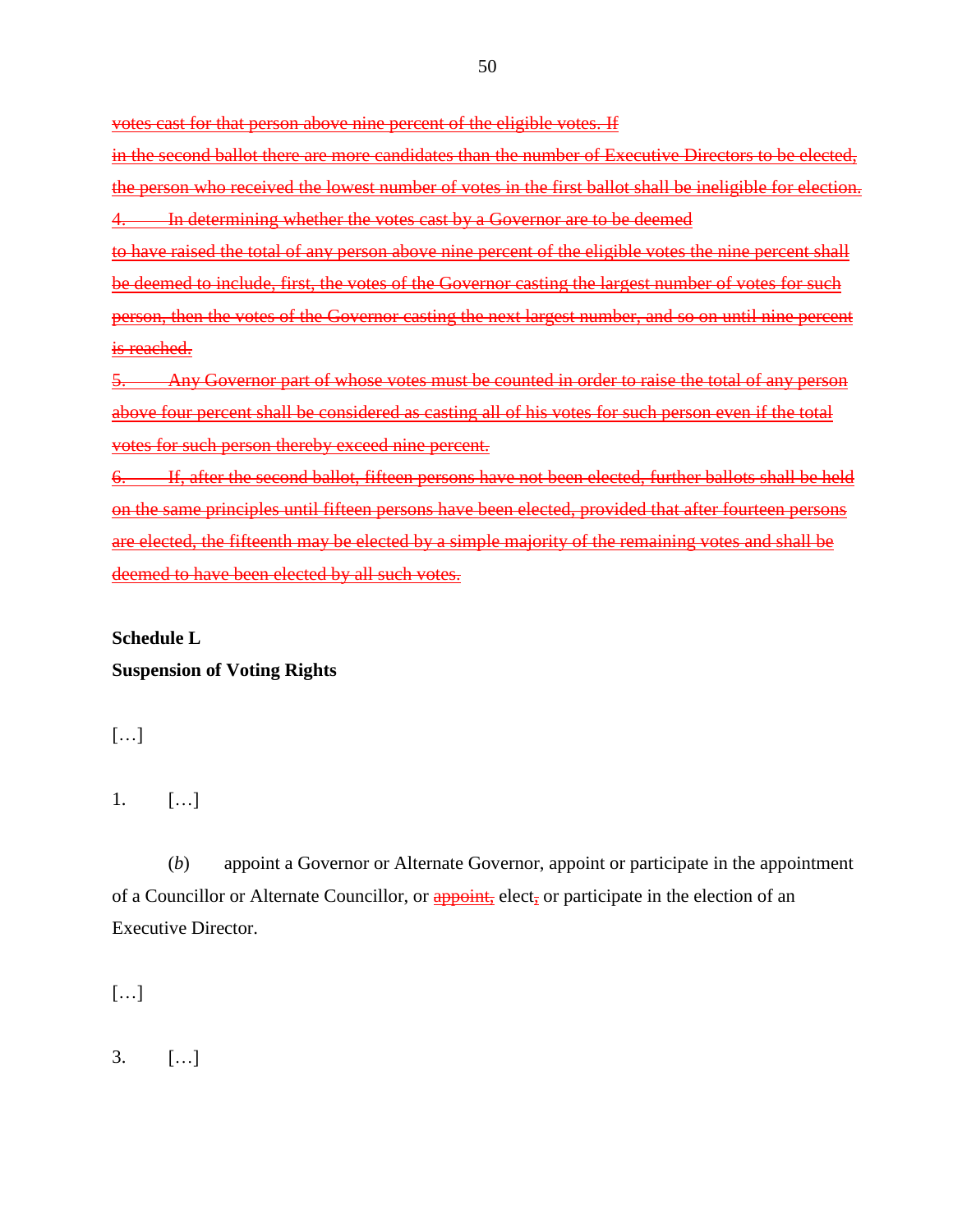votes cast for that person above nine percent of the eligible votes. If

in the second ballot there are more candidates than the number of Executive Directors to be elected, the person who received the lowest number of votes in the first ballot shall be ineligible for election. **4. In determining whether the votes cast by a Governor are to be deemed** 

to have raised the total of any person above nine percent of the eligible votes the nine percent shall be deemed to include, first, the votes of the Governor casting the largest number of votes for such person, then the votes of the Governor casting the next largest number, and so on until nine percent is reached.

5. Any Governor part of whose votes must be counted in order to raise the total of any person above four percent shall be considered as casting all of his votes for such person even if the total votes for such person thereby exceed nine percent.

6. If, after the second ballot, fifteen persons have not been elected, further ballots shall be held on the same principles until fifteen persons have been elected, provided that after fourteen persons are elected, the fifteenth may be elected by a simple majority of the remaining votes and shall be deemed to have been elected by all such votes.

### **Schedule L**

## **Suspension of Voting Rights**

[…]

 $1.$  [...]

(*b*) appoint a Governor or Alternate Governor, appoint or participate in the appointment of a Councillor or Alternate Councillor, or appoint, elect, or participate in the election of an Executive Director.

[…]

3. […]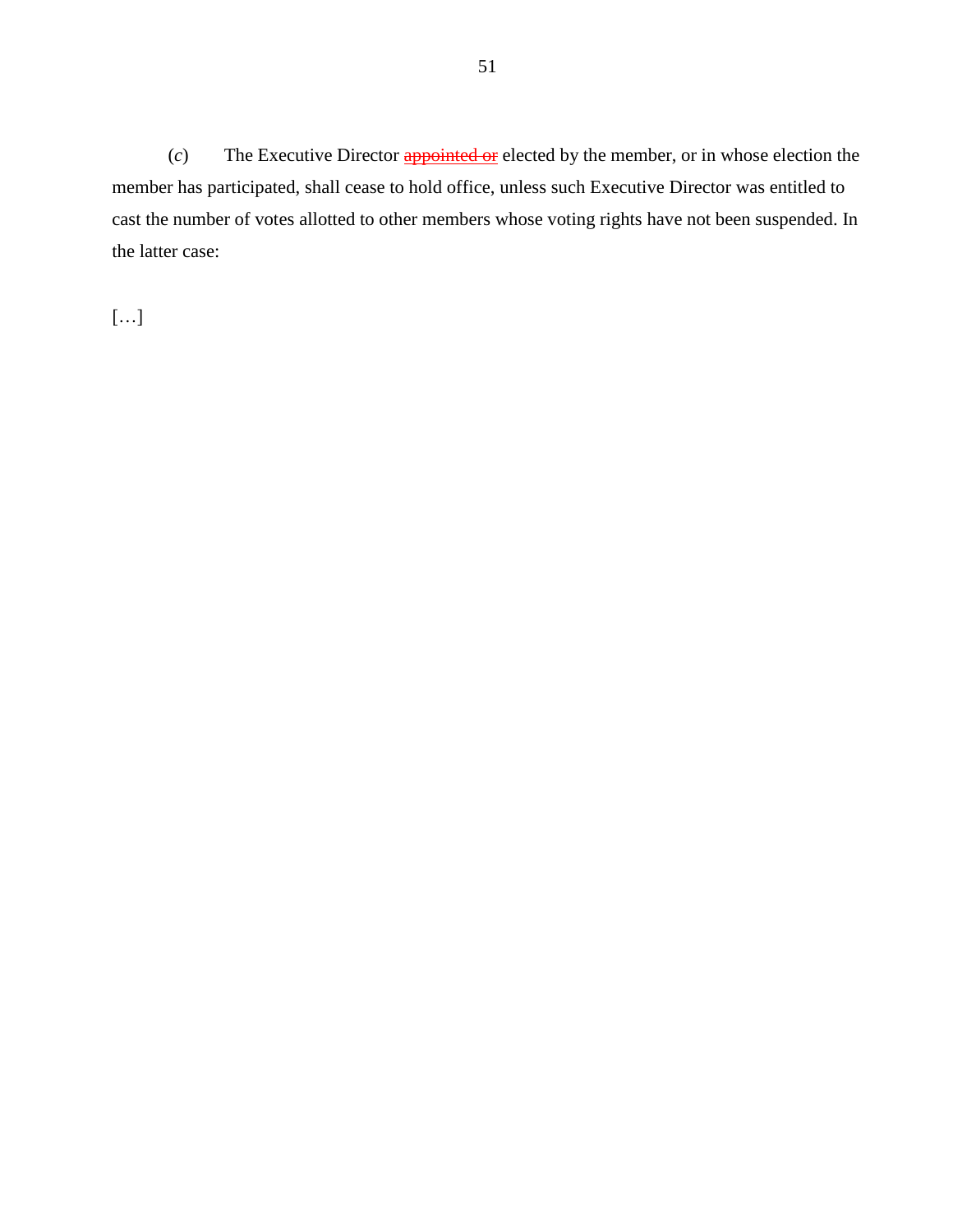(*c*) The Executive Director **appointed or** elected by the member, or in whose election the member has participated, shall cease to hold office, unless such Executive Director was entitled to cast the number of votes allotted to other members whose voting rights have not been suspended. In the latter case:

 $[\ldots]$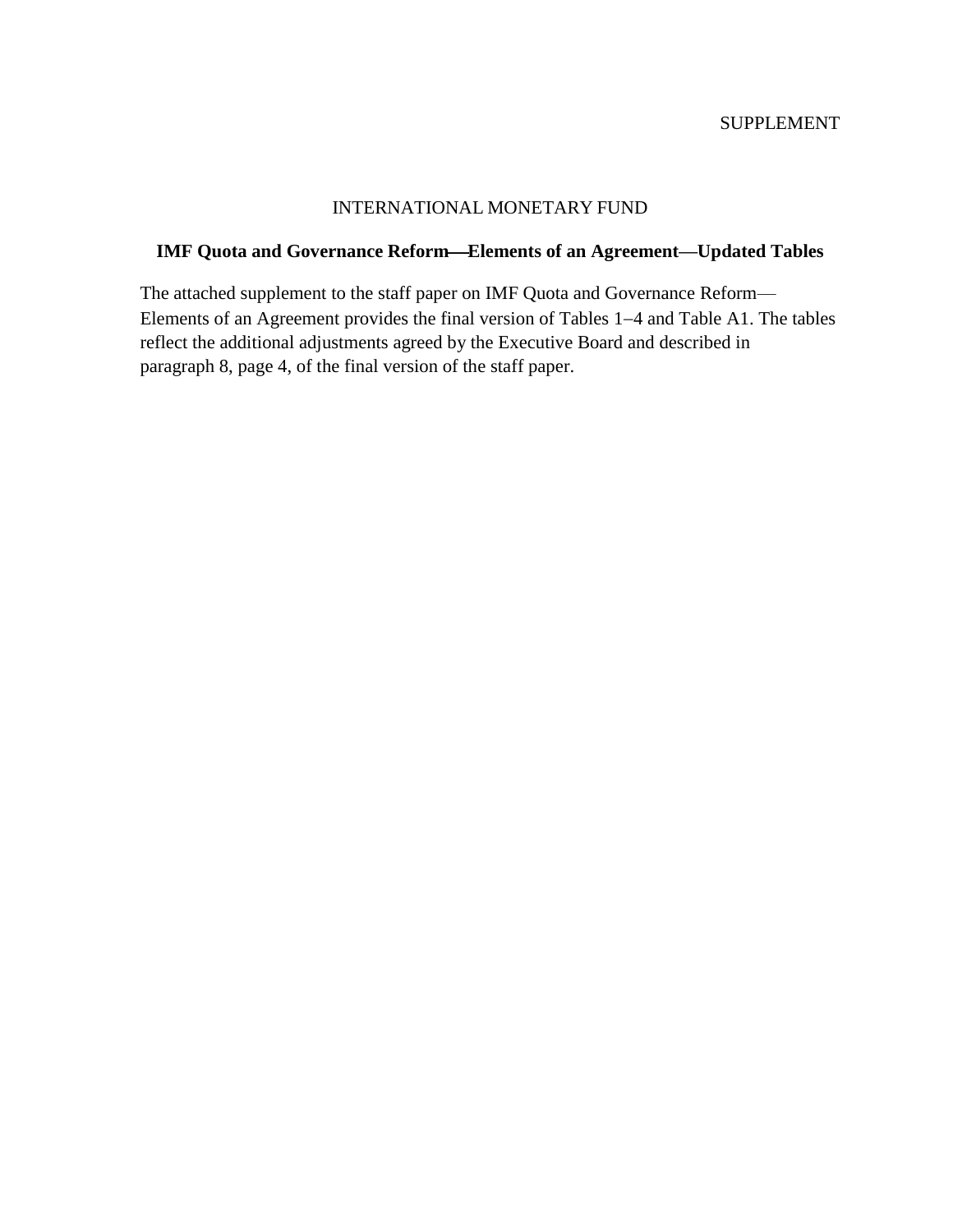### SUPPLEMENT

### INTERNATIONAL MONETARY FUND

## <span id="page-51-2"></span><span id="page-51-1"></span><span id="page-51-0"></span>**IMF Quota and Governance ReformElements of an Agreement—Updated Tables**

The attached supplement to the staff paper on IMF Quota and Governance Reform— Elements of an Agreement provides the final version of Tables 1–4 and Table A1. The tables reflect the additional adjustments agreed by the Executive Board and described in [paragraph](#page-3-0) 8, page 4, of the final version of the staff paper.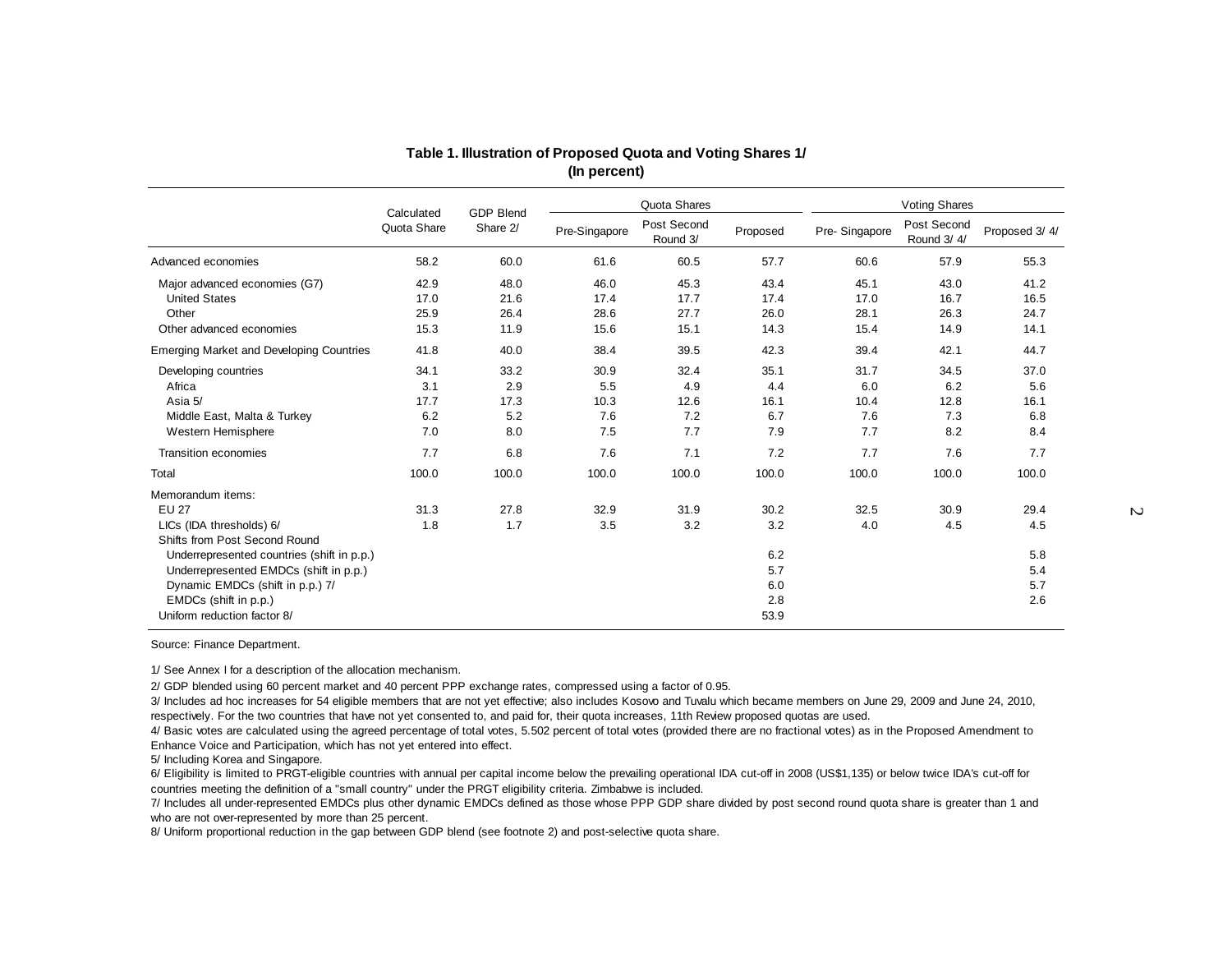|                                                 | Calculated  | <b>GDP Blend</b> |               | Quota Shares            |          |               | <b>Voting Shares</b>      |               |  |
|-------------------------------------------------|-------------|------------------|---------------|-------------------------|----------|---------------|---------------------------|---------------|--|
|                                                 | Quota Share | Share 2/         | Pre-Singapore | Post Second<br>Round 3/ | Proposed | Pre-Singapore | Post Second<br>Round 3/4/ | Proposed 3/4/ |  |
| Advanced economies                              | 58.2        | 60.0             | 61.6          | 60.5                    | 57.7     | 60.6          | 57.9                      | 55.3          |  |
| Major advanced economies (G7)                   | 42.9        | 48.0             | 46.0          | 45.3                    | 43.4     | 45.1          | 43.0                      | 41.2          |  |
| <b>United States</b>                            | 17.0        | 21.6             | 17.4          | 17.7                    | 17.4     | 17.0          | 16.7                      | 16.5          |  |
| Other                                           | 25.9        | 26.4             | 28.6          | 27.7                    | 26.0     | 28.1          | 26.3                      | 24.7          |  |
| Other advanced economies                        | 15.3        | 11.9             | 15.6          | 15.1                    | 14.3     | 15.4          | 14.9                      | 14.1          |  |
| <b>Emerging Market and Developing Countries</b> | 41.8        | 40.0             | 38.4          | 39.5                    | 42.3     | 39.4          | 42.1                      | 44.7          |  |
| Developing countries                            | 34.1        | 33.2             | 30.9          | 32.4                    | 35.1     | 31.7          | 34.5                      | 37.0          |  |
| Africa                                          | 3.1         | 2.9              | 5.5           | 4.9                     | 4.4      | 6.0           | 6.2                       | 5.6           |  |
| Asia 5/                                         | 17.7        | 17.3             | 10.3          | 12.6                    | 16.1     | 10.4          | 12.8                      | 16.1          |  |
| Middle East, Malta & Turkey                     | 6.2         | 5.2              | 7.6           | 7.2                     | 6.7      | 7.6           | 7.3                       | 6.8           |  |
| Western Hemisphere                              | 7.0         | 8.0              | 7.5           | 7.7                     | 7.9      | 7.7           | 8.2                       | 8.4           |  |
| <b>Transition economies</b>                     | 7.7         | 6.8              | 7.6           | 7.1                     | 7.2      | 7.7           | 7.6                       | 7.7           |  |
| Total                                           | 100.0       | 100.0            | 100.0         | 100.0                   | 100.0    | 100.0         | 100.0                     | 100.0         |  |
| Memorandum items:                               |             |                  |               |                         |          |               |                           |               |  |
| <b>EU 27</b>                                    | 31.3        | 27.8             | 32.9          | 31.9                    | 30.2     | 32.5          | 30.9                      | 29.4          |  |
| LICs (IDA thresholds) 6/                        | 1.8         | 1.7              | 3.5           | 3.2                     | 3.2      | 4.0           | 4.5                       | 4.5           |  |
| Shifts from Post Second Round                   |             |                  |               |                         |          |               |                           |               |  |
| Underrepresented countries (shift in p.p.)      |             |                  |               |                         | 6.2      |               |                           | 5.8           |  |
| Underrepresented EMDCs (shift in p.p.)          |             |                  |               |                         | 5.7      |               |                           | 5.4           |  |
| Dynamic EMDCs (shift in p.p.) 7/                |             |                  |               |                         | 6.0      |               |                           | 5.7           |  |
| EMDCs (shift in p.p.)                           |             |                  |               |                         | 2.8      |               |                           | 2.6           |  |
| Uniform reduction factor 8/                     |             |                  |               |                         | 53.9     |               |                           |               |  |

#### **Table 1. Illustration of Proposed Quota and Voting Shares 1/ (In percent)**

Source: Finance Department.

1/ See Annex I for a description of the allocation mechanism.

2/ GDP blended using 60 percent market and 40 percent PPP exchange rates, compressed using a factor of 0.95.

3/ Includes ad hoc increases for 54 eligible members that are not yet effective; also includes Kosovo and Tuvalu which became members on June 29, 2009 and June 24, 2010, respectively. For the two countries that have not yet consented to, and paid for, their quota increases, 11th Review proposed quotas are used.

4/ Basic votes are calculated using the agreed percentage of total votes, 5.502 percent of total votes (provided there are no fractional votes) as in the Proposed Amendment to Enhance Voice and Participation, which has not yet entered into effect.

5/ Including Korea and Singapore.

6/ Eligibility is limited to PRGT-eligible countries with annual per capital income below the prevailing operational IDA cut-off in 2008 (US\$1,135) or below twice IDA's cut-off for countries meeting the definition of a "small country" under the PRGT eligibility criteria. Zimbabwe is included.

7/ Includes all under-represented EMDCs plus other dynamic EMDCs defined as those whose PPP GDP share divided by post second round quota share is greater than 1 and who are not over-represented by more than 25 percent.

8/ Uniform proportional reduction in the gap between GDP blend (see footnote 2) and post-selective quota share.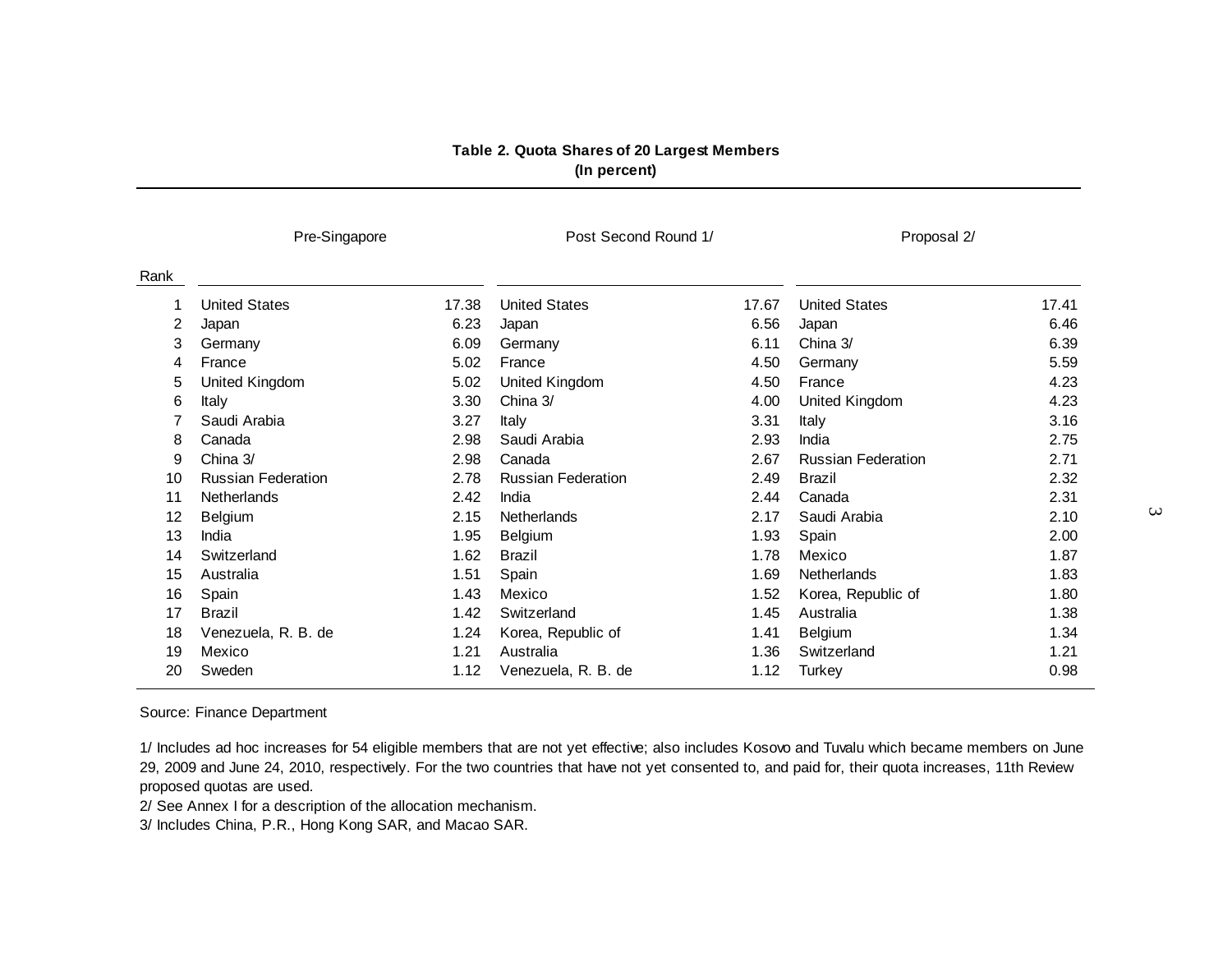|      | Pre-Singapore             |       | Post Second Round 1/      |       | Proposal 2/               |       |  |
|------|---------------------------|-------|---------------------------|-------|---------------------------|-------|--|
| Rank |                           |       |                           |       |                           |       |  |
| 1    | <b>United States</b>      | 17.38 | <b>United States</b>      | 17.67 | <b>United States</b>      | 17.41 |  |
| 2    | Japan                     | 6.23  | Japan                     | 6.56  | Japan                     | 6.46  |  |
| 3    | Germany                   | 6.09  | Germany                   | 6.11  | China 3/                  | 6.39  |  |
| 4    | France                    | 5.02  | France                    | 4.50  | Germany                   | 5.59  |  |
| 5    | United Kingdom            | 5.02  | <b>United Kingdom</b>     | 4.50  | France                    | 4.23  |  |
| 6    | Italy                     | 3.30  | China 3/                  | 4.00  | United Kingdom            | 4.23  |  |
|      | Saudi Arabia              | 3.27  | Italy                     | 3.31  | Italy                     | 3.16  |  |
| 8    | Canada                    | 2.98  | Saudi Arabia              | 2.93  | India                     | 2.75  |  |
| 9    | China 3/                  | 2.98  | Canada                    | 2.67  | <b>Russian Federation</b> | 2.71  |  |
| 10   | <b>Russian Federation</b> | 2.78  | <b>Russian Federation</b> | 2.49  | <b>Brazil</b>             | 2.32  |  |
| 11   | <b>Netherlands</b>        | 2.42  | India                     | 2.44  | Canada                    | 2.31  |  |
| 12   | Belgium                   | 2.15  | Netherlands               | 2.17  | Saudi Arabia              | 2.10  |  |
| 13   | India                     | 1.95  | Belgium                   | 1.93  | Spain                     | 2.00  |  |
| 14   | Switzerland               | 1.62  | <b>Brazil</b>             | 1.78  | Mexico                    | 1.87  |  |
| 15   | Australia                 | 1.51  | Spain                     | 1.69  | Netherlands               | 1.83  |  |
| 16   | Spain                     | 1.43  | Mexico                    | 1.52  | Korea, Republic of        | 1.80  |  |
| 17   | <b>Brazil</b>             | 1.42  | Switzerland               | 1.45  | Australia                 | 1.38  |  |
| 18   | Venezuela, R. B. de       | 1.24  | Korea, Republic of        | 1.41  | Belgium                   | 1.34  |  |
| 19   | Mexico                    | 1.21  | Australia                 | 1.36  | Switzerland               | 1.21  |  |
| 20   | Sweden                    | 1.12  | Venezuela, R. B. de       | 1.12  | <b>Turkey</b>             | 0.98  |  |

#### **Table 2. Quota Shares of 20 Largest Members (In percent)**

Source: Finance Department

1/ Includes ad hoc increases for 54 eligible members that are not yet effective; also includes Kosovo and Tuvalu which became members on June 29, 2009 and June 24, 2010, respectively. For the two countries that have not yet consented to, and paid for, their quota increases, 11th Review proposed quotas are used.

2/ See Annex I for a description of the allocation mechanism.

3/ Includes China, P.R., Hong Kong SAR, and Macao SAR.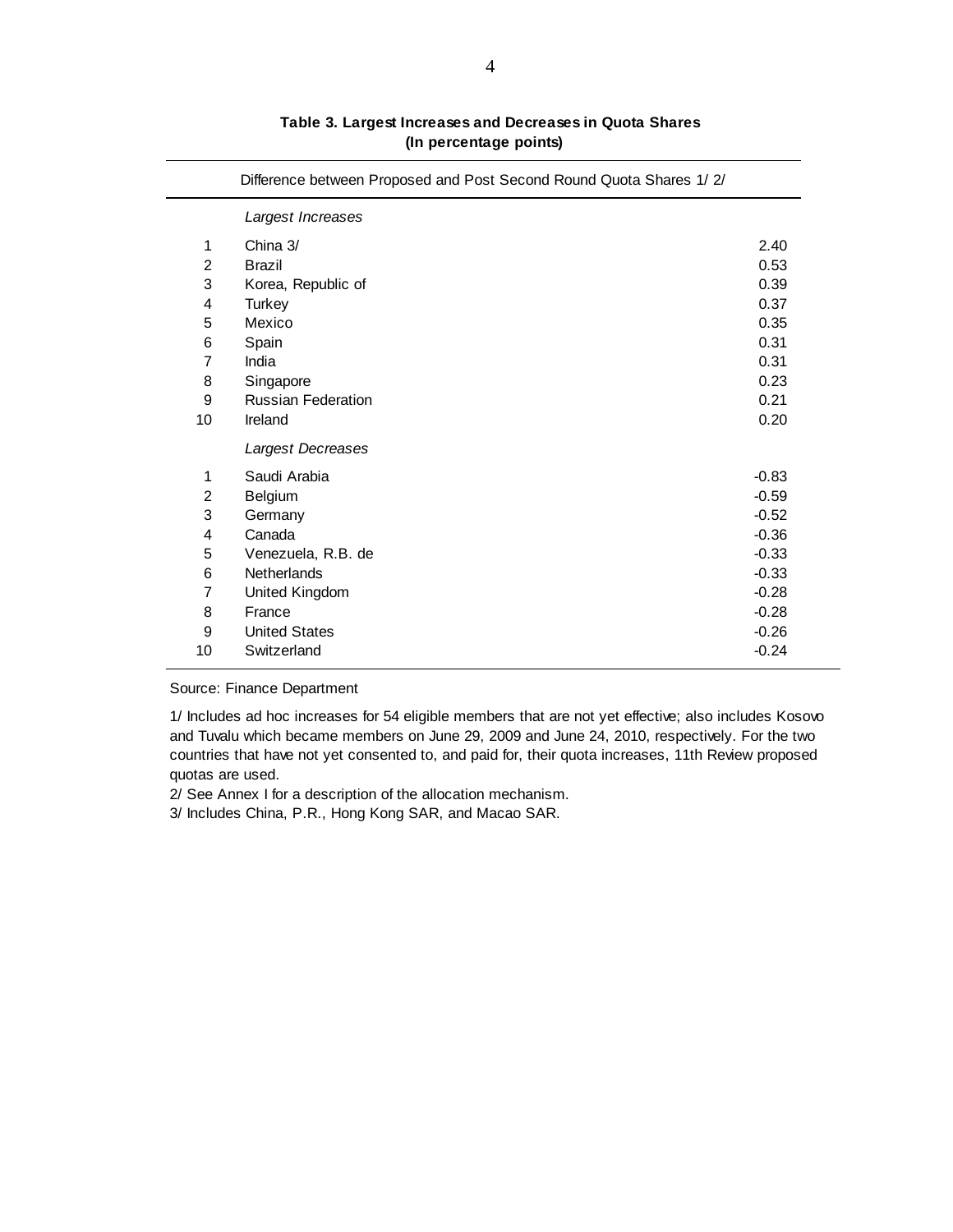|                | Difference between Proposed and Post Second Round Quota Shares 1/2/ |         |
|----------------|---------------------------------------------------------------------|---------|
|                | Largest Increases                                                   |         |
|                |                                                                     |         |
| 1              | China 3/                                                            | 2.40    |
| 2              | <b>Brazil</b>                                                       | 0.53    |
| 3              | Korea, Republic of                                                  | 0.39    |
| 4              | <b>Turkey</b>                                                       | 0.37    |
| 5              | Mexico                                                              | 0.35    |
| 6              | Spain                                                               | 0.31    |
| $\overline{7}$ | India                                                               | 0.31    |
| 8              | Singapore                                                           | 0.23    |
| 9              | <b>Russian Federation</b>                                           | 0.21    |
| 10             | Ireland                                                             | 0.20    |
|                | Largest Decreases                                                   |         |
| 1              | Saudi Arabia                                                        | $-0.83$ |
| $\overline{c}$ | Belgium                                                             | $-0.59$ |
| 3              | Germany                                                             | $-0.52$ |
| 4              | Canada                                                              | $-0.36$ |
| 5              | Venezuela, R.B. de                                                  | $-0.33$ |
| 6              | Netherlands                                                         | $-0.33$ |
| $\overline{7}$ | United Kingdom                                                      | $-0.28$ |
| 8              | France                                                              | $-0.28$ |
| 9              | <b>United States</b>                                                | $-0.26$ |
| 10             | Switzerland                                                         | $-0.24$ |

#### **Table 3. Largest Increases and Decreases in Quota Shares (In percentage points)**

Source: Finance Department

1/ Includes ad hoc increases for 54 eligible members that are not yet effective; also includes Kosovo and Tuvalu which became members on June 29, 2009 and June 24, 2010, respectively. For the two countries that have not yet consented to, and paid for, their quota increases, 11th Review proposed quotas are used.

2/ See Annex I for a description of the allocation mechanism.

3/ Includes China, P.R., Hong Kong SAR, and Macao SAR.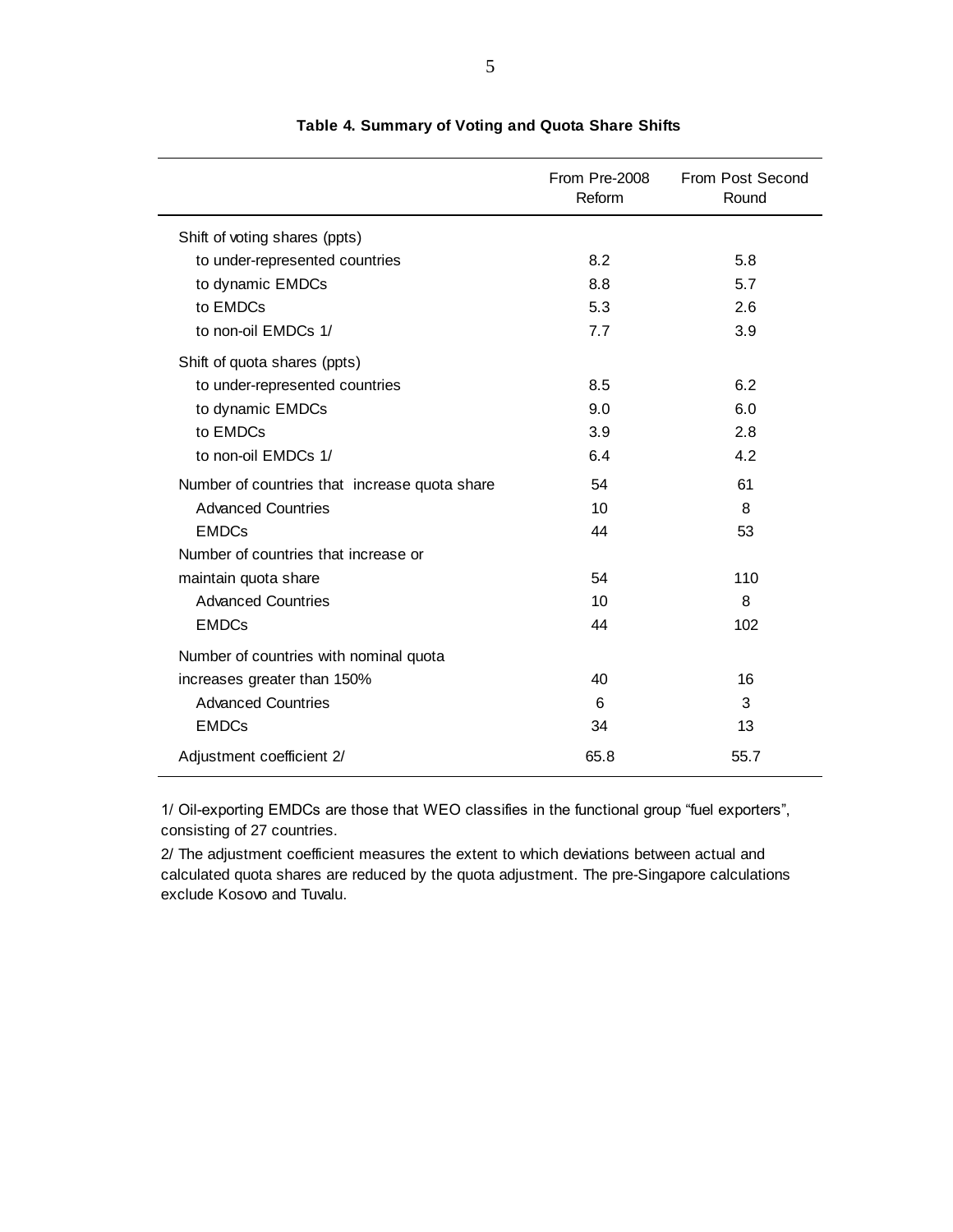|                                               | From Pre-2008<br>Reform | From Post Second<br>Round |
|-----------------------------------------------|-------------------------|---------------------------|
| Shift of voting shares (ppts)                 |                         |                           |
| to under-represented countries                | 8.2                     | 5.8                       |
| to dynamic EMDCs                              | 8.8                     | 5.7                       |
| to EMDCs                                      | 5.3                     | 2.6                       |
| to non-oil EMDCs 1/                           | 7.7                     | 3.9                       |
| Shift of quota shares (ppts)                  |                         |                           |
| to under-represented countries                | 8.5                     | 6.2                       |
| to dynamic EMDCs                              | 9.0                     | 6.0                       |
| to EMDCs                                      | 3.9                     | 2.8                       |
| to non-oil EMDCs 1/                           | 6.4                     | 4.2                       |
| Number of countries that increase quota share | 54                      | 61                        |
| <b>Advanced Countries</b>                     | 10                      | 8                         |
| <b>EMDCs</b>                                  | 44                      | 53                        |
| Number of countries that increase or          |                         |                           |
| maintain quota share                          | 54                      | 110                       |
| <b>Advanced Countries</b>                     | 10                      | 8                         |
| <b>EMDCs</b>                                  | 44                      | 102                       |
| Number of countries with nominal quota        |                         |                           |
| increases greater than 150%                   | 40                      | 16                        |
| <b>Advanced Countries</b>                     | 6                       | 3                         |
| <b>EMDCs</b>                                  | 34                      | 13                        |
| Adjustment coefficient 2/                     | 65.8                    | 55.7                      |

#### **Table 4. Summary of Voting and Quota Share Shifts**

1/ Oil-exporting EMDCs are those that WEO classifies in the functional group "fuel exporters", consisting of 27 countries.

2/ The adjustment coefficient measures the extent to which deviations between actual and calculated quota shares are reduced by the quota adjustment. The pre-Singapore calculations exclude Kosovo and Tuvalu.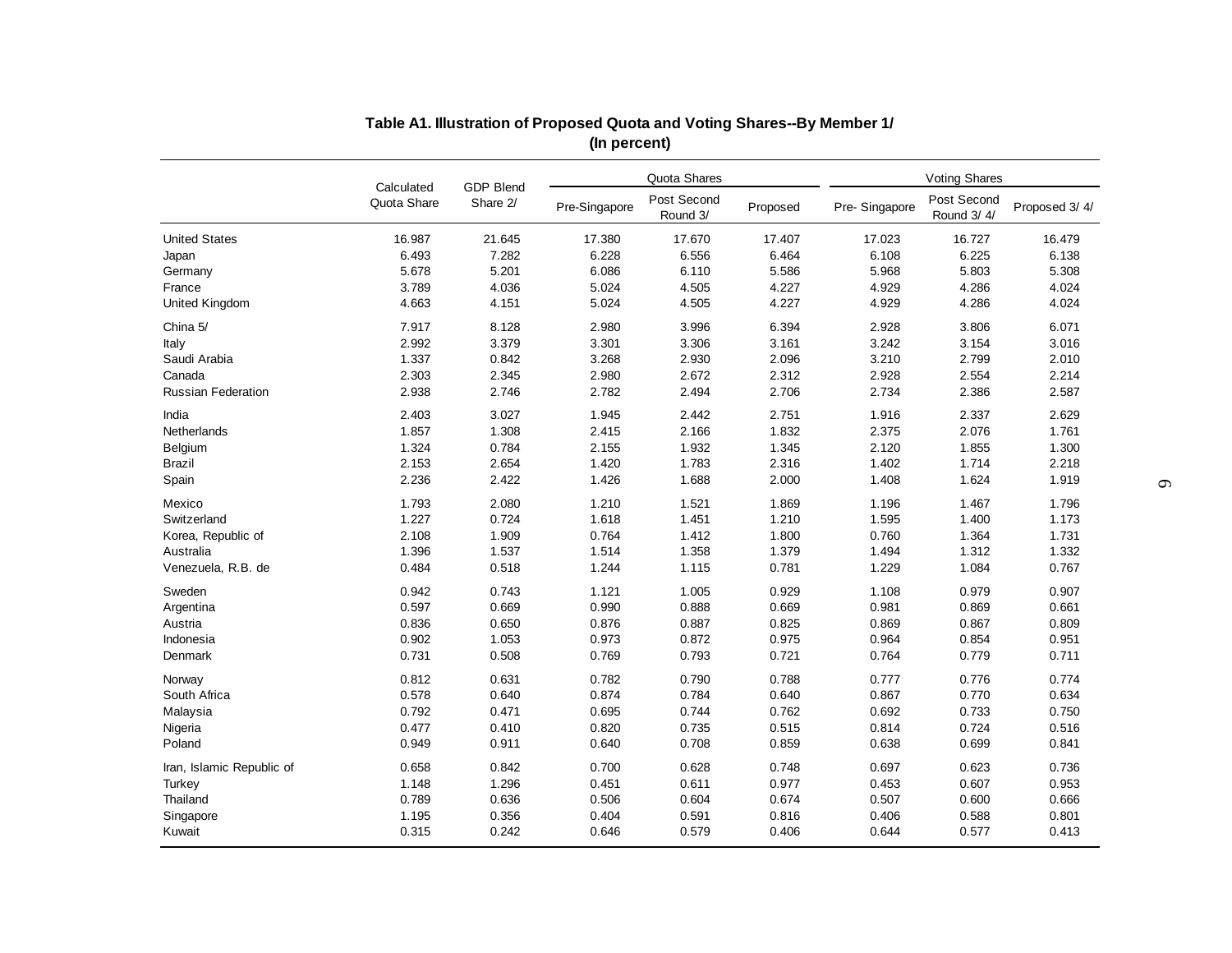|                           | <b>GDP Blend</b><br>Calculated |          |               | Quota Shares            |          | <b>Voting Shares</b> |                           |               |  |
|---------------------------|--------------------------------|----------|---------------|-------------------------|----------|----------------------|---------------------------|---------------|--|
|                           | Quota Share                    | Share 2/ | Pre-Singapore | Post Second<br>Round 3/ | Proposed | Pre-Singapore        | Post Second<br>Round 3/4/ | Proposed 3/4/ |  |
| <b>United States</b>      | 16.987                         | 21.645   | 17.380        | 17.670                  | 17.407   | 17.023               | 16.727                    | 16.479        |  |
| Japan                     | 6.493                          | 7.282    | 6.228         | 6.556                   | 6.464    | 6.108                | 6.225                     | 6.138         |  |
| Germany                   | 5.678                          | 5.201    | 6.086         | 6.110                   | 5.586    | 5.968                | 5.803                     | 5.308         |  |
| France                    | 3.789                          | 4.036    | 5.024         | 4.505                   | 4.227    | 4.929                | 4.286                     | 4.024         |  |
| <b>United Kingdom</b>     | 4.663                          | 4.151    | 5.024         | 4.505                   | 4.227    | 4.929                | 4.286                     | 4.024         |  |
| China 5/                  | 7.917                          | 8.128    | 2.980         | 3.996                   | 6.394    | 2.928                | 3.806                     | 6.071         |  |
| Italy                     | 2.992                          | 3.379    | 3.301         | 3.306                   | 3.161    | 3.242                | 3.154                     | 3.016         |  |
| Saudi Arabia              | 1.337                          | 0.842    | 3.268         | 2.930                   | 2.096    | 3.210                | 2.799                     | 2.010         |  |
| Canada                    | 2.303                          | 2.345    | 2.980         | 2.672                   | 2.312    | 2.928                | 2.554                     | 2.214         |  |
| <b>Russian Federation</b> | 2.938                          | 2.746    | 2.782         | 2.494                   | 2.706    | 2.734                | 2.386                     | 2.587         |  |
| India                     | 2.403                          | 3.027    | 1.945         | 2.442                   | 2.751    | 1.916                | 2.337                     | 2.629         |  |
| Netherlands               | 1.857                          | 1.308    | 2.415         | 2.166                   | 1.832    | 2.375                | 2.076                     | 1.761         |  |
| Belgium                   | 1.324                          | 0.784    | 2.155         | 1.932                   | 1.345    | 2.120                | 1.855                     | 1.300         |  |
| <b>Brazil</b>             | 2.153                          | 2.654    | 1.420         | 1.783                   | 2.316    | 1.402                | 1.714                     | 2.218         |  |
| Spain                     | 2.236                          | 2.422    | 1.426         | 1.688                   | 2.000    | 1.408                | 1.624                     | 1.919         |  |
| Mexico                    | 1.793                          | 2.080    | 1.210         | 1.521                   | 1.869    | 1.196                | 1.467                     | 1.796         |  |
| Switzerland               | 1.227                          | 0.724    | 1.618         | 1.451                   | 1.210    | 1.595                | 1.400                     | 1.173         |  |
| Korea, Republic of        | 2.108                          | 1.909    | 0.764         | 1.412                   | 1.800    | 0.760                | 1.364                     | 1.731         |  |
| Australia                 | 1.396                          | 1.537    | 1.514         | 1.358                   | 1.379    | 1.494                | 1.312                     | 1.332         |  |
| Venezuela, R.B. de        | 0.484                          | 0.518    | 1.244         | 1.115                   | 0.781    | 1.229                | 1.084                     | 0.767         |  |
| Sweden                    | 0.942                          | 0.743    | 1.121         | 1.005                   | 0.929    | 1.108                | 0.979                     | 0.907         |  |
| Argentina                 | 0.597                          | 0.669    | 0.990         | 0.888                   | 0.669    | 0.981                | 0.869                     | 0.661         |  |
| Austria                   | 0.836                          | 0.650    | 0.876         | 0.887                   | 0.825    | 0.869                | 0.867                     | 0.809         |  |
| Indonesia                 | 0.902                          | 1.053    | 0.973         | 0.872                   | 0.975    | 0.964                | 0.854                     | 0.951         |  |
| Denmark                   | 0.731                          | 0.508    | 0.769         | 0.793                   | 0.721    | 0.764                | 0.779                     | 0.711         |  |
| Norway                    | 0.812                          | 0.631    | 0.782         | 0.790                   | 0.788    | 0.777                | 0.776                     | 0.774         |  |
| South Africa              | 0.578                          | 0.640    | 0.874         | 0.784                   | 0.640    | 0.867                | 0.770                     | 0.634         |  |
| Malaysia                  | 0.792                          | 0.471    | 0.695         | 0.744                   | 0.762    | 0.692                | 0.733                     | 0.750         |  |
| Nigeria                   | 0.477                          | 0.410    | 0.820         | 0.735                   | 0.515    | 0.814                | 0.724                     | 0.516         |  |
| Poland                    | 0.949                          | 0.911    | 0.640         | 0.708                   | 0.859    | 0.638                | 0.699                     | 0.841         |  |
| Iran, Islamic Republic of | 0.658                          | 0.842    | 0.700         | 0.628                   | 0.748    | 0.697                | 0.623                     | 0.736         |  |
| Turkey                    | 1.148                          | 1.296    | 0.451         | 0.611                   | 0.977    | 0.453                | 0.607                     | 0.953         |  |
| Thailand                  | 0.789                          | 0.636    | 0.506         | 0.604                   | 0.674    | 0.507                | 0.600                     | 0.666         |  |
| Singapore                 | 1.195                          | 0.356    | 0.404         | 0.591                   | 0.816    | 0.406                | 0.588                     | 0.801         |  |
| Kuwait                    | 0.315                          | 0.242    | 0.646         | 0.579                   | 0.406    | 0.644                | 0.577                     | 0.413         |  |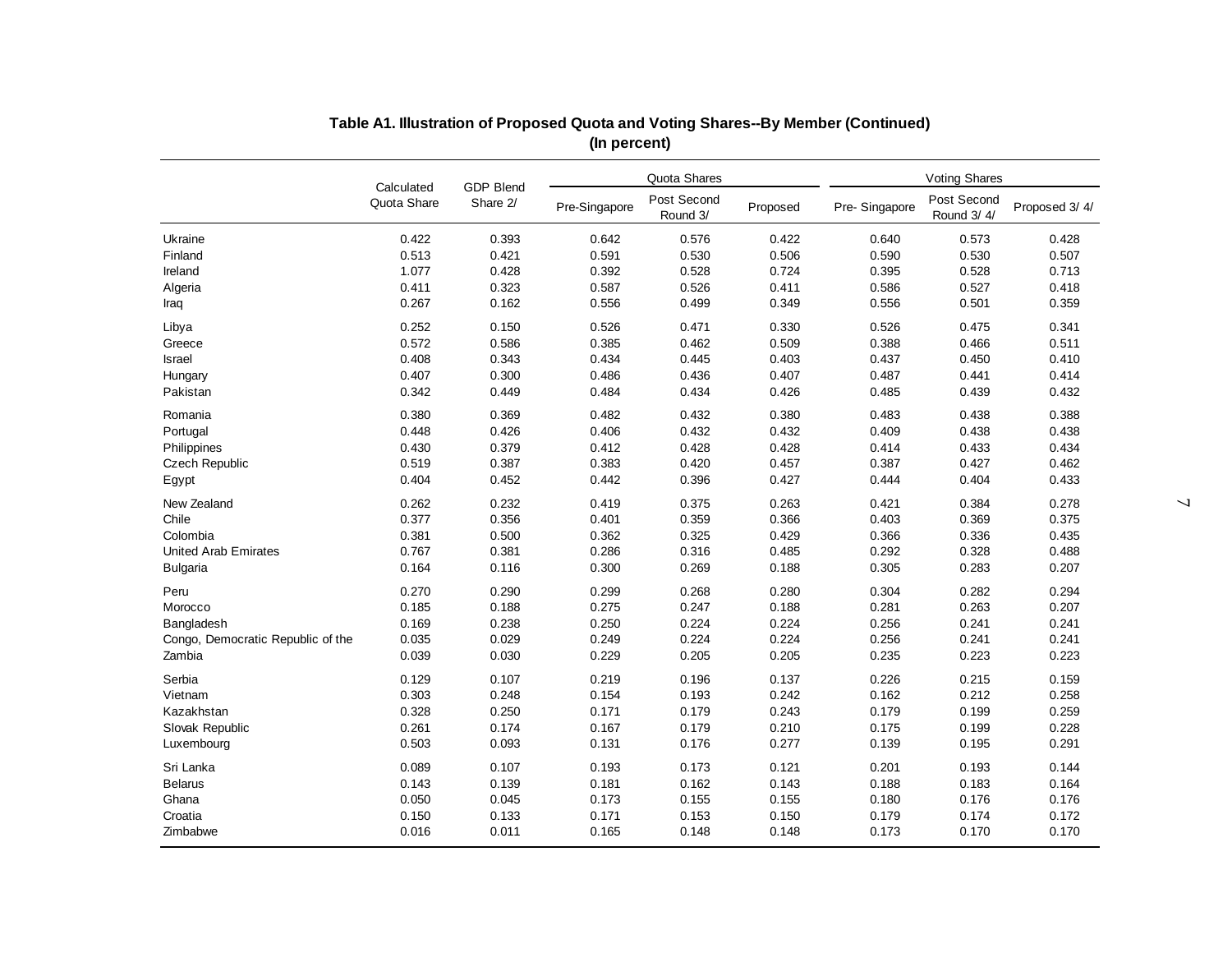|                                   |             | Quota Shares<br><b>GDP Blend</b><br>Calculated |               |                         |          | <b>Voting Shares</b> |                           |               |
|-----------------------------------|-------------|------------------------------------------------|---------------|-------------------------|----------|----------------------|---------------------------|---------------|
|                                   | Quota Share | Share 2/                                       | Pre-Singapore | Post Second<br>Round 3/ | Proposed | Pre-Singapore        | Post Second<br>Round 3/4/ | Proposed 3/4/ |
| Ukraine                           | 0.422       | 0.393                                          | 0.642         | 0.576                   | 0.422    | 0.640                | 0.573                     | 0.428         |
| Finland                           | 0.513       | 0.421                                          | 0.591         | 0.530                   | 0.506    | 0.590                | 0.530                     | 0.507         |
| Ireland                           | 1.077       | 0.428                                          | 0.392         | 0.528                   | 0.724    | 0.395                | 0.528                     | 0.713         |
| Algeria                           | 0.411       | 0.323                                          | 0.587         | 0.526                   | 0.411    | 0.586                | 0.527                     | 0.418         |
| Iraq                              | 0.267       | 0.162                                          | 0.556         | 0.499                   | 0.349    | 0.556                | 0.501                     | 0.359         |
| Libya                             | 0.252       | 0.150                                          | 0.526         | 0.471                   | 0.330    | 0.526                | 0.475                     | 0.341         |
| Greece                            | 0.572       | 0.586                                          | 0.385         | 0.462                   | 0.509    | 0.388                | 0.466                     | 0.511         |
| <b>Israel</b>                     | 0.408       | 0.343                                          | 0.434         | 0.445                   | 0.403    | 0.437                | 0.450                     | 0.410         |
| Hungary                           | 0.407       | 0.300                                          | 0.486         | 0.436                   | 0.407    | 0.487                | 0.441                     | 0.414         |
| Pakistan                          | 0.342       | 0.449                                          | 0.484         | 0.434                   | 0.426    | 0.485                | 0.439                     | 0.432         |
| Romania                           | 0.380       | 0.369                                          | 0.482         | 0.432                   | 0.380    | 0.483                | 0.438                     | 0.388         |
| Portugal                          | 0.448       | 0.426                                          | 0.406         | 0.432                   | 0.432    | 0.409                | 0.438                     | 0.438         |
| Philippines                       | 0.430       | 0.379                                          | 0.412         | 0.428                   | 0.428    | 0.414                | 0.433                     | 0.434         |
| Czech Republic                    | 0.519       | 0.387                                          | 0.383         | 0.420                   | 0.457    | 0.387                | 0.427                     | 0.462         |
| Egypt                             | 0.404       | 0.452                                          | 0.442         | 0.396                   | 0.427    | 0.444                | 0.404                     | 0.433         |
| New Zealand                       | 0.262       | 0.232                                          | 0.419         | 0.375                   | 0.263    | 0.421                | 0.384                     | 0.278         |
| Chile                             | 0.377       | 0.356                                          | 0.401         | 0.359                   | 0.366    | 0.403                | 0.369                     | 0.375         |
| Colombia                          | 0.381       | 0.500                                          | 0.362         | 0.325                   | 0.429    | 0.366                | 0.336                     | 0.435         |
| United Arab Emirates              | 0.767       | 0.381                                          | 0.286         | 0.316                   | 0.485    | 0.292                | 0.328                     | 0.488         |
| <b>Bulgaria</b>                   | 0.164       | 0.116                                          | 0.300         | 0.269                   | 0.188    | 0.305                | 0.283                     | 0.207         |
| Peru                              | 0.270       | 0.290                                          | 0.299         | 0.268                   | 0.280    | 0.304                | 0.282                     | 0.294         |
| Morocco                           | 0.185       | 0.188                                          | 0.275         | 0.247                   | 0.188    | 0.281                | 0.263                     | 0.207         |
| Bangladesh                        | 0.169       | 0.238                                          | 0.250         | 0.224                   | 0.224    | 0.256                | 0.241                     | 0.241         |
| Congo, Democratic Republic of the | 0.035       | 0.029                                          | 0.249         | 0.224                   | 0.224    | 0.256                | 0.241                     | 0.241         |
| Zambia                            | 0.039       | 0.030                                          | 0.229         | 0.205                   | 0.205    | 0.235                | 0.223                     | 0.223         |
| Serbia                            | 0.129       | 0.107                                          | 0.219         | 0.196                   | 0.137    | 0.226                | 0.215                     | 0.159         |
| Vietnam                           | 0.303       | 0.248                                          | 0.154         | 0.193                   | 0.242    | 0.162                | 0.212                     | 0.258         |
| Kazakhstan                        | 0.328       | 0.250                                          | 0.171         | 0.179                   | 0.243    | 0.179                | 0.199                     | 0.259         |
| Slovak Republic                   | 0.261       | 0.174                                          | 0.167         | 0.179                   | 0.210    | 0.175                | 0.199                     | 0.228         |
| Luxembourg                        | 0.503       | 0.093                                          | 0.131         | 0.176                   | 0.277    | 0.139                | 0.195                     | 0.291         |
| Sri Lanka                         | 0.089       | 0.107                                          | 0.193         | 0.173                   | 0.121    | 0.201                | 0.193                     | 0.144         |
| <b>Belarus</b>                    | 0.143       | 0.139                                          | 0.181         | 0.162                   | 0.143    | 0.188                | 0.183                     | 0.164         |
| Ghana                             | 0.050       | 0.045                                          | 0.173         | 0.155                   | 0.155    | 0.180                | 0.176                     | 0.176         |
| Croatia                           | 0.150       | 0.133                                          | 0.171         | 0.153                   | 0.150    | 0.179                | 0.174                     | 0.172         |
| Zimbabwe                          | 0.016       | 0.011                                          | 0.165         | 0.148                   | 0.148    | 0.173                | 0.170                     | 0.170         |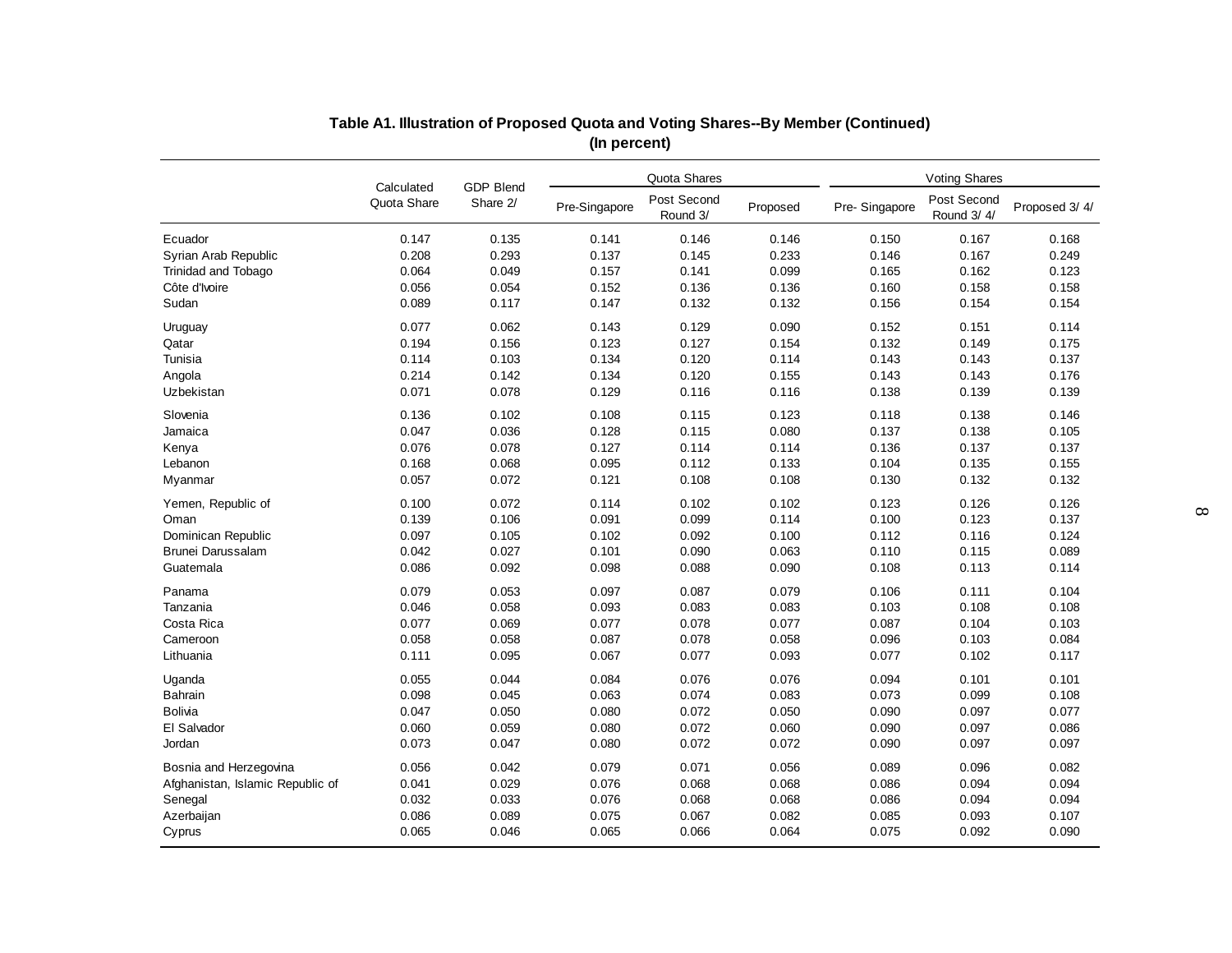|                                  | <b>GDP Blend</b><br>Calculated |          |               | Quota Shares            |          | <b>Voting Shares</b> |                           |               |  |
|----------------------------------|--------------------------------|----------|---------------|-------------------------|----------|----------------------|---------------------------|---------------|--|
|                                  | Quota Share                    | Share 2/ | Pre-Singapore | Post Second<br>Round 3/ | Proposed | Pre-Singapore        | Post Second<br>Round 3/4/ | Proposed 3/4/ |  |
| Ecuador                          | 0.147                          | 0.135    | 0.141         | 0.146                   | 0.146    | 0.150                | 0.167                     | 0.168         |  |
| Syrian Arab Republic             | 0.208                          | 0.293    | 0.137         | 0.145                   | 0.233    | 0.146                | 0.167                     | 0.249         |  |
| <b>Trinidad and Tobago</b>       | 0.064                          | 0.049    | 0.157         | 0.141                   | 0.099    | 0.165                | 0.162                     | 0.123         |  |
| Côte d'Ivoire                    | 0.056                          | 0.054    | 0.152         | 0.136                   | 0.136    | 0.160                | 0.158                     | 0.158         |  |
| Sudan                            | 0.089                          | 0.117    | 0.147         | 0.132                   | 0.132    | 0.156                | 0.154                     | 0.154         |  |
| Uruguay                          | 0.077                          | 0.062    | 0.143         | 0.129                   | 0.090    | 0.152                | 0.151                     | 0.114         |  |
| Qatar                            | 0.194                          | 0.156    | 0.123         | 0.127                   | 0.154    | 0.132                | 0.149                     | 0.175         |  |
| Tunisia                          | 0.114                          | 0.103    | 0.134         | 0.120                   | 0.114    | 0.143                | 0.143                     | 0.137         |  |
| Angola                           | 0.214                          | 0.142    | 0.134         | 0.120                   | 0.155    | 0.143                | 0.143                     | 0.176         |  |
| Uzbekistan                       | 0.071                          | 0.078    | 0.129         | 0.116                   | 0.116    | 0.138                | 0.139                     | 0.139         |  |
| Slovenia                         | 0.136                          | 0.102    | 0.108         | 0.115                   | 0.123    | 0.118                | 0.138                     | 0.146         |  |
| Jamaica                          | 0.047                          | 0.036    | 0.128         | 0.115                   | 0.080    | 0.137                | 0.138                     | 0.105         |  |
| Kenya                            | 0.076                          | 0.078    | 0.127         | 0.114                   | 0.114    | 0.136                | 0.137                     | 0.137         |  |
| Lebanon                          | 0.168                          | 0.068    | 0.095         | 0.112                   | 0.133    | 0.104                | 0.135                     | 0.155         |  |
| Myanmar                          | 0.057                          | 0.072    | 0.121         | 0.108                   | 0.108    | 0.130                | 0.132                     | 0.132         |  |
| Yemen, Republic of               | 0.100                          | 0.072    | 0.114         | 0.102                   | 0.102    | 0.123                | 0.126                     | 0.126         |  |
| Oman                             | 0.139                          | 0.106    | 0.091         | 0.099                   | 0.114    | 0.100                | 0.123                     | 0.137         |  |
| Dominican Republic               | 0.097                          | 0.105    | 0.102         | 0.092                   | 0.100    | 0.112                | 0.116                     | 0.124         |  |
| Brunei Darussalam                | 0.042                          | 0.027    | 0.101         | 0.090                   | 0.063    | 0.110                | 0.115                     | 0.089         |  |
| Guatemala                        | 0.086                          | 0.092    | 0.098         | 0.088                   | 0.090    | 0.108                | 0.113                     | 0.114         |  |
| Panama                           | 0.079                          | 0.053    | 0.097         | 0.087                   | 0.079    | 0.106                | 0.111                     | 0.104         |  |
| Tanzania                         | 0.046                          | 0.058    | 0.093         | 0.083                   | 0.083    | 0.103                | 0.108                     | 0.108         |  |
| Costa Rica                       | 0.077                          | 0.069    | 0.077         | 0.078                   | 0.077    | 0.087                | 0.104                     | 0.103         |  |
| Cameroon                         | 0.058                          | 0.058    | 0.087         | 0.078                   | 0.058    | 0.096                | 0.103                     | 0.084         |  |
| Lithuania                        | 0.111                          | 0.095    | 0.067         | 0.077                   | 0.093    | 0.077                | 0.102                     | 0.117         |  |
| Uganda                           | 0.055                          | 0.044    | 0.084         | 0.076                   | 0.076    | 0.094                | 0.101                     | 0.101         |  |
| Bahrain                          | 0.098                          | 0.045    | 0.063         | 0.074                   | 0.083    | 0.073                | 0.099                     | 0.108         |  |
| <b>Bolivia</b>                   | 0.047                          | 0.050    | 0.080         | 0.072                   | 0.050    | 0.090                | 0.097                     | 0.077         |  |
| El Salvador                      | 0.060                          | 0.059    | 0.080         | 0.072                   | 0.060    | 0.090                | 0.097                     | 0.086         |  |
| Jordan                           | 0.073                          | 0.047    | 0.080         | 0.072                   | 0.072    | 0.090                | 0.097                     | 0.097         |  |
| Bosnia and Herzegovina           | 0.056                          | 0.042    | 0.079         | 0.071                   | 0.056    | 0.089                | 0.096                     | 0.082         |  |
| Afghanistan, Islamic Republic of | 0.041                          | 0.029    | 0.076         | 0.068                   | 0.068    | 0.086                | 0.094                     | 0.094         |  |
| Senegal                          | 0.032                          | 0.033    | 0.076         | 0.068                   | 0.068    | 0.086                | 0.094                     | 0.094         |  |
| Azerbaijan                       | 0.086                          | 0.089    | 0.075         | 0.067                   | 0.082    | 0.085                | 0.093                     | 0.107         |  |
| Cyprus                           | 0.065                          | 0.046    | 0.065         | 0.066                   | 0.064    | 0.075                | 0.092                     | 0.090         |  |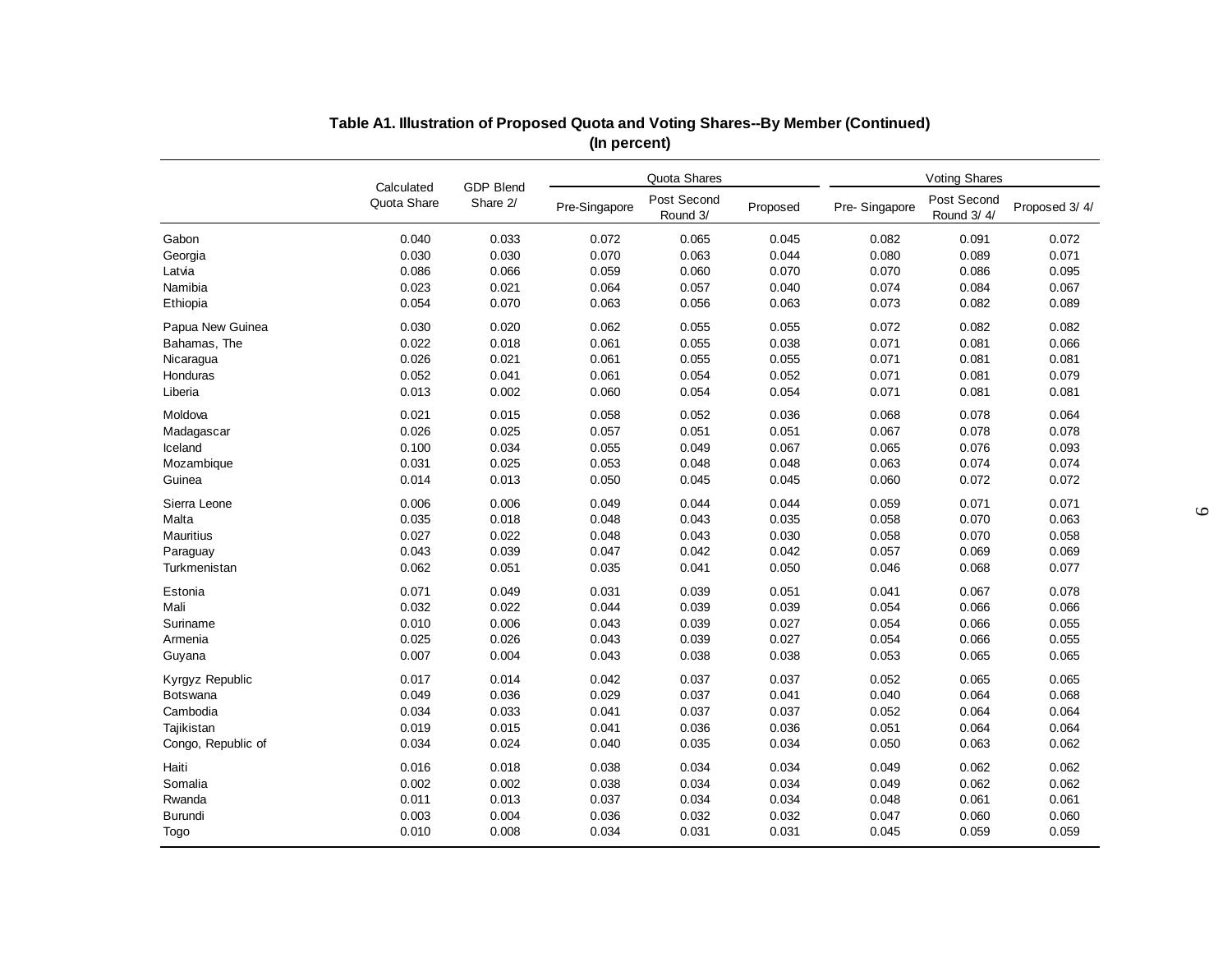|                    | Calculated  | <b>GDP Blend</b> |               | Quota Shares            |          | <b>Voting Shares</b> |                           |               |
|--------------------|-------------|------------------|---------------|-------------------------|----------|----------------------|---------------------------|---------------|
|                    | Quota Share | Share 2/         | Pre-Singapore | Post Second<br>Round 3/ | Proposed | Pre-Singapore        | Post Second<br>Round 3/4/ | Proposed 3/4/ |
| Gabon              | 0.040       | 0.033            | 0.072         | 0.065                   | 0.045    | 0.082                | 0.091                     | 0.072         |
| Georgia            | 0.030       | 0.030            | 0.070         | 0.063                   | 0.044    | 0.080                | 0.089                     | 0.071         |
| Latvia             | 0.086       | 0.066            | 0.059         | 0.060                   | 0.070    | 0.070                | 0.086                     | 0.095         |
| Namibia            | 0.023       | 0.021            | 0.064         | 0.057                   | 0.040    | 0.074                | 0.084                     | 0.067         |
| Ethiopia           | 0.054       | 0.070            | 0.063         | 0.056                   | 0.063    | 0.073                | 0.082                     | 0.089         |
| Papua New Guinea   | 0.030       | 0.020            | 0.062         | 0.055                   | 0.055    | 0.072                | 0.082                     | 0.082         |
| Bahamas, The       | 0.022       | 0.018            | 0.061         | 0.055                   | 0.038    | 0.071                | 0.081                     | 0.066         |
| Nicaragua          | 0.026       | 0.021            | 0.061         | 0.055                   | 0.055    | 0.071                | 0.081                     | 0.081         |
| Honduras           | 0.052       | 0.041            | 0.061         | 0.054                   | 0.052    | 0.071                | 0.081                     | 0.079         |
| Liberia            | 0.013       | 0.002            | 0.060         | 0.054                   | 0.054    | 0.071                | 0.081                     | 0.081         |
| Moldova            | 0.021       | 0.015            | 0.058         | 0.052                   | 0.036    | 0.068                | 0.078                     | 0.064         |
| Madagascar         | 0.026       | 0.025            | 0.057         | 0.051                   | 0.051    | 0.067                | 0.078                     | 0.078         |
| Iceland            | 0.100       | 0.034            | 0.055         | 0.049                   | 0.067    | 0.065                | 0.076                     | 0.093         |
| Mozambique         | 0.031       | 0.025            | 0.053         | 0.048                   | 0.048    | 0.063                | 0.074                     | 0.074         |
| Guinea             | 0.014       | 0.013            | 0.050         | 0.045                   | 0.045    | 0.060                | 0.072                     | 0.072         |
| Sierra Leone       | 0.006       | 0.006            | 0.049         | 0.044                   | 0.044    | 0.059                | 0.071                     | 0.071         |
| Malta              | 0.035       | 0.018            | 0.048         | 0.043                   | 0.035    | 0.058                | 0.070                     | 0.063         |
| <b>Mauritius</b>   | 0.027       | 0.022            | 0.048         | 0.043                   | 0.030    | 0.058                | 0.070                     | 0.058         |
| Paraguay           | 0.043       | 0.039            | 0.047         | 0.042                   | 0.042    | 0.057                | 0.069                     | 0.069         |
| Turkmenistan       | 0.062       | 0.051            | 0.035         | 0.041                   | 0.050    | 0.046                | 0.068                     | 0.077         |
| Estonia            | 0.071       | 0.049            | 0.031         | 0.039                   | 0.051    | 0.041                | 0.067                     | 0.078         |
| Mali               | 0.032       | 0.022            | 0.044         | 0.039                   | 0.039    | 0.054                | 0.066                     | 0.066         |
| Suriname           | 0.010       | 0.006            | 0.043         | 0.039                   | 0.027    | 0.054                | 0.066                     | 0.055         |
| Armenia            | 0.025       | 0.026            | 0.043         | 0.039                   | 0.027    | 0.054                | 0.066                     | 0.055         |
| Guyana             | 0.007       | 0.004            | 0.043         | 0.038                   | 0.038    | 0.053                | 0.065                     | 0.065         |
| Kyrgyz Republic    | 0.017       | 0.014            | 0.042         | 0.037                   | 0.037    | 0.052                | 0.065                     | 0.065         |
| Botswana           | 0.049       | 0.036            | 0.029         | 0.037                   | 0.041    | 0.040                | 0.064                     | 0.068         |
| Cambodia           | 0.034       | 0.033            | 0.041         | 0.037                   | 0.037    | 0.052                | 0.064                     | 0.064         |
| Tajikistan         | 0.019       | 0.015            | 0.041         | 0.036                   | 0.036    | 0.051                | 0.064                     | 0.064         |
| Congo, Republic of | 0.034       | 0.024            | 0.040         | 0.035                   | 0.034    | 0.050                | 0.063                     | 0.062         |
| Haiti              | 0.016       | 0.018            | 0.038         | 0.034                   | 0.034    | 0.049                | 0.062                     | 0.062         |
| Somalia            | 0.002       | 0.002            | 0.038         | 0.034                   | 0.034    | 0.049                | 0.062                     | 0.062         |
| Rwanda             | 0.011       | 0.013            | 0.037         | 0.034                   | 0.034    | 0.048                | 0.061                     | 0.061         |
| <b>Burundi</b>     | 0.003       | 0.004            | 0.036         | 0.032                   | 0.032    | 0.047                | 0.060                     | 0.060         |
| Togo               | 0.010       | 0.008            | 0.034         | 0.031                   | 0.031    | 0.045                | 0.059                     | 0.059         |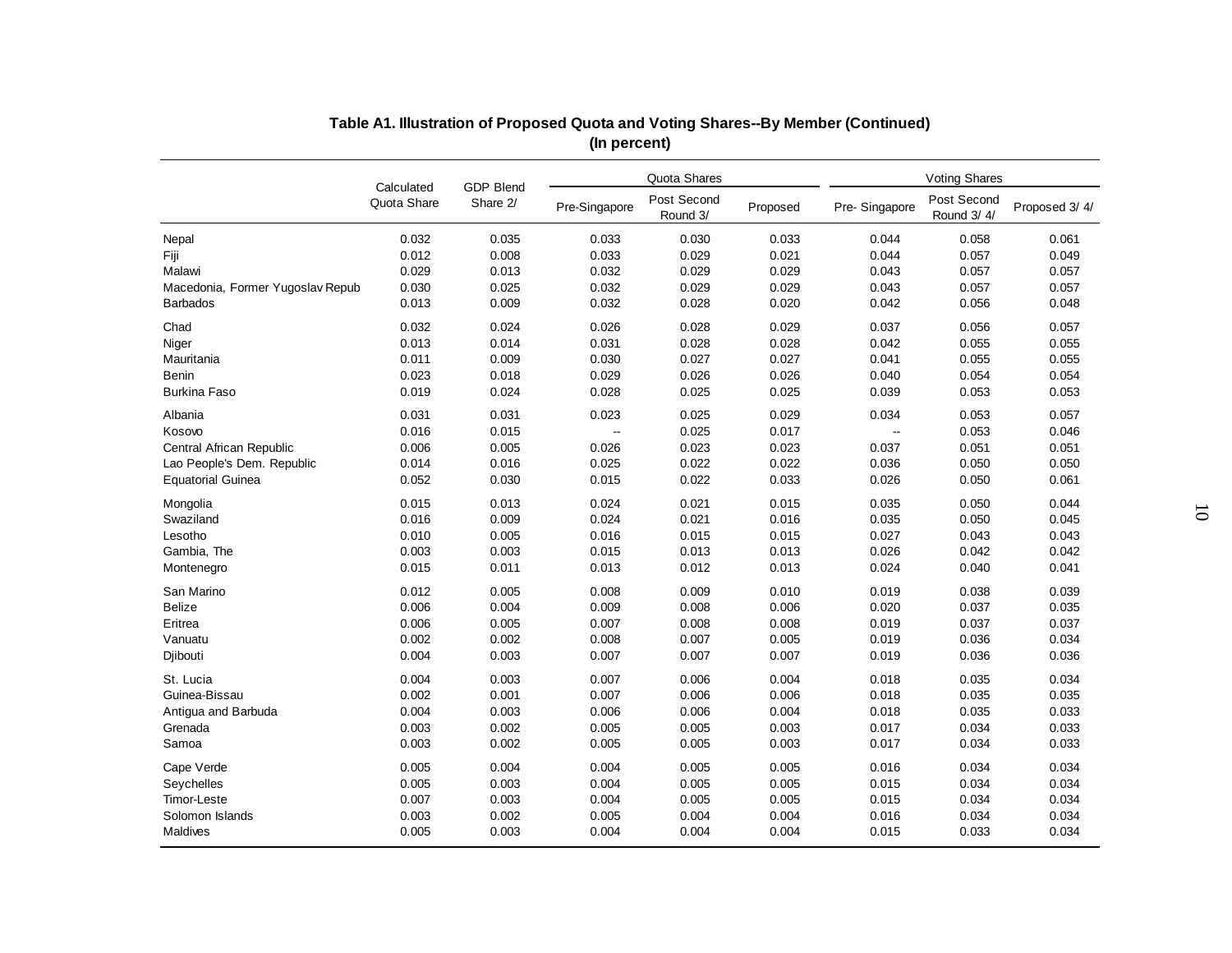|                                  | Calculated  | <b>GDP Blend</b> |               | Quota Shares            |          | <b>Voting Shares</b> |                           |               |
|----------------------------------|-------------|------------------|---------------|-------------------------|----------|----------------------|---------------------------|---------------|
|                                  | Quota Share | Share 2/         | Pre-Singapore | Post Second<br>Round 3/ | Proposed | Pre-Singapore        | Post Second<br>Round 3/4/ | Proposed 3/4/ |
| Nepal                            | 0.032       | 0.035            | 0.033         | 0.030                   | 0.033    | 0.044                | 0.058                     | 0.061         |
| Fiji                             | 0.012       | 0.008            | 0.033         | 0.029                   | 0.021    | 0.044                | 0.057                     | 0.049         |
| Malawi                           | 0.029       | 0.013            | 0.032         | 0.029                   | 0.029    | 0.043                | 0.057                     | 0.057         |
| Macedonia, Former Yugoslav Repub | 0.030       | 0.025            | 0.032         | 0.029                   | 0.029    | 0.043                | 0.057                     | 0.057         |
| <b>Barbados</b>                  | 0.013       | 0.009            | 0.032         | 0.028                   | 0.020    | 0.042                | 0.056                     | 0.048         |
| Chad                             | 0.032       | 0.024            | 0.026         | 0.028                   | 0.029    | 0.037                | 0.056                     | 0.057         |
| Niger                            | 0.013       | 0.014            | 0.031         | 0.028                   | 0.028    | 0.042                | 0.055                     | 0.055         |
| Mauritania                       | 0.011       | 0.009            | 0.030         | 0.027                   | 0.027    | 0.041                | 0.055                     | 0.055         |
| Benin                            | 0.023       | 0.018            | 0.029         | 0.026                   | 0.026    | 0.040                | 0.054                     | 0.054         |
| <b>Burkina Faso</b>              | 0.019       | 0.024            | 0.028         | 0.025                   | 0.025    | 0.039                | 0.053                     | 0.053         |
| Albania                          | 0.031       | 0.031            | 0.023         | 0.025                   | 0.029    | 0.034                | 0.053                     | 0.057         |
| Kosovo                           | 0.016       | 0.015            | --            | 0.025                   | 0.017    | $\ddot{\phantom{a}}$ | 0.053                     | 0.046         |
| Central African Republic         | 0.006       | 0.005            | 0.026         | 0.023                   | 0.023    | 0.037                | 0.051                     | 0.051         |
| Lao People's Dem. Republic       | 0.014       | 0.016            | 0.025         | 0.022                   | 0.022    | 0.036                | 0.050                     | 0.050         |
| <b>Equatorial Guinea</b>         | 0.052       | 0.030            | 0.015         | 0.022                   | 0.033    | 0.026                | 0.050                     | 0.061         |
| Mongolia                         | 0.015       | 0.013            | 0.024         | 0.021                   | 0.015    | 0.035                | 0.050                     | 0.044         |
| Swaziland                        | 0.016       | 0.009            | 0.024         | 0.021                   | 0.016    | 0.035                | 0.050                     | 0.045         |
| Lesotho                          | 0.010       | 0.005            | 0.016         | 0.015                   | 0.015    | 0.027                | 0.043                     | 0.043         |
| Gambia, The                      | 0.003       | 0.003            | 0.015         | 0.013                   | 0.013    | 0.026                | 0.042                     | 0.042         |
| Montenegro                       | 0.015       | 0.011            | 0.013         | 0.012                   | 0.013    | 0.024                | 0.040                     | 0.041         |
| San Marino                       | 0.012       | 0.005            | 0.008         | 0.009                   | 0.010    | 0.019                | 0.038                     | 0.039         |
| <b>Belize</b>                    | 0.006       | 0.004            | 0.009         | 0.008                   | 0.006    | 0.020                | 0.037                     | 0.035         |
| Eritrea                          | 0.006       | 0.005            | 0.007         | 0.008                   | 0.008    | 0.019                | 0.037                     | 0.037         |
| Vanuatu                          | 0.002       | 0.002            | 0.008         | 0.007                   | 0.005    | 0.019                | 0.036                     | 0.034         |
| Djibouti                         | 0.004       | 0.003            | 0.007         | 0.007                   | 0.007    | 0.019                | 0.036                     | 0.036         |
| St. Lucia                        | 0.004       | 0.003            | 0.007         | 0.006                   | 0.004    | 0.018                | 0.035                     | 0.034         |
| Guinea-Bissau                    | 0.002       | 0.001            | 0.007         | 0.006                   | 0.006    | 0.018                | 0.035                     | 0.035         |
| Antigua and Barbuda              | 0.004       | 0.003            | 0.006         | 0.006                   | 0.004    | 0.018                | 0.035                     | 0.033         |
| Grenada                          | 0.003       | 0.002            | 0.005         | 0.005                   | 0.003    | 0.017                | 0.034                     | 0.033         |
| Samoa                            | 0.003       | 0.002            | 0.005         | 0.005                   | 0.003    | 0.017                | 0.034                     | 0.033         |
| Cape Verde                       | 0.005       | 0.004            | 0.004         | 0.005                   | 0.005    | 0.016                | 0.034                     | 0.034         |
| Seychelles                       | 0.005       | 0.003            | 0.004         | 0.005                   | 0.005    | 0.015                | 0.034                     | 0.034         |
| Timor-Leste                      | 0.007       | 0.003            | 0.004         | 0.005                   | 0.005    | 0.015                | 0.034                     | 0.034         |
| Solomon Islands                  | 0.003       | 0.002            | 0.005         | 0.004                   | 0.004    | 0.016                | 0.034                     | 0.034         |
| Maldives                         | 0.005       | 0.003            | 0.004         | 0.004                   | 0.004    | 0.015                | 0.033                     | 0.034         |